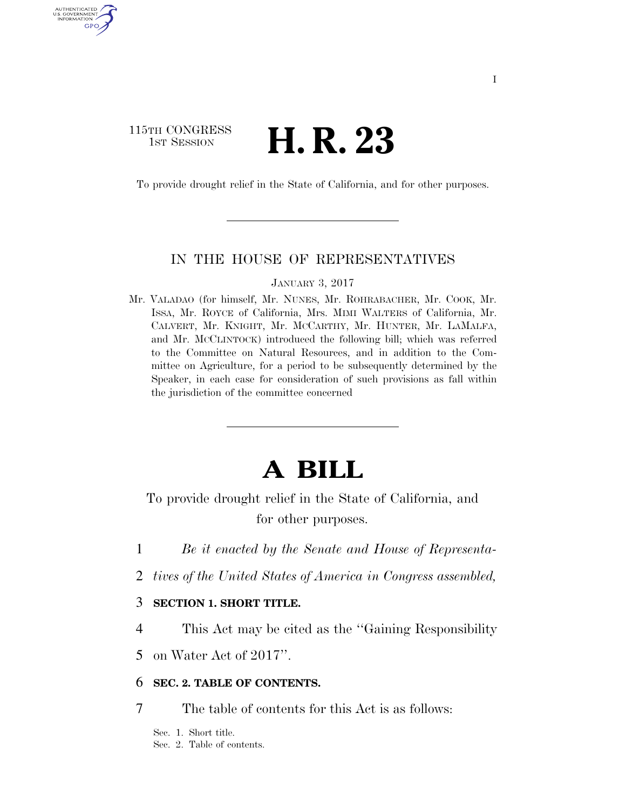# 115TH CONGRESS <sup>TH CONGRESS</sup> **H. R. 23**

AUTHENTICATED U.S. GOVERNMENT GPO

To provide drought relief in the State of California, and for other purposes.

#### IN THE HOUSE OF REPRESENTATIVES

JANUARY 3, 2017

Mr. VALADAO (for himself, Mr. NUNES, Mr. ROHRABACHER, Mr. COOK, Mr. ISSA, Mr. ROYCE of California, Mrs. MIMI WALTERS of California, Mr. CALVERT, Mr. KNIGHT, Mr. MCCARTHY, Mr. HUNTER, Mr. LAMALFA, and Mr. MCCLINTOCK) introduced the following bill; which was referred to the Committee on Natural Resources, and in addition to the Committee on Agriculture, for a period to be subsequently determined by the Speaker, in each case for consideration of such provisions as fall within the jurisdiction of the committee concerned

# **A BILL**

To provide drought relief in the State of California, and for other purposes.

- 1 *Be it enacted by the Senate and House of Representa-*
- 2 *tives of the United States of America in Congress assembled,*

#### 3 **SECTION 1. SHORT TITLE.**

4 This Act may be cited as the ''Gaining Responsibility

5 on Water Act of 2017''.

#### 6 **SEC. 2. TABLE OF CONTENTS.**

7 The table of contents for this Act is as follows:

Sec. 1. Short title. Sec. 2. Table of contents.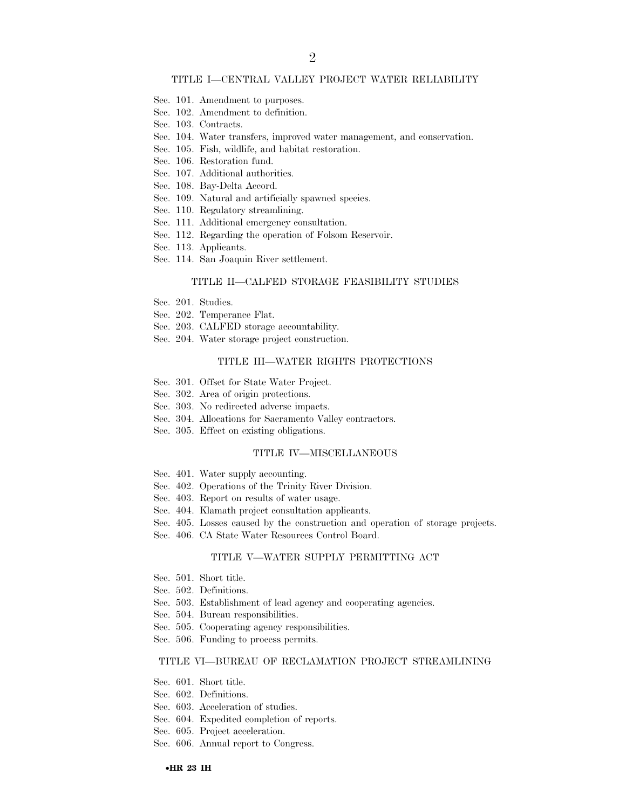#### TITLE I—CENTRAL VALLEY PROJECT WATER RELIABILITY

- Sec. 101. Amendment to purposes.
- Sec. 102. Amendment to definition.
- Sec. 103. Contracts.
- Sec. 104. Water transfers, improved water management, and conservation.
- Sec. 105. Fish, wildlife, and habitat restoration.
- Sec. 106. Restoration fund.
- Sec. 107. Additional authorities.
- Sec. 108. Bay-Delta Accord.
- Sec. 109. Natural and artificially spawned species.
- Sec. 110. Regulatory streamlining.
- Sec. 111. Additional emergency consultation.
- Sec. 112. Regarding the operation of Folsom Reservoir.
- Sec. 113. Applicants.
- Sec. 114. San Joaquin River settlement.

#### TITLE II—CALFED STORAGE FEASIBILITY STUDIES

- Sec. 201. Studies.
- Sec. 202. Temperance Flat.
- Sec. 203. CALFED storage accountability.
- Sec. 204. Water storage project construction.

#### TITLE III—WATER RIGHTS PROTECTIONS

- Sec. 301. Offset for State Water Project.
- Sec. 302. Area of origin protections.
- Sec. 303. No redirected adverse impacts.
- Sec. 304. Allocations for Sacramento Valley contractors.
- Sec. 305. Effect on existing obligations.

#### TITLE IV—MISCELLANEOUS

- Sec. 401. Water supply accounting.
- Sec. 402. Operations of the Trinity River Division.
- Sec. 403. Report on results of water usage.
- Sec. 404. Klamath project consultation applicants.
- Sec. 405. Losses caused by the construction and operation of storage projects.
- Sec. 406. CA State Water Resources Control Board.

#### TITLE V—WATER SUPPLY PERMITTING ACT

- Sec. 501. Short title.
- Sec. 502. Definitions.
- Sec. 503. Establishment of lead agency and cooperating agencies.
- Sec. 504. Bureau responsibilities.
- Sec. 505. Cooperating agency responsibilities.
- Sec. 506. Funding to process permits.

#### TITLE VI—BUREAU OF RECLAMATION PROJECT STREAMLINING

- Sec. 601. Short title.
- Sec. 602. Definitions.
- Sec. 603. Acceleration of studies.
- Sec. 604. Expedited completion of reports.
- Sec. 605. Project acceleration.
- Sec. 606. Annual report to Congress.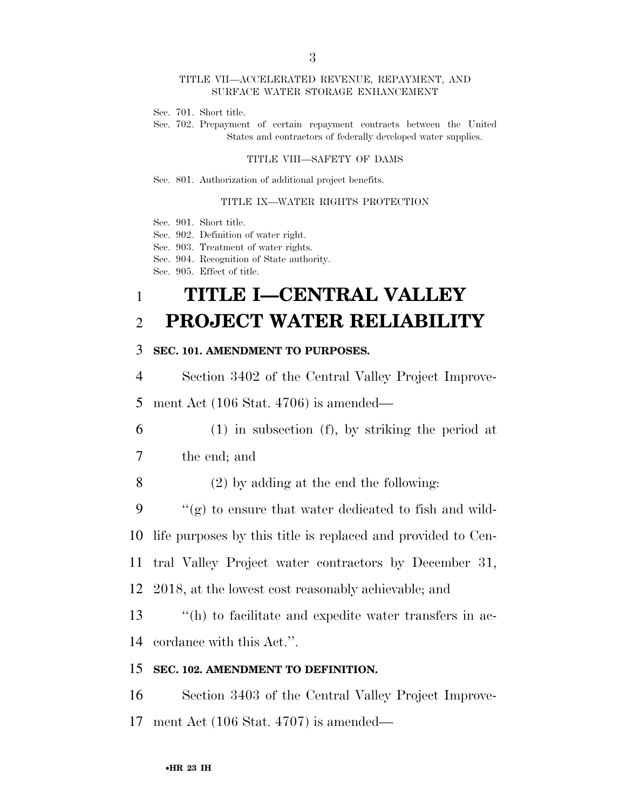#### TITLE VII—ACCELERATED REVENUE, REPAYMENT, AND SURFACE WATER STORAGE ENHANCEMENT

- Sec. 701. Short title.
- Sec. 702. Prepayment of certain repayment contracts between the United States and contractors of federally developed water supplies.

#### TITLE VIII—SAFETY OF DAMS

Sec. 801. Authorization of additional project benefits.

#### TITLE IX—WATER RIGHTS PROTECTION

Sec. 901. Short title.

Sec. 902. Definition of water right.

Sec. 903. Treatment of water rights.

Sec. 904. Recognition of State authority.

Sec. 905. Effect of title.

# 1 **TITLE I—CENTRAL VALLEY**  2 **PROJECT WATER RELIABILITY**

#### 3 **SEC. 101. AMENDMENT TO PURPOSES.**

4 Section 3402 of the Central Valley Project Improve-

5 ment Act (106 Stat. 4706) is amended—

6 (1) in subsection (f), by striking the period at

7 the end; and

8 (2) by adding at the end the following:

9  $\langle \langle g \rangle \rangle$  to ensure that water dedicated to fish and wild-

10 life purposes by this title is replaced and provided to Cen-

11 tral Valley Project water contractors by December 31,

12 2018, at the lowest cost reasonably achievable; and

13 ''(h) to facilitate and expedite water transfers in ac-14 cordance with this Act.''.

#### 15 **SEC. 102. AMENDMENT TO DEFINITION.**

16 Section 3403 of the Central Valley Project Improve-17 ment Act (106 Stat. 4707) is amended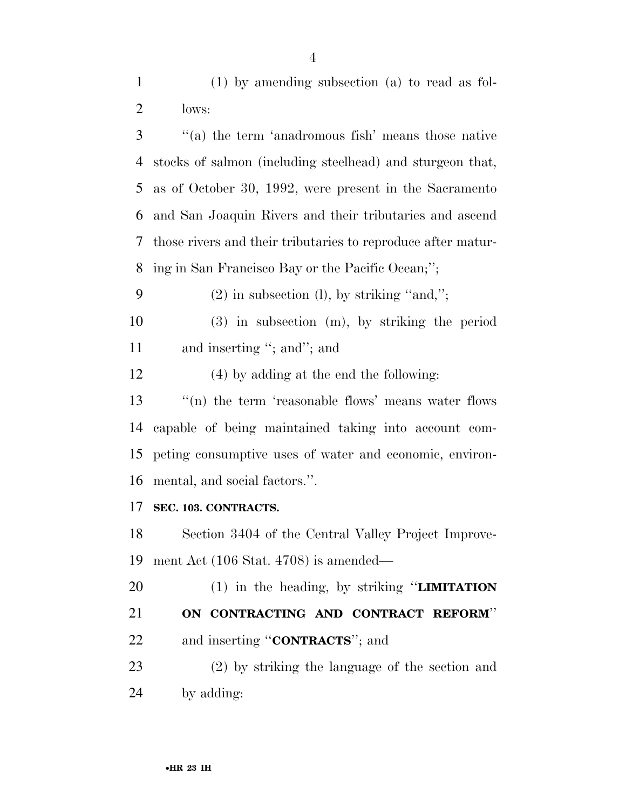(1) by amending subsection (a) to read as fol-lows:

 ''(a) the term 'anadromous fish' means those native stocks of salmon (including steelhead) and sturgeon that, as of October 30, 1992, were present in the Sacramento and San Joaquin Rivers and their tributaries and ascend those rivers and their tributaries to reproduce after matur-ing in San Francisco Bay or the Pacific Ocean;'';

9 (2) in subsection (l), by striking "and,";

 (3) in subsection (m), by striking the period 11 and inserting "; and"; and

(4) by adding at the end the following:

 $\qquad$  "(n) the term 'reasonable flows' means water flows capable of being maintained taking into account com- peting consumptive uses of water and economic, environ-mental, and social factors.''.

### **SEC. 103. CONTRACTS.**

 Section 3404 of the Central Valley Project Improve-ment Act (106 Stat. 4708) is amended—

 (1) in the heading, by striking ''**LIMITATION ON CONTRACTING AND CONTRACT REFORM**'' and inserting ''**CONTRACTS**''; and

 (2) by striking the language of the section and by adding: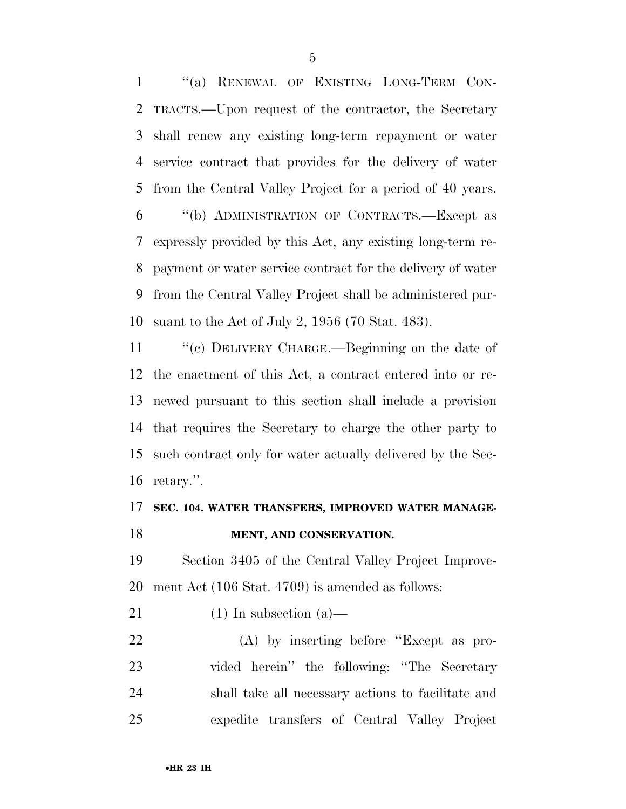''(a) RENEWAL OF EXISTING LONG-TERM CON- TRACTS.—Upon request of the contractor, the Secretary shall renew any existing long-term repayment or water service contract that provides for the delivery of water from the Central Valley Project for a period of 40 years. ''(b) ADMINISTRATION OF CONTRACTS.—Except as expressly provided by this Act, any existing long-term re- payment or water service contract for the delivery of water from the Central Valley Project shall be administered pur-suant to the Act of July 2, 1956 (70 Stat. 483).

 ''(c) DELIVERY CHARGE.—Beginning on the date of the enactment of this Act, a contract entered into or re- newed pursuant to this section shall include a provision that requires the Secretary to charge the other party to such contract only for water actually delivered by the Sec-retary.''.

# **SEC. 104. WATER TRANSFERS, IMPROVED WATER MANAGE-**

### **MENT, AND CONSERVATION.**

 Section 3405 of the Central Valley Project Improve-ment Act (106 Stat. 4709) is amended as follows:

21 (1) In subsection  $(a)$ —

 (A) by inserting before ''Except as pro- vided herein'' the following: ''The Secretary shall take all necessary actions to facilitate and expedite transfers of Central Valley Project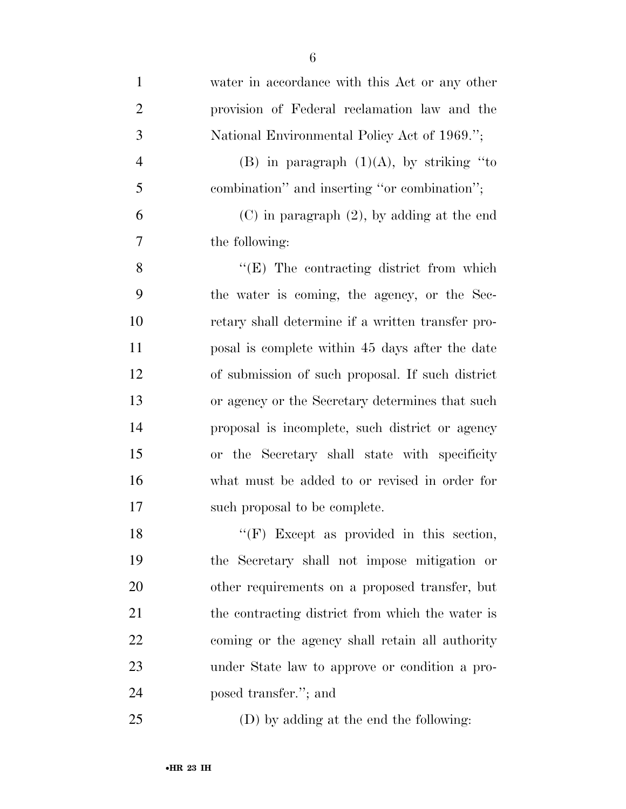| $\mathbf{1}$   | water in accordance with this Act or any other    |
|----------------|---------------------------------------------------|
| $\overline{2}$ | provision of Federal reclamation law and the      |
| 3              | National Environmental Policy Act of 1969.";      |
| $\overline{4}$ | (B) in paragraph $(1)(A)$ , by striking "to       |
| 5              | combination" and inserting "or combination";      |
| 6              | $(C)$ in paragraph $(2)$ , by adding at the end   |
| 7              | the following:                                    |
| 8              | $\lq\lq(E)$ The contracting district from which   |
| 9              | the water is coming, the agency, or the Sec-      |
| 10             | retary shall determine if a written transfer pro- |
| 11             | posal is complete within 45 days after the date   |
| 12             | of submission of such proposal. If such district  |
| 13             | or agency or the Secretary determines that such   |
| 14             | proposal is incomplete, such district or agency   |
| 15             | or the Secretary shall state with specificity     |
| 16             | what must be added to or revised in order for     |
| 17             | such proposal to be complete.                     |
| 18             | "(F) Except as provided in this section,          |
| 19             | the Secretary shall not impose mitigation or      |
| 20             | other requirements on a proposed transfer, but    |
| 21             | the contracting district from which the water is  |
| 22             | coming or the agency shall retain all authority   |
| 23             | under State law to approve or condition a pro-    |
| 24             | posed transfer."; and                             |
| 25             | (D) by adding at the end the following:           |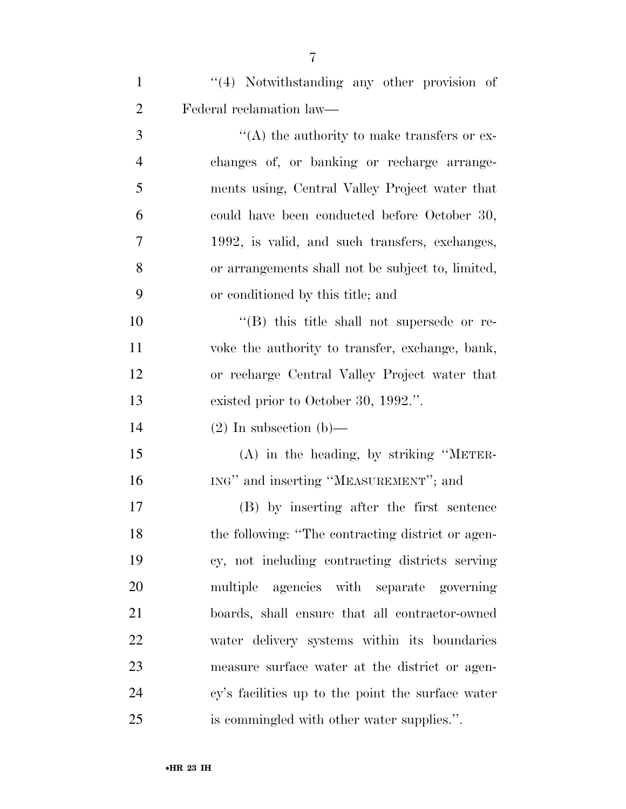| $\mathbf{1}$   | $\lq(4)$ Notwithstanding any other provision of   |
|----------------|---------------------------------------------------|
| $\overline{2}$ | Federal reclamation law—                          |
| 3              | "(A) the authority to make transfers or ex-       |
| $\overline{4}$ | changes of, or banking or recharge arrange-       |
| 5              | ments using, Central Valley Project water that    |
| 6              | could have been conducted before October 30,      |
| 7              | 1992, is valid, and such transfers, exchanges,    |
| 8              | or arrangements shall not be subject to, limited, |
| 9              | or conditioned by this title; and                 |
| 10             | "(B) this title shall not supersede or re-        |
| 11             | voke the authority to transfer, exchange, bank,   |
| 12             | or recharge Central Valley Project water that     |
| 13             | existed prior to October 30, 1992.".              |
| 14             | $(2)$ In subsection (b)—                          |
| 15             | $(A)$ in the heading, by striking "METER-         |
| 16             | ING" and inserting "MEASUREMENT"; and             |
| 17             | (B) by inserting after the first sentence         |
| 18             | the following: "The contracting district or agen- |
| 19             | cy, not including contracting districts serving   |
| 20             | multiple agencies with separate governing         |
| 21             | boards, shall ensure that all contractor-owned    |
| 22             | water delivery systems within its boundaries      |
| 23             | measure surface water at the district or agen-    |
| 24             | cy's facilities up to the point the surface water |
| 25             | is commingled with other water supplies.".        |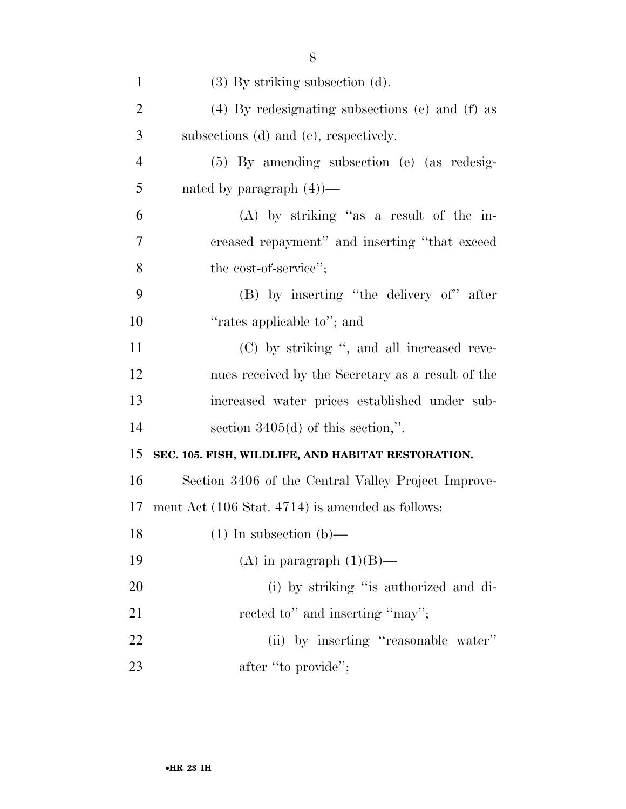| $\mathbf{1}$   | $(3)$ By striking subsection $(d)$ .                |
|----------------|-----------------------------------------------------|
| $\overline{2}$ | $(4)$ By redesignating subsections (e) and (f) as   |
| 3              | subsections (d) and (e), respectively.              |
| $\overline{4}$ | $(5)$ By amending subsection (e) (as redesig-       |
| 5              | nated by paragraph $(4)$ —                          |
| 6              | $(A)$ by striking "as a result of the in-           |
| 7              | creased repayment" and inserting "that exceed       |
| 8              | the cost-of-service";                               |
| 9              | (B) by inserting "the delivery of" after            |
| 10             | "rates applicable to"; and                          |
| 11             | (C) by striking ", and all increased reve-          |
| 12             | nues received by the Secretary as a result of the   |
| 13             | increased water prices established under sub-       |
| 14             | section $3405(d)$ of this section,".                |
| 15             | SEC. 105. FISH, WILDLIFE, AND HABITAT RESTORATION.  |
| 16             | Section 3406 of the Central Valley Project Improve- |
| 17             | ment Act (106 Stat. 4714) is amended as follows:    |
| 18             | $(1)$ In subsection $(b)$ —                         |
| 19             | (A) in paragraph $(1)(B)$ —                         |
| 20             | (i) by striking "is authorized and di-              |
| 21             | rected to" and inserting "may";                     |
| 22             | (ii) by inserting "reasonable water"                |
| 23             | after "to provide";                                 |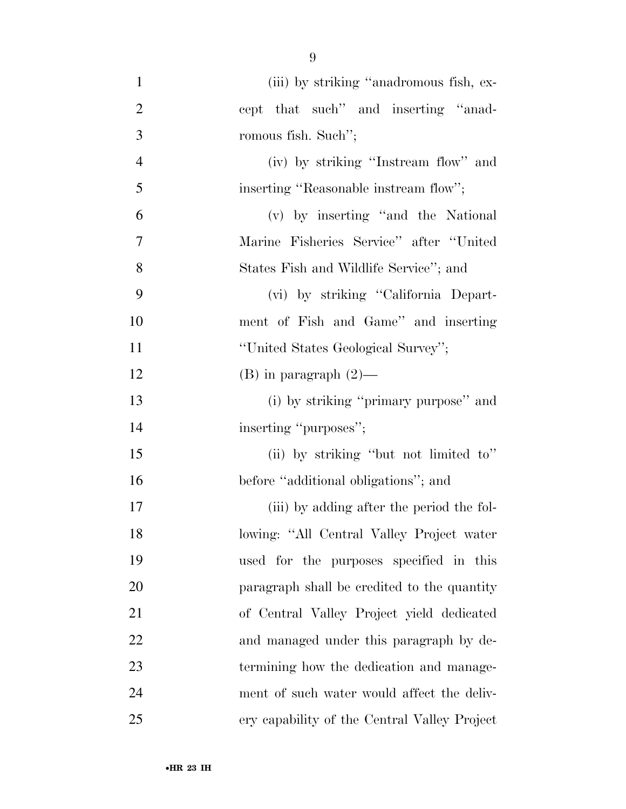| $\mathbf{1}$   | (iii) by striking "anadromous fish, ex-      |
|----------------|----------------------------------------------|
| $\overline{2}$ | cept that such" and inserting "anad-         |
| 3              | romous fish. Such";                          |
| $\overline{4}$ | (iv) by striking "Instream flow" and         |
| 5              | inserting "Reasonable instream flow";        |
| 6              | (v) by inserting "and the National           |
| $\tau$         | Marine Fisheries Service" after "United      |
| 8              | States Fish and Wildlife Service"; and       |
| 9              | (vi) by striking "California Depart-         |
| 10             | ment of Fish and Game" and inserting         |
| 11             | "United States Geological Survey";           |
| 12             | $(B)$ in paragraph $(2)$ —                   |
| 13             | (i) by striking "primary purpose" and        |
| 14             | inserting "purposes";                        |
| 15             | (ii) by striking "but not limited to"        |
| 16             | before "additional obligations"; and         |
| 17             | (iii) by adding after the period the fol-    |
| 18             | lowing: "All Central Valley Project water    |
| 19             | used for the purposes specified in this      |
| 20             | paragraph shall be credited to the quantity  |
| 21             | of Central Valley Project yield dedicated    |
| 22             | and managed under this paragraph by de-      |
| 23             | termining how the dedication and manage-     |
| 24             | ment of such water would affect the deliv-   |
| 25             | ery capability of the Central Valley Project |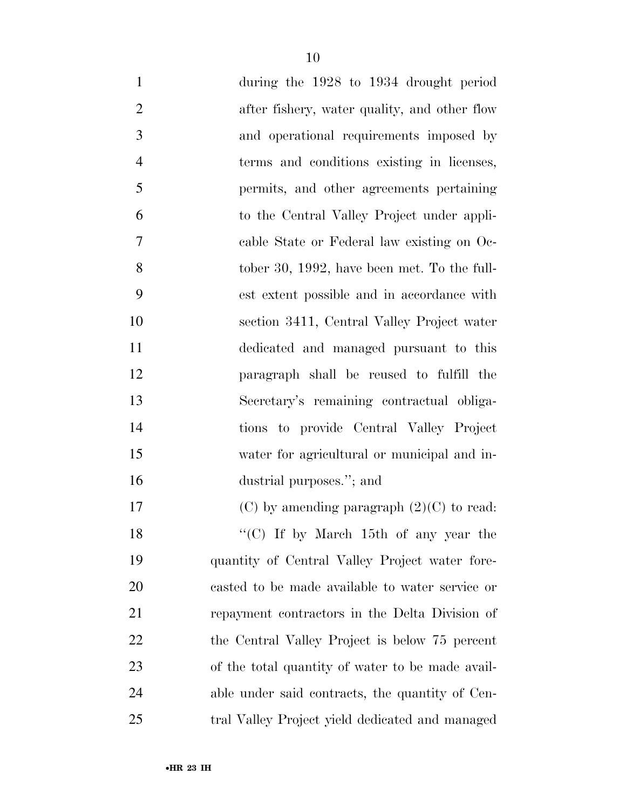| $\mathbf{1}$   | during the 1928 to 1934 drought period           |
|----------------|--------------------------------------------------|
| $\overline{2}$ | after fishery, water quality, and other flow     |
| 3              | and operational requirements imposed by          |
| $\overline{4}$ | terms and conditions existing in licenses,       |
| 5              | permits, and other agreements pertaining         |
| 6              | to the Central Valley Project under appli-       |
| $\overline{7}$ | cable State or Federal law existing on Oc-       |
| 8              | tober 30, 1992, have been met. To the full-      |
| 9              | est extent possible and in accordance with       |
| 10             | section 3411, Central Valley Project water       |
| 11             | dedicated and managed pursuant to this           |
| 12             | paragraph shall be reused to fulfill the         |
| 13             | Secretary's remaining contractual obliga-        |
| 14             | tions to provide Central Valley Project          |
| 15             | water for agricultural or municipal and in-      |
| 16             | dustrial purposes."; and                         |
| 17             | $(C)$ by amending paragraph $(2)(C)$ to read:    |
| 18             | "(C) If by March 15th of any year the            |
| 19             | quantity of Central Valley Project water fore-   |
| 20             | casted to be made available to water service or  |
| 21             | repayment contractors in the Delta Division of   |
| 22             | the Central Valley Project is below 75 percent   |
| 23             | of the total quantity of water to be made avail- |
| 24             | able under said contracts, the quantity of Cen-  |
| 25             | tral Valley Project yield dedicated and managed  |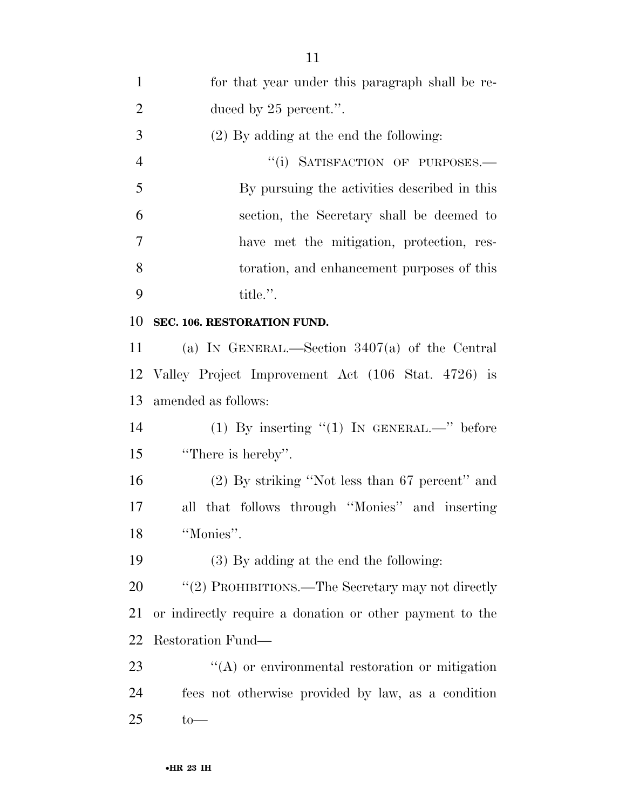| 1              | for that year under this paragraph shall be re-          |
|----------------|----------------------------------------------------------|
| $\overline{2}$ | duced by $25$ percent.".                                 |
| 3              | $(2)$ By adding at the end the following:                |
| $\overline{4}$ | "(i) SATISFACTION OF PURPOSES.-                          |
| 5              | By pursuing the activities described in this             |
| 6              | section, the Secretary shall be deemed to                |
| 7              | have met the mitigation, protection, res-                |
| 8              | toration, and enhancement purposes of this               |
| 9              | title.".                                                 |
| 10             | SEC. 106. RESTORATION FUND.                              |
| 11             | (a) IN GENERAL.—Section $3407(a)$ of the Central         |
| 12             | Valley Project Improvement Act (106 Stat. 4726) is       |
| 13             | amended as follows:                                      |
| 14             | (1) By inserting $"(1)$ IN GENERAL.—" before             |
| 15             | "There is hereby".                                       |
| 16             | $(2)$ By striking "Not less than 67 percent" and         |
| 17             | all that follows through "Monies" and inserting          |
| 18             | "Monies".                                                |
| 19             | (3) By adding at the end the following:                  |
| 20             | "(2) PROHIBITIONS.—The Secretary may not directly        |
| 21             | or indirectly require a donation or other payment to the |
| 22             | Restoration Fund—                                        |
| 23             | $\lq\lq$ or environmental restoration or mitigation      |
| 24             | fees not otherwise provided by law, as a condition       |
| 25             | $to-$                                                    |
|                |                                                          |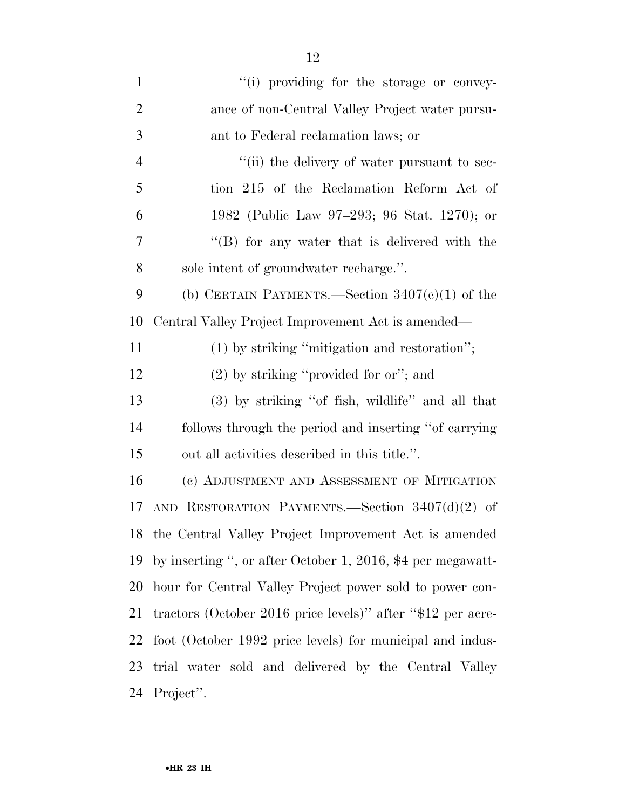| $\mathbf{1}$   | "(i) providing for the storage or convey-                   |
|----------------|-------------------------------------------------------------|
| $\overline{2}$ | ance of non-Central Valley Project water pursu-             |
| 3              | ant to Federal reclamation laws; or                         |
| 4              | "(ii) the delivery of water pursuant to sec-                |
| 5              | tion 215 of the Reclamation Reform Act of                   |
| 6              | 1982 (Public Law 97–293; 96 Stat. 1270); or                 |
| 7              | "(B) for any water that is delivered with the               |
| 8              | sole intent of groundwater recharge.".                      |
| 9              | (b) CERTAIN PAYMENTS.—Section $3407(c)(1)$ of the           |
| 10             | Central Valley Project Improvement Act is amended—          |
| 11             | $(1)$ by striking "mitigation and restoration";             |
| 12             | $(2)$ by striking "provided for or"; and                    |
| 13             | (3) by striking "of fish, wildlife" and all that            |
| 14             | follows through the period and inserting "of carrying"      |
| 15             | out all activities described in this title.".               |
| 16             | (c) ADJUSTMENT AND ASSESSMENT OF MITIGATION                 |
| 17             | AND RESTORATION PAYMENTS. Section $3407(d)(2)$ of           |
| 18             | the Central Valley Project Improvement Act is amended       |
| 19             | by inserting ", or after October 1, 2016, \$4 per megawatt- |
| 20             | hour for Central Valley Project power sold to power con-    |
| 21             | tractors (October 2016 price levels)" after "\$12 per acre- |
| 22             | foot (October 1992 price levels) for municipal and indus-   |
| 23             | trial water sold and delivered by the Central Valley        |
| 24             | Project".                                                   |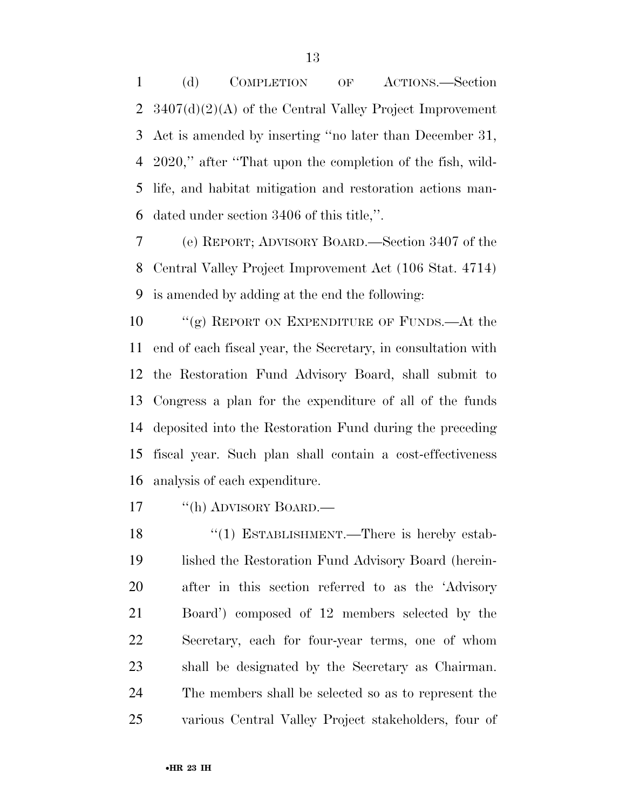(d) COMPLETION OF ACTIONS.—Section 3407(d)(2)(A) of the Central Valley Project Improvement Act is amended by inserting ''no later than December 31, 2020,'' after ''That upon the completion of the fish, wild- life, and habitat mitigation and restoration actions man-dated under section 3406 of this title,''.

 (e) REPORT; ADVISORY BOARD.—Section 3407 of the Central Valley Project Improvement Act (106 Stat. 4714) is amended by adding at the end the following:

10 "(g) REPORT ON EXPENDITURE OF FUNDS.—At the end of each fiscal year, the Secretary, in consultation with the Restoration Fund Advisory Board, shall submit to Congress a plan for the expenditure of all of the funds deposited into the Restoration Fund during the preceding fiscal year. Such plan shall contain a cost-effectiveness analysis of each expenditure.

17 "(h) ADVISORY BOARD.—

18 "(1) ESTABLISHMENT.—There is hereby estab- lished the Restoration Fund Advisory Board (herein- after in this section referred to as the 'Advisory Board') composed of 12 members selected by the Secretary, each for four-year terms, one of whom shall be designated by the Secretary as Chairman. The members shall be selected so as to represent the various Central Valley Project stakeholders, four of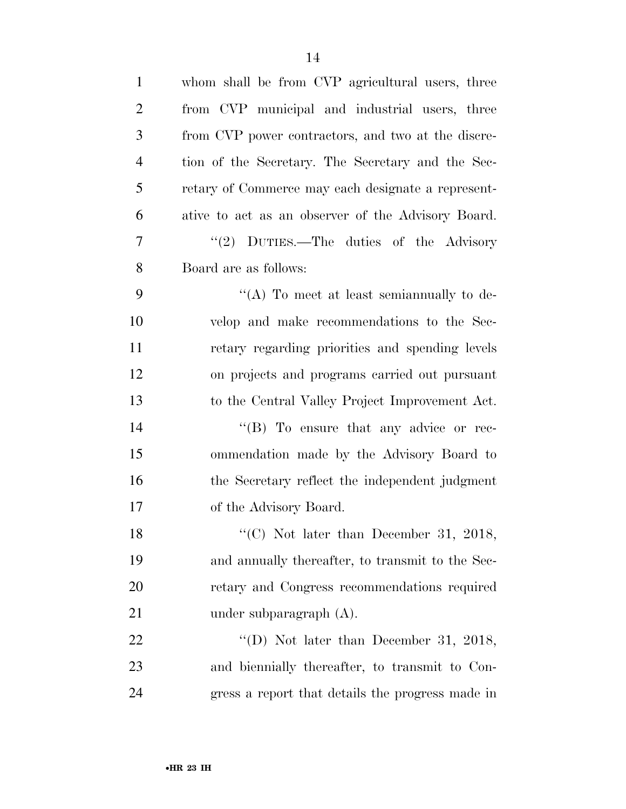| $\mathbf{1}$   | whom shall be from CVP agricultural users, three   |
|----------------|----------------------------------------------------|
| $\overline{2}$ | from CVP municipal and industrial users, three     |
| 3              | from CVP power contractors, and two at the discre- |
| $\overline{4}$ | tion of the Secretary. The Secretary and the Sec-  |
| 5              | retary of Commerce may each designate a represent- |
| 6              | ative to act as an observer of the Advisory Board. |
| 7              | "(2) DUTIES.—The duties of the Advisory            |
| 8              | Board are as follows:                              |
| 9              | "(A) To meet at least semian nually to de-         |
| 10             | velop and make recommendations to the Sec-         |
| 11             | retary regarding priorities and spending levels    |
| 12             | on projects and programs carried out pursuant      |
| 13             | to the Central Valley Project Improvement Act.     |
| 14             | "(B) To ensure that any advice or rec-             |
| 15             | ommendation made by the Advisory Board to          |
| 16             | the Secretary reflect the independent judgment     |
| 17             | of the Advisory Board.                             |
| 18             | "(C) Not later than December 31, 2018,             |
| 19             | and annually thereafter, to transmit to the Sec-   |
| 20             | retary and Congress recommendations required       |
| 21             | under subparagraph $(A)$ .                         |
| 22             | "(D) Not later than December 31, 2018,             |
| 23             | and biennially thereafter, to transmit to Con-     |
| 24             | gress a report that details the progress made in   |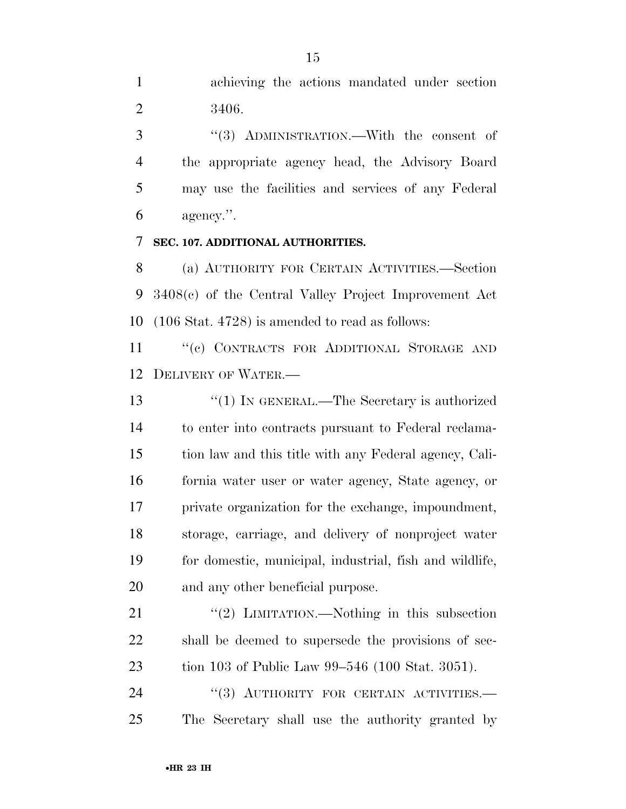3 "(3) ADMINISTRATION.—With the consent of the appropriate agency head, the Advisory Board may use the facilities and services of any Federal agency.''.

### **SEC. 107. ADDITIONAL AUTHORITIES.**

 (a) AUTHORITY FOR CERTAIN ACTIVITIES.—Section 3408(c) of the Central Valley Project Improvement Act (106 Stat. 4728) is amended to read as follows:

11 "(c) CONTRACTS FOR ADDITIONAL STORAGE AND DELIVERY OF WATER.—

 ''(1) IN GENERAL.—The Secretary is authorized to enter into contracts pursuant to Federal reclama- tion law and this title with any Federal agency, Cali- fornia water user or water agency, State agency, or private organization for the exchange, impoundment, storage, carriage, and delivery of nonproject water for domestic, municipal, industrial, fish and wildlife, and any other beneficial purpose.

21 "(2) LIMITATION.—Nothing in this subsection shall be deemed to supersede the provisions of sec-tion 103 of Public Law 99–546 (100 Stat. 3051).

24 "(3) AUTHORITY FOR CERTAIN ACTIVITIES. The Secretary shall use the authority granted by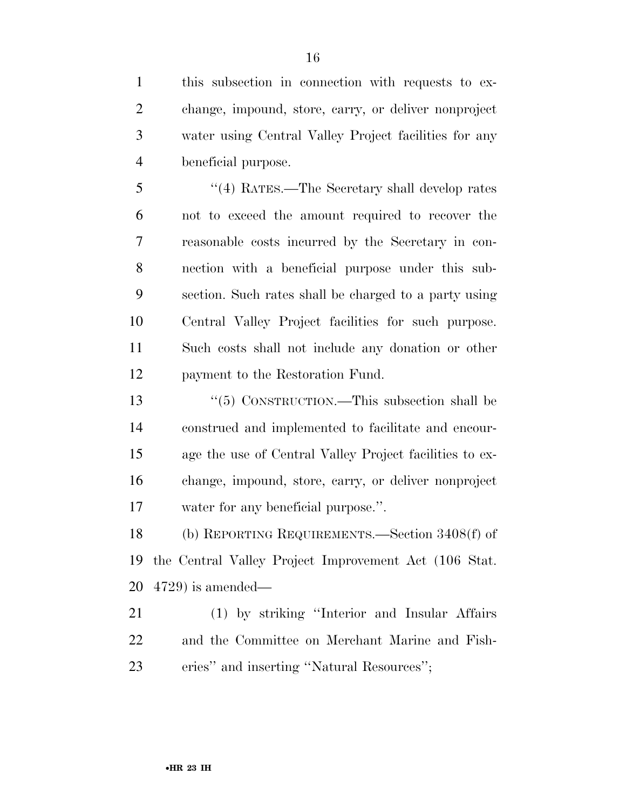this subsection in connection with requests to ex- change, impound, store, carry, or deliver nonproject water using Central Valley Project facilities for any beneficial purpose.

 ''(4) RATES.—The Secretary shall develop rates not to exceed the amount required to recover the reasonable costs incurred by the Secretary in con- nection with a beneficial purpose under this sub- section. Such rates shall be charged to a party using Central Valley Project facilities for such purpose. Such costs shall not include any donation or other payment to the Restoration Fund.

 ''(5) CONSTRUCTION.—This subsection shall be construed and implemented to facilitate and encour- age the use of Central Valley Project facilities to ex- change, impound, store, carry, or deliver nonproject water for any beneficial purpose.''.

 (b) REPORTING REQUIREMENTS.—Section 3408(f) of the Central Valley Project Improvement Act (106 Stat. 4729) is amended—

 (1) by striking ''Interior and Insular Affairs and the Committee on Merchant Marine and Fish-eries'' and inserting ''Natural Resources'';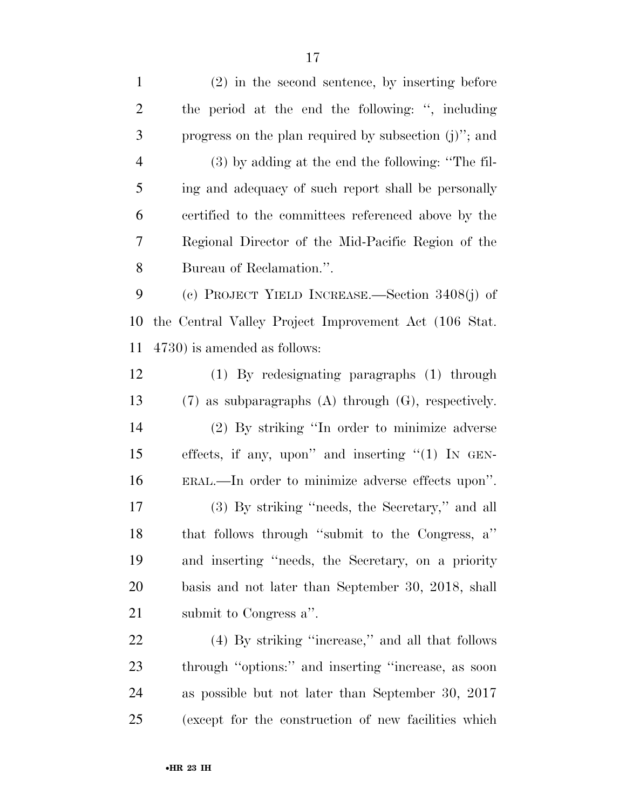(2) in the second sentence, by inserting before the period at the end the following: '', including progress on the plan required by subsection (j)''; and (3) by adding at the end the following: ''The fil- ing and adequacy of such report shall be personally certified to the committees referenced above by the Regional Director of the Mid-Pacific Region of the Bureau of Reclamation.''. (c) PROJECT YIELD INCREASE.—Section 3408(j) of the Central Valley Project Improvement Act (106 Stat. 4730) is amended as follows: (1) By redesignating paragraphs (1) through (7) as subparagraphs (A) through (G), respectively. (2) By striking ''In order to minimize adverse effects, if any, upon'' and inserting ''(1) IN GEN- ERAL.—In order to minimize adverse effects upon''. (3) By striking ''needs, the Secretary,'' and all that follows through ''submit to the Congress, a'' and inserting ''needs, the Secretary, on a priority basis and not later than September 30, 2018, shall submit to Congress a''. (4) By striking ''increase,'' and all that follows through ''options:'' and inserting ''increase, as soon as possible but not later than September 30, 2017

(except for the construction of new facilities which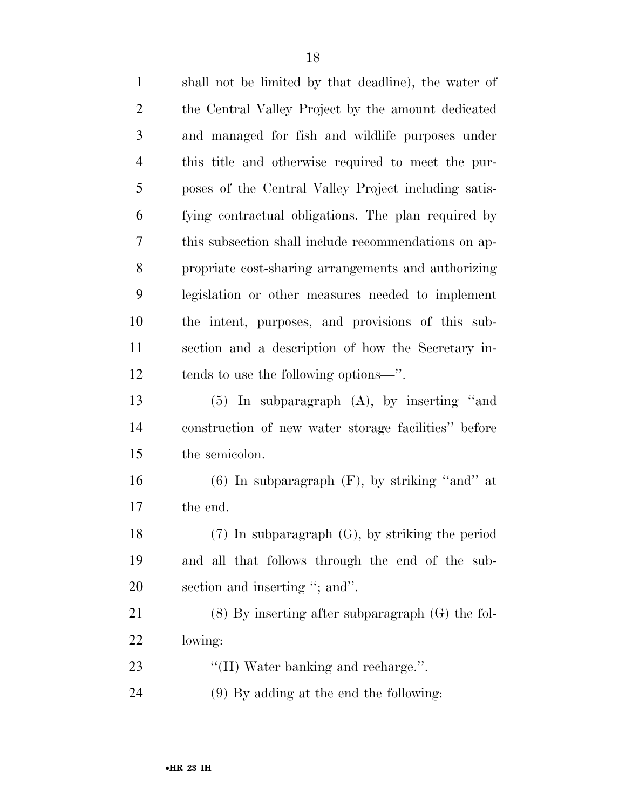| $\mathbf{1}$   | shall not be limited by that deadline), the water of |
|----------------|------------------------------------------------------|
| $\overline{2}$ | the Central Valley Project by the amount dedicated   |
| 3              | and managed for fish and wildlife purposes under     |
| $\overline{4}$ | this title and otherwise required to meet the pur-   |
| 5              | poses of the Central Valley Project including satis- |
| 6              | fying contractual obligations. The plan required by  |
| 7              | this subsection shall include recommendations on ap- |
| 8              | propriate cost-sharing arrangements and authorizing  |
| 9              | legislation or other measures needed to implement    |
| 10             | the intent, purposes, and provisions of this sub-    |
| 11             | section and a description of how the Secretary in-   |
| 12             | tends to use the following options—".                |
| 13             | $(5)$ In subparagraph $(A)$ , by inserting "and      |
| 14             | construction of new water storage facilities" before |
| 15             | the semicolon.                                       |
| 16             | $(6)$ In subparagraph $(F)$ , by striking "and" at   |
| 17             | the end.                                             |
| 18             | $(7)$ In subparagraph $(G)$ , by striking the period |
| 19             | and all that follows through the end of the sub-     |
| 20             | section and inserting "; and".                       |
| 21             | $(8)$ By inserting after subparagraph $(G)$ the fol- |
| 22             | lowing:                                              |
| 23             | "(H) Water banking and recharge.".                   |
| 24             | (9) By adding at the end the following:              |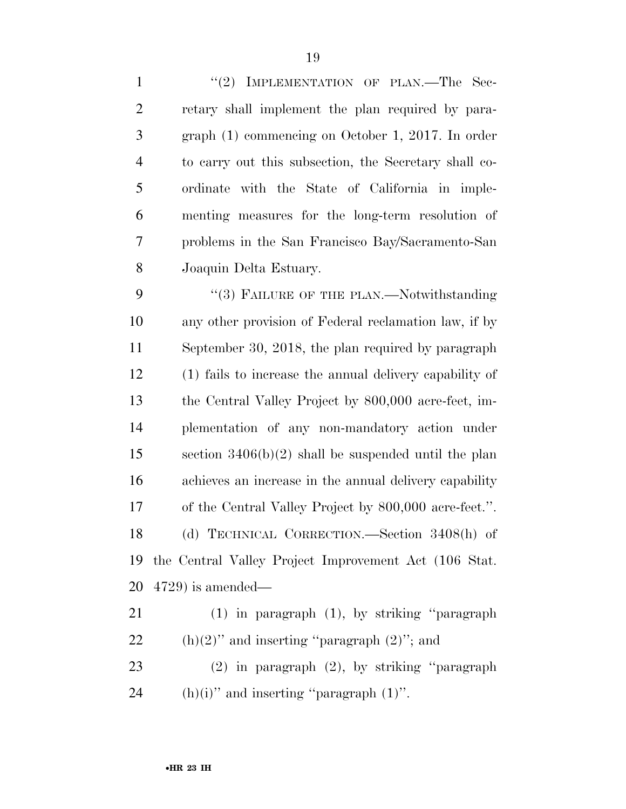1 "(2) IMPLEMENTATION OF PLAN.—The Sec- retary shall implement the plan required by para- graph (1) commencing on October 1, 2017. In order to carry out this subsection, the Secretary shall co- ordinate with the State of California in imple- menting measures for the long-term resolution of problems in the San Francisco Bay/Sacramento-San Joaquin Delta Estuary.

9 "(3) FAILURE OF THE PLAN.—Notwithstanding any other provision of Federal reclamation law, if by September 30, 2018, the plan required by paragraph (1) fails to increase the annual delivery capability of the Central Valley Project by 800,000 acre-feet, im- plementation of any non-mandatory action under section 3406(b)(2) shall be suspended until the plan achieves an increase in the annual delivery capability of the Central Valley Project by 800,000 acre-feet.''. (d) TECHNICAL CORRECTION.—Section 3408(h) of the Central Valley Project Improvement Act (106 Stat. 4729) is amended—

- (1) in paragraph (1), by striking ''paragraph 22 (h)(2)" and inserting "paragraph  $(2)$ "; and
- (2) in paragraph (2), by striking ''paragraph 24 (h)(i)" and inserting "paragraph  $(1)$ ".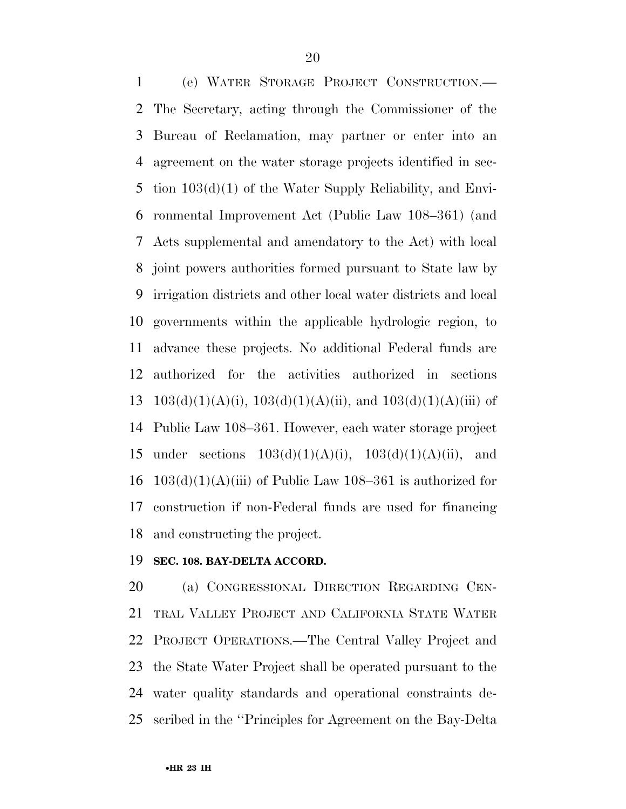(e) WATER STORAGE PROJECT CONSTRUCTION.— The Secretary, acting through the Commissioner of the Bureau of Reclamation, may partner or enter into an agreement on the water storage projects identified in sec- tion 103(d)(1) of the Water Supply Reliability, and Envi- ronmental Improvement Act (Public Law 108–361) (and Acts supplemental and amendatory to the Act) with local joint powers authorities formed pursuant to State law by irrigation districts and other local water districts and local governments within the applicable hydrologic region, to advance these projects. No additional Federal funds are authorized for the activities authorized in sections  $103(d)(1)(A)(i)$ ,  $103(d)(1)(A)(ii)$ , and  $103(d)(1)(A)(iii)$  of Public Law 108–361. However, each water storage project 15 under sections  $103(d)(1)(A)(i)$ ,  $103(d)(1)(A)(ii)$ , and  $103(d)(1)(A)(iii)$  of Public Law 108–361 is authorized for construction if non-Federal funds are used for financing and constructing the project.

#### **SEC. 108. BAY-DELTA ACCORD.**

 (a) CONGRESSIONAL DIRECTION REGARDING CEN- TRAL VALLEY PROJECT AND CALIFORNIA STATE WATER PROJECT OPERATIONS.—The Central Valley Project and the State Water Project shall be operated pursuant to the water quality standards and operational constraints de-scribed in the ''Principles for Agreement on the Bay-Delta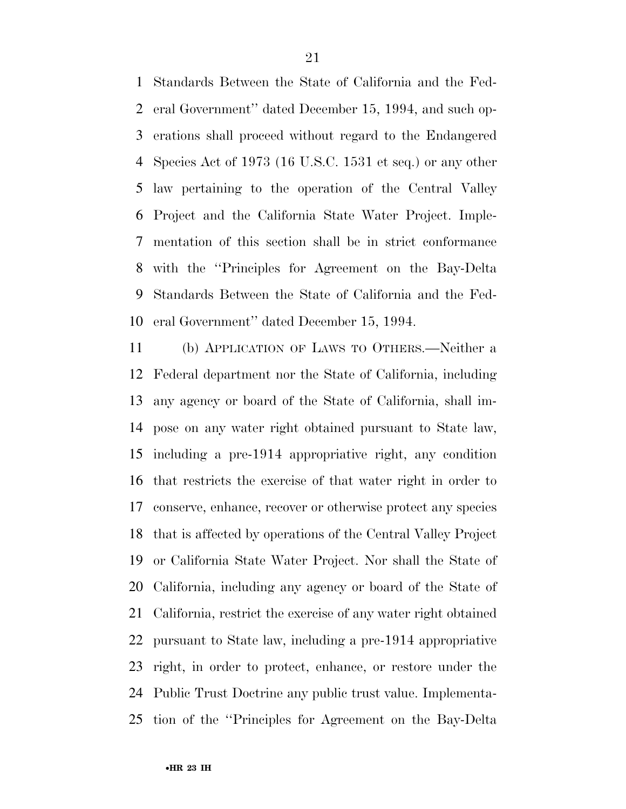Standards Between the State of California and the Fed- eral Government'' dated December 15, 1994, and such op- erations shall proceed without regard to the Endangered Species Act of 1973 (16 U.S.C. 1531 et seq.) or any other law pertaining to the operation of the Central Valley Project and the California State Water Project. Imple- mentation of this section shall be in strict conformance with the ''Principles for Agreement on the Bay-Delta Standards Between the State of California and the Fed-eral Government'' dated December 15, 1994.

 (b) APPLICATION OF LAWS TO OTHERS.—Neither a Federal department nor the State of California, including any agency or board of the State of California, shall im- pose on any water right obtained pursuant to State law, including a pre-1914 appropriative right, any condition that restricts the exercise of that water right in order to conserve, enhance, recover or otherwise protect any species that is affected by operations of the Central Valley Project or California State Water Project. Nor shall the State of California, including any agency or board of the State of California, restrict the exercise of any water right obtained pursuant to State law, including a pre-1914 appropriative right, in order to protect, enhance, or restore under the Public Trust Doctrine any public trust value. Implementa-tion of the ''Principles for Agreement on the Bay-Delta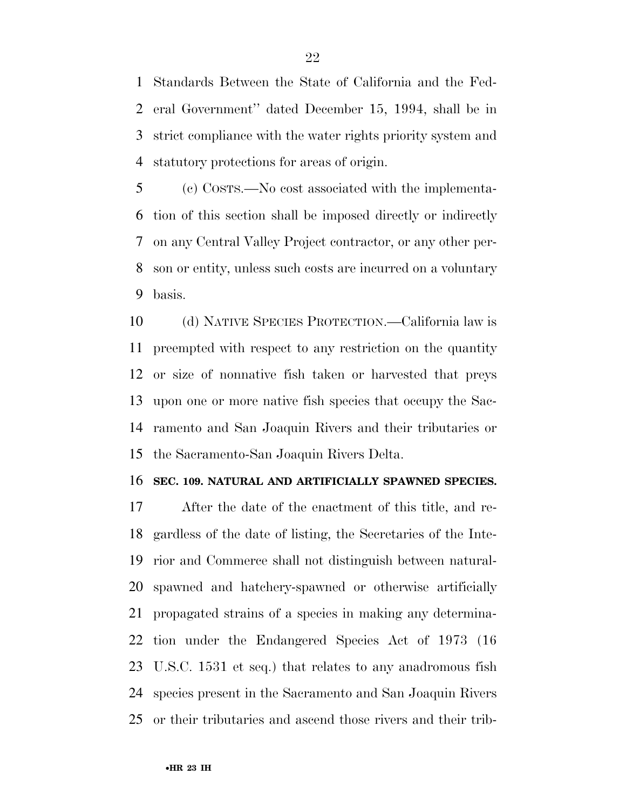Standards Between the State of California and the Fed- eral Government'' dated December 15, 1994, shall be in strict compliance with the water rights priority system and statutory protections for areas of origin.

 (c) COSTS.—No cost associated with the implementa- tion of this section shall be imposed directly or indirectly on any Central Valley Project contractor, or any other per- son or entity, unless such costs are incurred on a voluntary basis.

 (d) NATIVE SPECIES PROTECTION.—California law is preempted with respect to any restriction on the quantity or size of nonnative fish taken or harvested that preys upon one or more native fish species that occupy the Sac- ramento and San Joaquin Rivers and their tributaries or the Sacramento-San Joaquin Rivers Delta.

#### **SEC. 109. NATURAL AND ARTIFICIALLY SPAWNED SPECIES.**

 After the date of the enactment of this title, and re- gardless of the date of listing, the Secretaries of the Inte- rior and Commerce shall not distinguish between natural- spawned and hatchery-spawned or otherwise artificially propagated strains of a species in making any determina- tion under the Endangered Species Act of 1973 (16 U.S.C. 1531 et seq.) that relates to any anadromous fish species present in the Sacramento and San Joaquin Rivers or their tributaries and ascend those rivers and their trib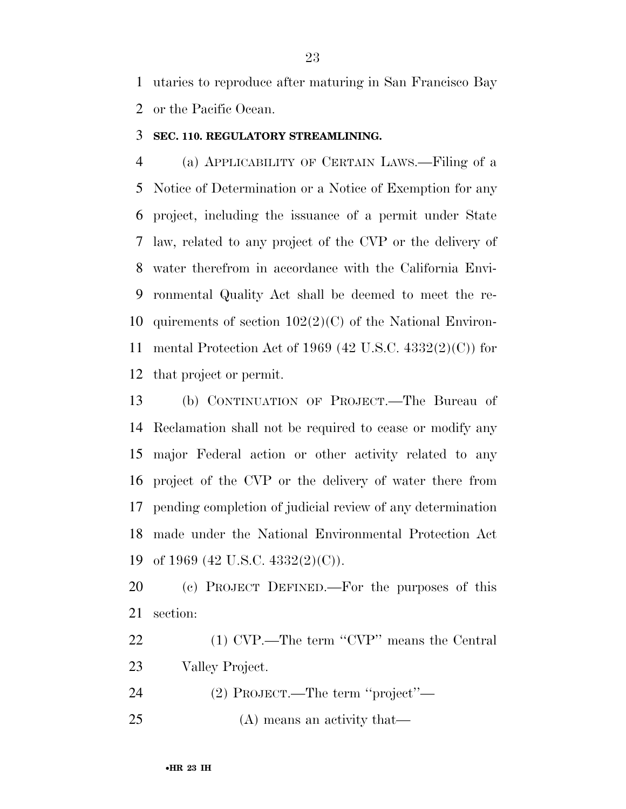utaries to reproduce after maturing in San Francisco Bay or the Pacific Ocean.

#### **SEC. 110. REGULATORY STREAMLINING.**

 (a) APPLICABILITY OF CERTAIN LAWS.—Filing of a Notice of Determination or a Notice of Exemption for any project, including the issuance of a permit under State law, related to any project of the CVP or the delivery of water therefrom in accordance with the California Envi- ronmental Quality Act shall be deemed to meet the re- quirements of section 102(2)(C) of the National Environ- mental Protection Act of 1969 (42 U.S.C. 4332(2)(C)) for that project or permit.

 (b) CONTINUATION OF PROJECT.—The Bureau of Reclamation shall not be required to cease or modify any major Federal action or other activity related to any project of the CVP or the delivery of water there from pending completion of judicial review of any determination made under the National Environmental Protection Act of 1969 (42 U.S.C. 4332(2)(C)).

 (c) PROJECT DEFINED.—For the purposes of this section:

22 (1) CVP.—The term "CVP" means the Central Valley Project.

(2) PROJECT.—The term ''project''—

(A) means an activity that—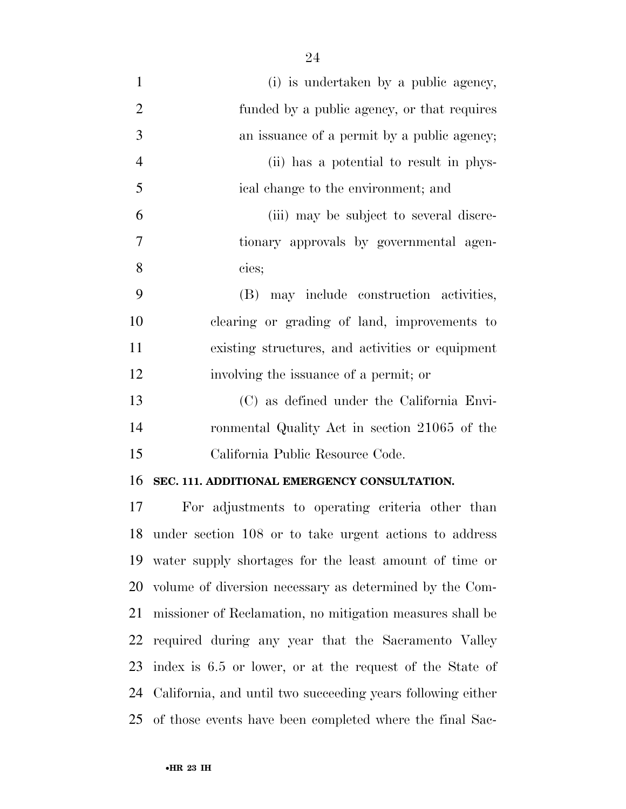| $\mathbf{1}$   | (i) is undertaken by a public agency,                       |
|----------------|-------------------------------------------------------------|
| $\overline{2}$ | funded by a public agency, or that requires                 |
| 3              | an issuance of a permit by a public agency;                 |
| $\overline{4}$ | (ii) has a potential to result in phys-                     |
| 5              | ical change to the environment; and                         |
| 6              | (iii) may be subject to several discre-                     |
| $\tau$         | tionary approvals by governmental agen-                     |
| 8              | cies;                                                       |
| 9              | (B) may include construction activities,                    |
| 10             | clearing or grading of land, improvements to                |
| 11             | existing structures, and activities or equipment            |
| 12             | involving the issuance of a permit; or                      |
| 13             | (C) as defined under the California Envi-                   |
| 14             | ronmental Quality Act in section 21065 of the               |
| 15             | California Public Resource Code.                            |
| 16             | SEC. 111. ADDITIONAL EMERGENCY CONSULTATION.                |
| 17             | For adjustments to operating criteria other than            |
| 18             | under section 108 or to take urgent actions to address      |
| 19             | water supply shortages for the least amount of time or      |
| 20             | volume of diversion necessary as determined by the Com-     |
| 21             | missioner of Reclamation, no mitigation measures shall be   |
| 22             | required during any year that the Sacramento Valley         |
| 23             | index is 6.5 or lower, or at the request of the State of    |
| 24             | California, and until two succeeding years following either |
| 25             | of those events have been completed where the final Sac-    |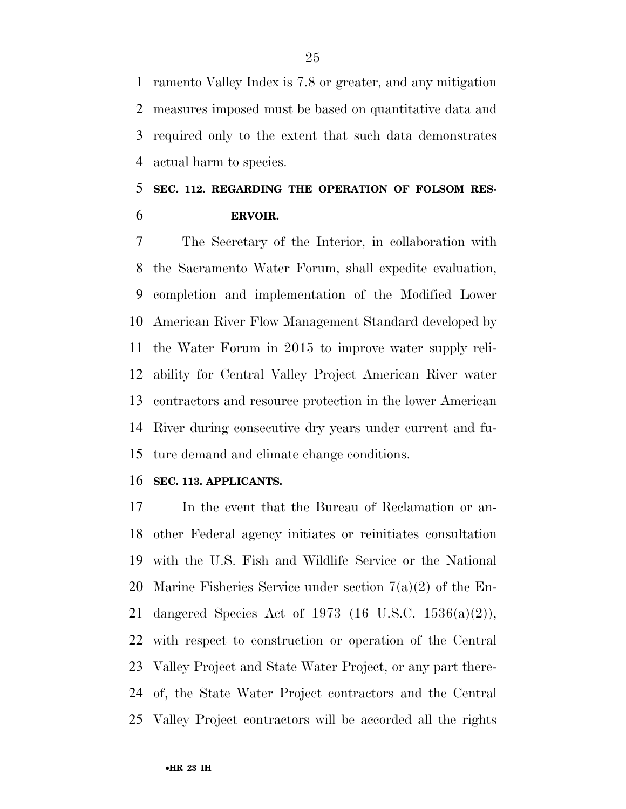ramento Valley Index is 7.8 or greater, and any mitigation measures imposed must be based on quantitative data and required only to the extent that such data demonstrates actual harm to species.

# **SEC. 112. REGARDING THE OPERATION OF FOLSOM RES-ERVOIR.**

 The Secretary of the Interior, in collaboration with the Sacramento Water Forum, shall expedite evaluation, completion and implementation of the Modified Lower American River Flow Management Standard developed by the Water Forum in 2015 to improve water supply reli- ability for Central Valley Project American River water contractors and resource protection in the lower American River during consecutive dry years under current and fu-ture demand and climate change conditions.

#### **SEC. 113. APPLICANTS.**

 In the event that the Bureau of Reclamation or an- other Federal agency initiates or reinitiates consultation with the U.S. Fish and Wildlife Service or the National Marine Fisheries Service under section 7(a)(2) of the En- dangered Species Act of 1973 (16 U.S.C. 1536(a)(2)), with respect to construction or operation of the Central Valley Project and State Water Project, or any part there- of, the State Water Project contractors and the Central Valley Project contractors will be accorded all the rights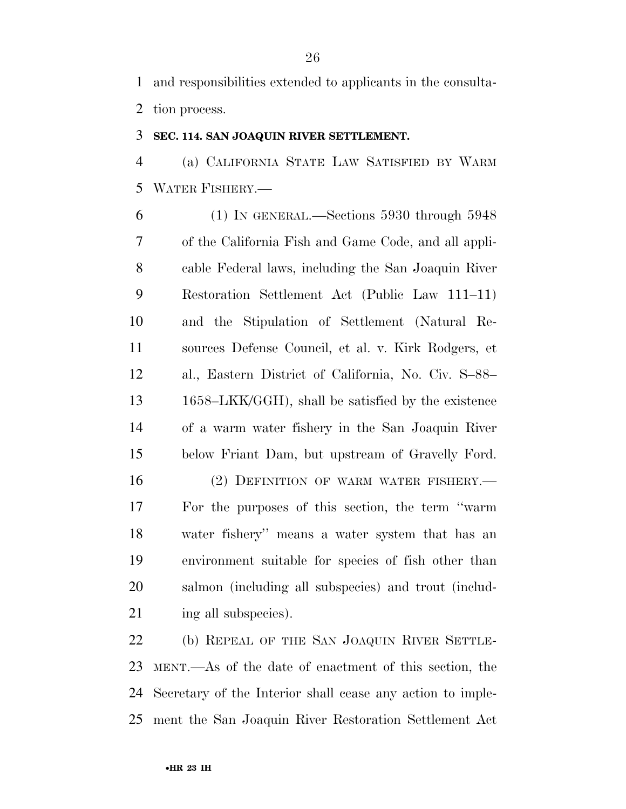and responsibilities extended to applicants in the consulta-tion process.

### **SEC. 114. SAN JOAQUIN RIVER SETTLEMENT.**

 (a) CALIFORNIA STATE LAW SATISFIED BY WARM WATER FISHERY.—

 (1) IN GENERAL.—Sections 5930 through 5948 of the California Fish and Game Code, and all appli- cable Federal laws, including the San Joaquin River Restoration Settlement Act (Public Law 111–11) and the Stipulation of Settlement (Natural Re- sources Defense Council, et al. v. Kirk Rodgers, et al., Eastern District of California, No. Civ. S–88– 1658–LKK/GGH), shall be satisfied by the existence of a warm water fishery in the San Joaquin River below Friant Dam, but upstream of Gravelly Ford.

16 (2) DEFINITION OF WARM WATER FISHERY. For the purposes of this section, the term ''warm water fishery'' means a water system that has an environment suitable for species of fish other than salmon (including all subspecies) and trout (includ-21 ing all subspecies).

 (b) REPEAL OF THE SAN JOAQUIN RIVER SETTLE- MENT.—As of the date of enactment of this section, the Secretary of the Interior shall cease any action to imple-ment the San Joaquin River Restoration Settlement Act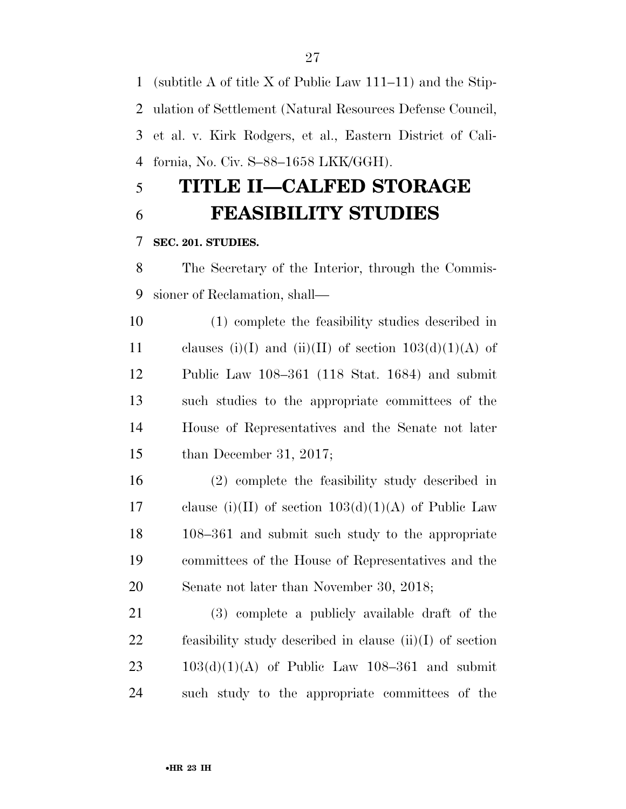(subtitle A of title X of Public Law 111–11) and the Stip- ulation of Settlement (Natural Resources Defense Council, et al. v. Kirk Rodgers, et al., Eastern District of Cali-fornia, No. Civ. S–88–1658 LKK/GGH).

# **TITLE II—CALFED STORAGE FEASIBILITY STUDIES**

## **SEC. 201. STUDIES.**

 The Secretary of the Interior, through the Commis-sioner of Reclamation, shall—

 (1) complete the feasibility studies described in 11 clauses (i)(I) and (ii)(II) of section  $103(d)(1)(A)$  of Public Law 108–361 (118 Stat. 1684) and submit such studies to the appropriate committees of the House of Representatives and the Senate not later than December 31, 2017;

 (2) complete the feasibility study described in 17 clause (i)(II) of section  $103(d)(1)(A)$  of Public Law 108–361 and submit such study to the appropriate committees of the House of Representatives and the Senate not later than November 30, 2018;

 (3) complete a publicly available draft of the feasibility study described in clause (ii)(I) of section  $23 \qquad 103(d)(1)(A)$  of Public Law 108–361 and submit such study to the appropriate committees of the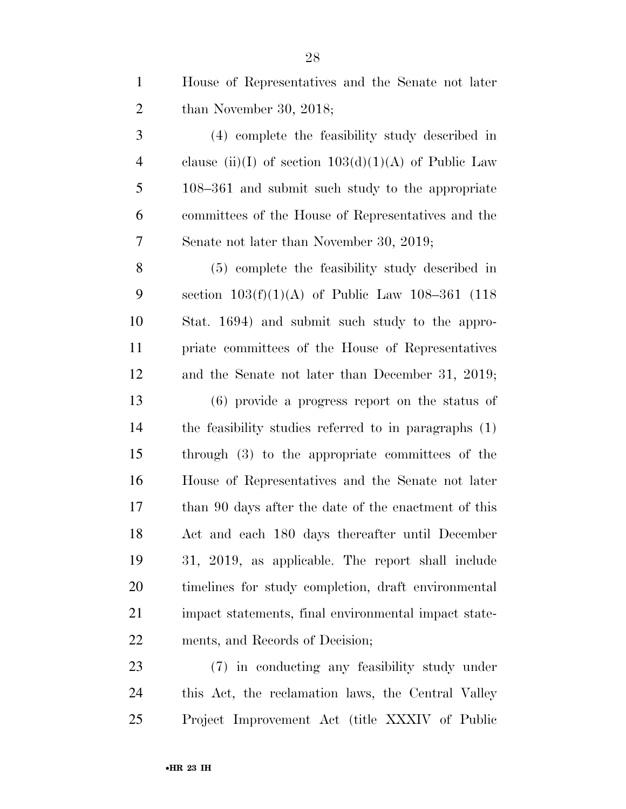House of Representatives and the Senate not later than November 30, 2018;

 (4) complete the feasibility study described in 4 clause (ii)(I) of section  $103(d)(1)(A)$  of Public Law 108–361 and submit such study to the appropriate committees of the House of Representatives and the Senate not later than November 30, 2019;

 (5) complete the feasibility study described in section 103(f)(1)(A) of Public Law 108–361 (118 Stat. 1694) and submit such study to the appro- priate committees of the House of Representatives and the Senate not later than December 31, 2019; (6) provide a progress report on the status of the feasibility studies referred to in paragraphs (1)

 through (3) to the appropriate committees of the House of Representatives and the Senate not later than 90 days after the date of the enactment of this Act and each 180 days thereafter until December 31, 2019, as applicable. The report shall include timelines for study completion, draft environmental 21 impact statements, final environmental impact state-ments, and Records of Decision;

 (7) in conducting any feasibility study under this Act, the reclamation laws, the Central Valley Project Improvement Act (title XXXIV of Public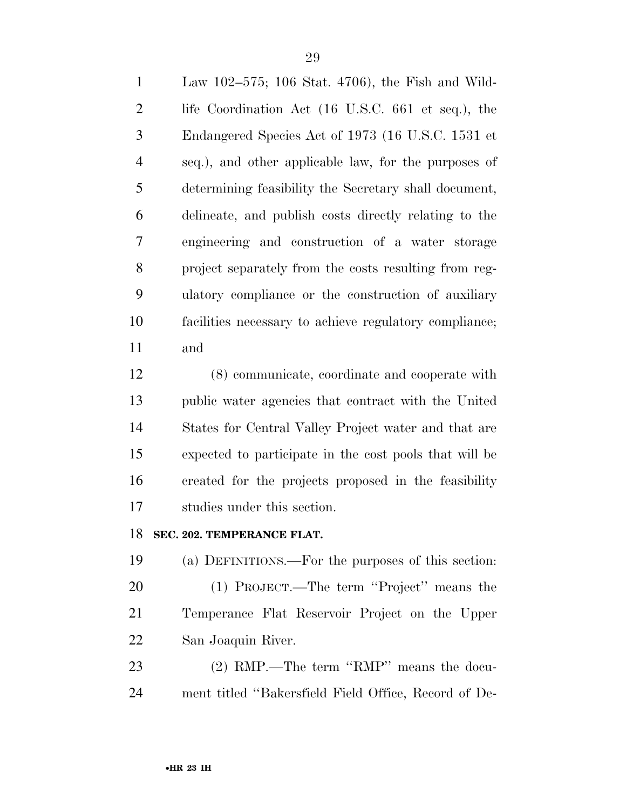Law 102–575; 106 Stat. 4706), the Fish and Wild- life Coordination Act (16 U.S.C. 661 et seq.), the Endangered Species Act of 1973 (16 U.S.C. 1531 et seq.), and other applicable law, for the purposes of determining feasibility the Secretary shall document, delineate, and publish costs directly relating to the engineering and construction of a water storage project separately from the costs resulting from reg- ulatory compliance or the construction of auxiliary facilities necessary to achieve regulatory compliance; and

 (8) communicate, coordinate and cooperate with public water agencies that contract with the United States for Central Valley Project water and that are expected to participate in the cost pools that will be created for the projects proposed in the feasibility studies under this section.

### **SEC. 202. TEMPERANCE FLAT.**

 (a) DEFINITIONS.—For the purposes of this section: (1) PROJECT.—The term ''Project'' means the Temperance Flat Reservoir Project on the Upper San Joaquin River.

 (2) RMP.—The term ''RMP'' means the docu-ment titled ''Bakersfield Field Office, Record of De-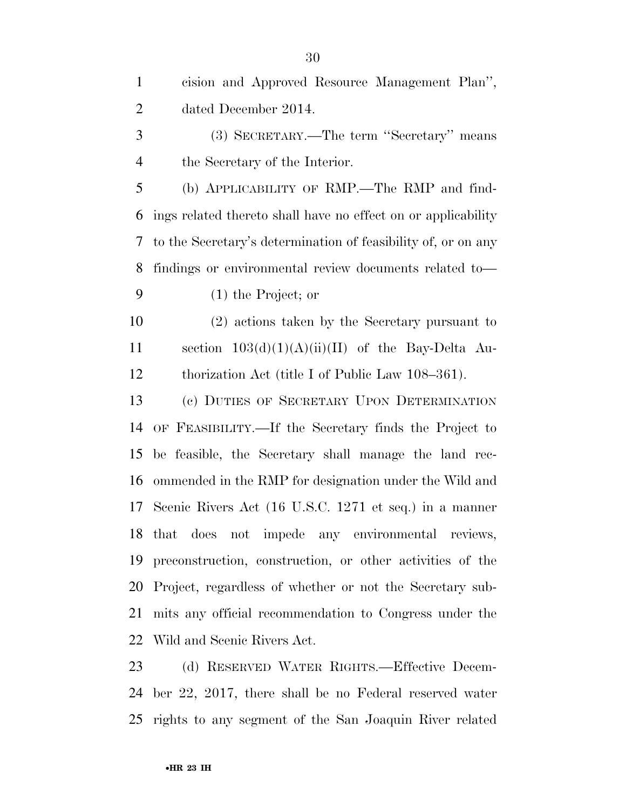| $\mathbf{1}$   | cision and Approved Resource Management Plan",                |
|----------------|---------------------------------------------------------------|
| $\overline{2}$ | dated December 2014.                                          |
| 3              | (3) SECRETARY.—The term "Secretary" means                     |
| $\overline{4}$ | the Secretary of the Interior.                                |
| 5              | (b) APPLICABILITY OF RMP.—The RMP and find-                   |
| 6              | ings related thereto shall have no effect on or applicability |
| 7              | to the Secretary's determination of feasibility of, or on any |
| 8              | findings or environmental review documents related to-        |
| 9              | $(1)$ the Project; or                                         |
| 10             | (2) actions taken by the Secretary pursuant to                |
| 11             | section $103(d)(1)(A)(ii)(II)$ of the Bay-Delta Au-           |
| 12             | thorization Act (title I of Public Law 108–361).              |
| 13             | (c) DUTIES OF SECRETARY UPON DETERMINATION                    |
| 14             | OF FEASIBILITY.—If the Secretary finds the Project to         |
| 15             | be feasible, the Secretary shall manage the land rec-         |
| 16             | ommended in the RMP for designation under the Wild and        |
| 17             | Scenic Rivers Act (16 U.S.C. 1271 et seq.) in a manner        |
|                | 18 that does not impede any environmental reviews,            |
| 19             | preconstruction, construction, or other activities of the     |
|                | 20 Project, regardless of whether or not the Secretary sub-   |
| 21             | mits any official recommendation to Congress under the        |
| 22             | Wild and Scenic Rivers Act.                                   |
| 23             | (d) RESERVED WATER RIGHTS.—Effective Decem-                   |

 ber 22, 2017, there shall be no Federal reserved water rights to any segment of the San Joaquin River related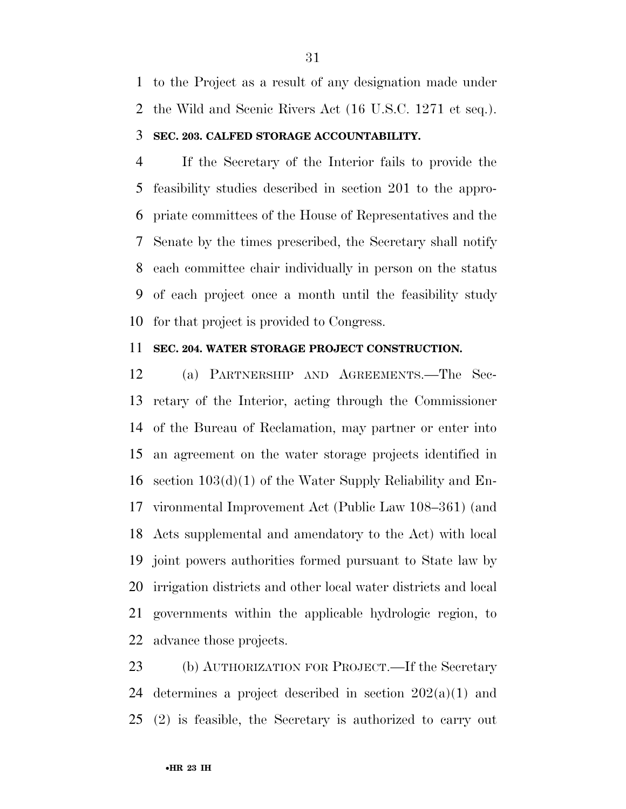to the Project as a result of any designation made under the Wild and Scenic Rivers Act (16 U.S.C. 1271 et seq.).

### **SEC. 203. CALFED STORAGE ACCOUNTABILITY.**

 If the Secretary of the Interior fails to provide the feasibility studies described in section 201 to the appro- priate committees of the House of Representatives and the Senate by the times prescribed, the Secretary shall notify each committee chair individually in person on the status of each project once a month until the feasibility study for that project is provided to Congress.

#### **SEC. 204. WATER STORAGE PROJECT CONSTRUCTION.**

 (a) PARTNERSHIP AND AGREEMENTS.—The Sec- retary of the Interior, acting through the Commissioner of the Bureau of Reclamation, may partner or enter into an agreement on the water storage projects identified in section 103(d)(1) of the Water Supply Reliability and En- vironmental Improvement Act (Public Law 108–361) (and Acts supplemental and amendatory to the Act) with local joint powers authorities formed pursuant to State law by irrigation districts and other local water districts and local governments within the applicable hydrologic region, to advance those projects.

 (b) AUTHORIZATION FOR PROJECT.—If the Secretary 24 determines a project described in section  $202(a)(1)$  and (2) is feasible, the Secretary is authorized to carry out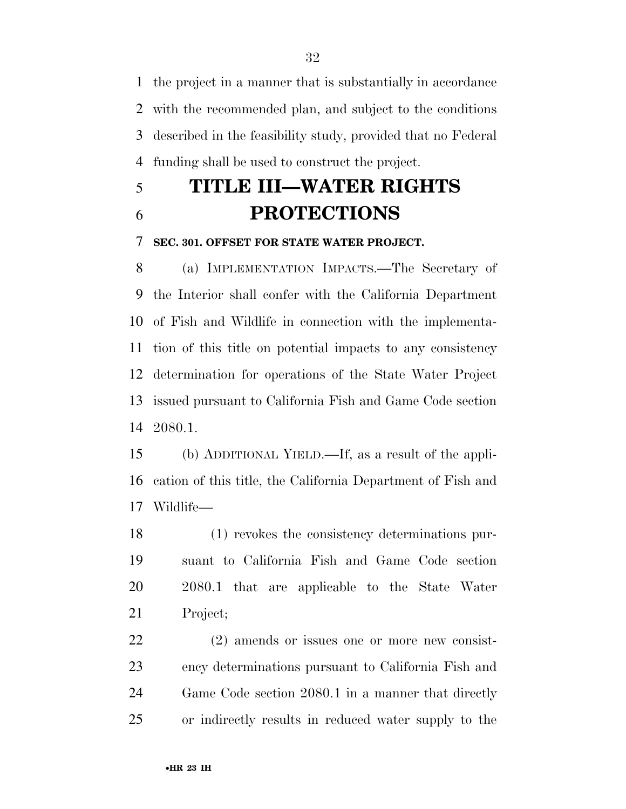the project in a manner that is substantially in accordance with the recommended plan, and subject to the conditions described in the feasibility study, provided that no Federal funding shall be used to construct the project.

# **TITLE III—WATER RIGHTS PROTECTIONS**

**SEC. 301. OFFSET FOR STATE WATER PROJECT.** 

 (a) IMPLEMENTATION IMPACTS.—The Secretary of the Interior shall confer with the California Department of Fish and Wildlife in connection with the implementa- tion of this title on potential impacts to any consistency determination for operations of the State Water Project issued pursuant to California Fish and Game Code section 2080.1.

 (b) ADDITIONAL YIELD.—If, as a result of the appli- cation of this title, the California Department of Fish and Wildlife—

 (1) revokes the consistency determinations pur- suant to California Fish and Game Code section 2080.1 that are applicable to the State Water Project;

 (2) amends or issues one or more new consist- ency determinations pursuant to California Fish and Game Code section 2080.1 in a manner that directly or indirectly results in reduced water supply to the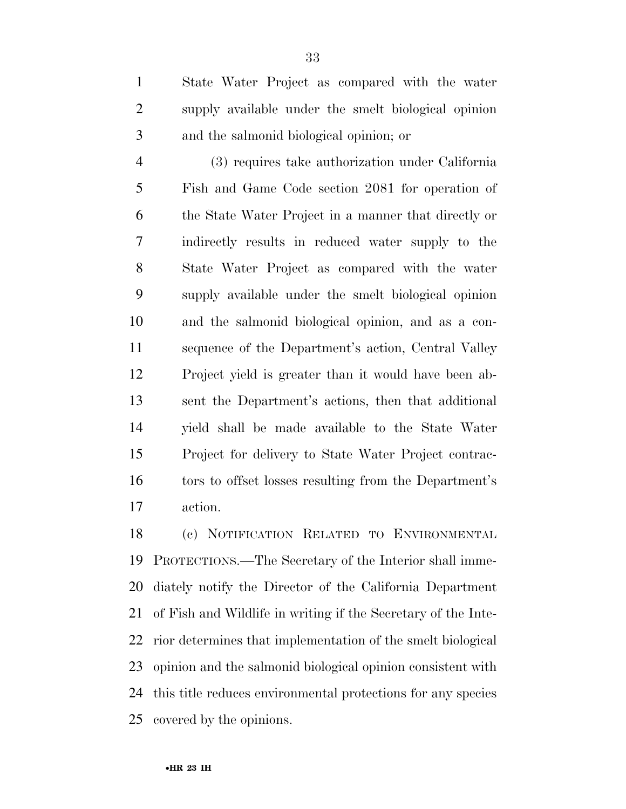State Water Project as compared with the water supply available under the smelt biological opinion and the salmonid biological opinion; or

 (3) requires take authorization under California Fish and Game Code section 2081 for operation of the State Water Project in a manner that directly or indirectly results in reduced water supply to the State Water Project as compared with the water supply available under the smelt biological opinion and the salmonid biological opinion, and as a con- sequence of the Department's action, Central Valley Project yield is greater than it would have been ab- sent the Department's actions, then that additional yield shall be made available to the State Water Project for delivery to State Water Project contrac- tors to offset losses resulting from the Department's action.

 (c) NOTIFICATION RELATED TO ENVIRONMENTAL PROTECTIONS.—The Secretary of the Interior shall imme- diately notify the Director of the California Department of Fish and Wildlife in writing if the Secretary of the Inte- rior determines that implementation of the smelt biological opinion and the salmonid biological opinion consistent with this title reduces environmental protections for any species covered by the opinions.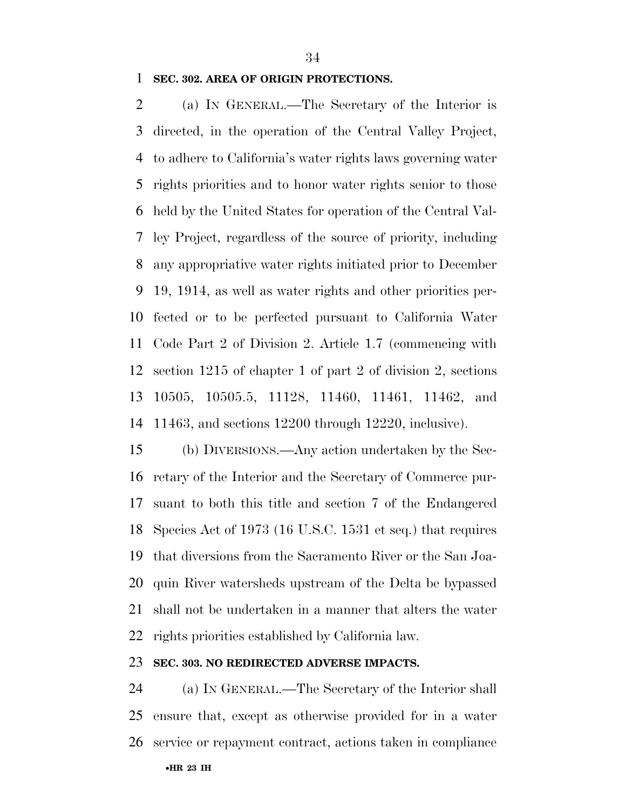#### **SEC. 302. AREA OF ORIGIN PROTECTIONS.**

 (a) IN GENERAL.—The Secretary of the Interior is directed, in the operation of the Central Valley Project, to adhere to California's water rights laws governing water rights priorities and to honor water rights senior to those held by the United States for operation of the Central Val- ley Project, regardless of the source of priority, including any appropriative water rights initiated prior to December 19, 1914, as well as water rights and other priorities per- fected or to be perfected pursuant to California Water Code Part 2 of Division 2. Article 1.7 (commencing with section 1215 of chapter 1 of part 2 of division 2, sections 10505, 10505.5, 11128, 11460, 11461, 11462, and 11463, and sections 12200 through 12220, inclusive).

 (b) DIVERSIONS.—Any action undertaken by the Sec- retary of the Interior and the Secretary of Commerce pur- suant to both this title and section 7 of the Endangered Species Act of 1973 (16 U.S.C. 1531 et seq.) that requires that diversions from the Sacramento River or the San Joa- quin River watersheds upstream of the Delta be bypassed shall not be undertaken in a manner that alters the water rights priorities established by California law.

### **SEC. 303. NO REDIRECTED ADVERSE IMPACTS.**

 (a) IN GENERAL.—The Secretary of the Interior shall ensure that, except as otherwise provided for in a water service or repayment contract, actions taken in compliance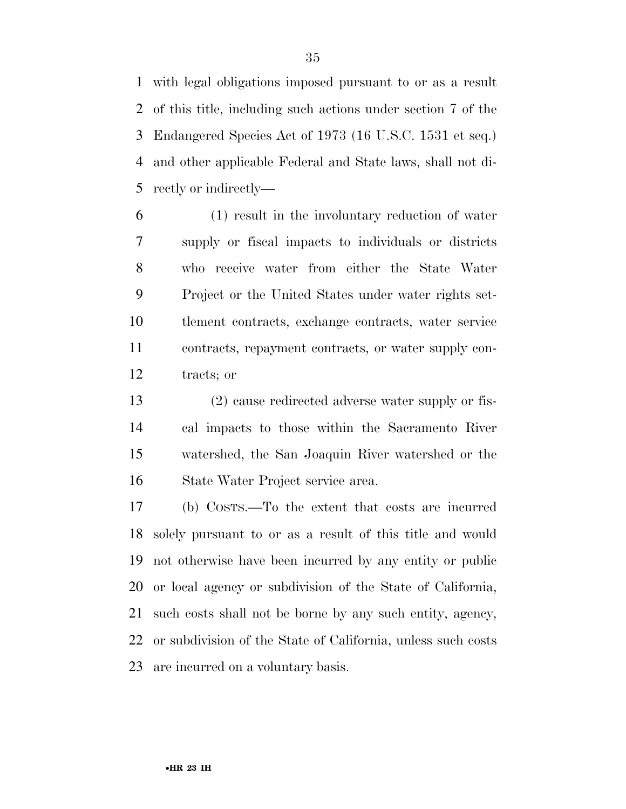with legal obligations imposed pursuant to or as a result of this title, including such actions under section 7 of the Endangered Species Act of 1973 (16 U.S.C. 1531 et seq.) and other applicable Federal and State laws, shall not di-rectly or indirectly—

 (1) result in the involuntary reduction of water supply or fiscal impacts to individuals or districts who receive water from either the State Water Project or the United States under water rights set- tlement contracts, exchange contracts, water service contracts, repayment contracts, or water supply con-tracts; or

 (2) cause redirected adverse water supply or fis- cal impacts to those within the Sacramento River watershed, the San Joaquin River watershed or the State Water Project service area.

 (b) COSTS.—To the extent that costs are incurred solely pursuant to or as a result of this title and would not otherwise have been incurred by any entity or public or local agency or subdivision of the State of California, such costs shall not be borne by any such entity, agency, or subdivision of the State of California, unless such costs are incurred on a voluntary basis.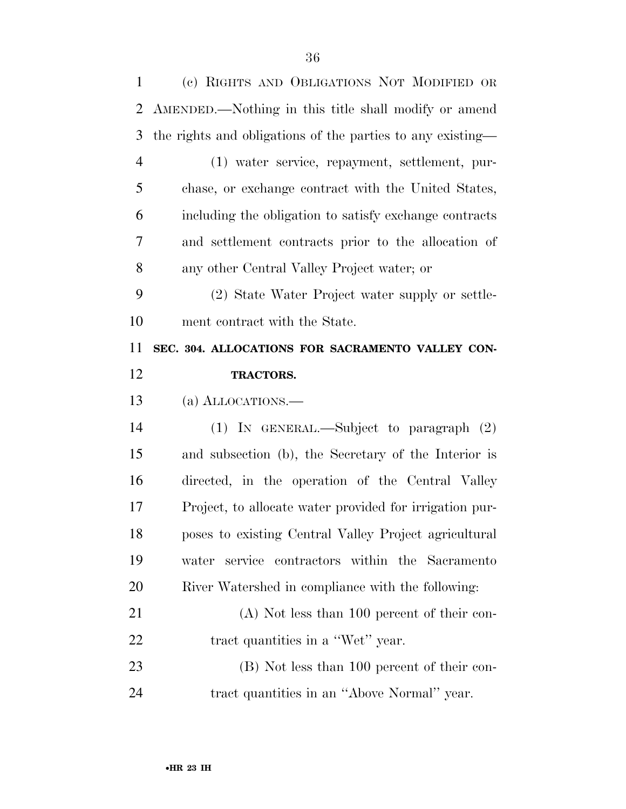| 1              | (c) RIGHTS AND OBLIGATIONS NOT MODIFIED OR                 |
|----------------|------------------------------------------------------------|
| 2              | AMENDED.—Nothing in this title shall modify or amend       |
| 3              | the rights and obligations of the parties to any existing— |
| $\overline{4}$ | (1) water service, repayment, settlement, pur-             |
| 5              | chase, or exchange contract with the United States,        |
| 6              | including the obligation to satisfy exchange contracts     |
| 7              | and settlement contracts prior to the allocation of        |
| 8              | any other Central Valley Project water; or                 |
| 9              | (2) State Water Project water supply or settle-            |
| 10             | ment contract with the State.                              |
| 11             | SEC. 304. ALLOCATIONS FOR SACRAMENTO VALLEY CON-           |
| 12             | TRACTORS.                                                  |
|                |                                                            |
| 13             | (a) ALLOCATIONS.—                                          |
| 14             | (1) IN GENERAL.—Subject to paragraph (2)                   |
| 15             | and subsection (b), the Secretary of the Interior is       |
| 16             | directed, in the operation of the Central Valley           |
| 17             | Project, to allocate water provided for irrigation pur-    |
| 18             | poses to existing Central Valley Project agricultural      |
| 19             | water service contractors within the Sacramento            |
| 20             | River Watershed in compliance with the following:          |
| 21             | $(A)$ Not less than 100 percent of their con-              |
| 22             | tract quantities in a "Wet" year.                          |
| 23             | (B) Not less than 100 percent of their con-                |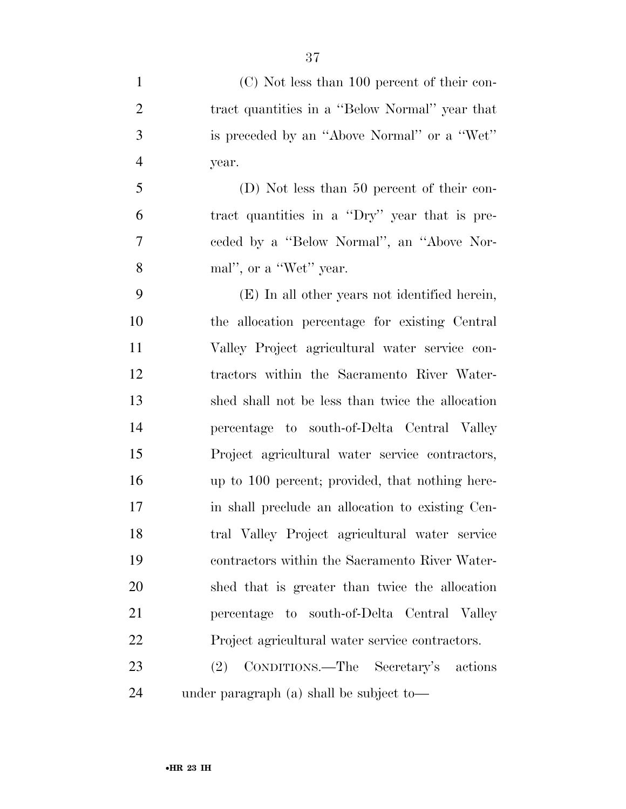(C) Not less than 100 percent of their con- tract quantities in a ''Below Normal'' year that is preceded by an ''Above Normal'' or a ''Wet'' year. (D) Not less than 50 percent of their con- tract quantities in a ''Dry'' year that is pre- ceded by a ''Below Normal'', an ''Above Nor- mal'', or a ''Wet'' year. (E) In all other years not identified herein, the allocation percentage for existing Central Valley Project agricultural water service con- tractors within the Sacramento River Water- shed shall not be less than twice the allocation percentage to south-of-Delta Central Valley Project agricultural water service contractors, up to 100 percent; provided, that nothing here- in shall preclude an allocation to existing Cen- tral Valley Project agricultural water service contractors within the Sacramento River Water- shed that is greater than twice the allocation percentage to south-of-Delta Central Valley Project agricultural water service contractors. (2) CONDITIONS.—The Secretary's actions

under paragraph (a) shall be subject to—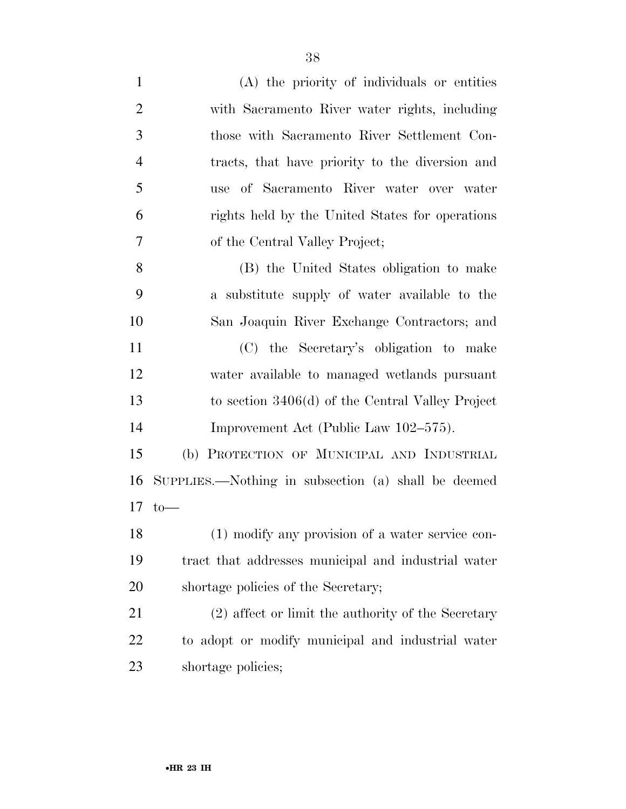(A) the priority of individuals or entities with Sacramento River water rights, including those with Sacramento River Settlement Con- tracts, that have priority to the diversion and use of Sacramento River water over water rights held by the United States for operations of the Central Valley Project; (B) the United States obligation to make a substitute supply of water available to the San Joaquin River Exchange Contractors; and (C) the Secretary's obligation to make water available to managed wetlands pursuant to section 3406(d) of the Central Valley Project Improvement Act (Public Law 102–575). (b) PROTECTION OF MUNICIPAL AND INDUSTRIAL SUPPLIES.—Nothing in subsection (a) shall be deemed to—

 (1) modify any provision of a water service con- tract that addresses municipal and industrial water shortage policies of the Secretary;

 (2) affect or limit the authority of the Secretary to adopt or modify municipal and industrial water shortage policies;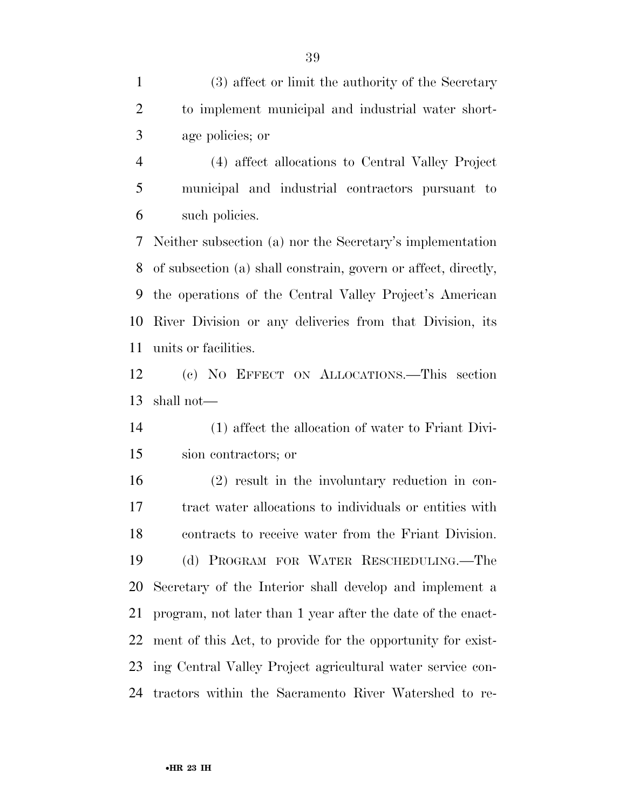(3) affect or limit the authority of the Secretary to implement municipal and industrial water short-age policies; or

 (4) affect allocations to Central Valley Project municipal and industrial contractors pursuant to such policies.

 Neither subsection (a) nor the Secretary's implementation of subsection (a) shall constrain, govern or affect, directly, the operations of the Central Valley Project's American River Division or any deliveries from that Division, its units or facilities.

 (c) NO EFFECT ON ALLOCATIONS.—This section shall not—

 (1) affect the allocation of water to Friant Divi-sion contractors; or

 (2) result in the involuntary reduction in con- tract water allocations to individuals or entities with contracts to receive water from the Friant Division. (d) PROGRAM FOR WATER RESCHEDULING.—The Secretary of the Interior shall develop and implement a program, not later than 1 year after the date of the enact- ment of this Act, to provide for the opportunity for exist- ing Central Valley Project agricultural water service con-tractors within the Sacramento River Watershed to re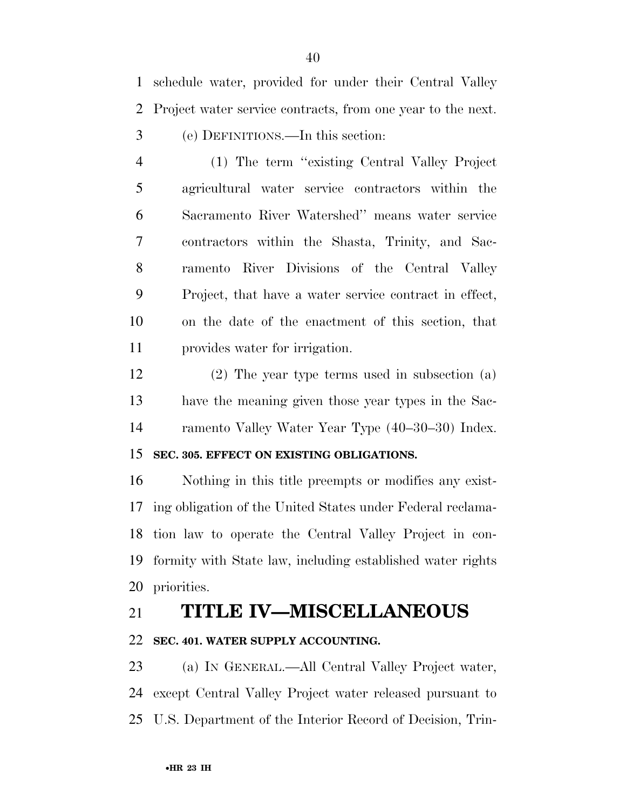schedule water, provided for under their Central Valley Project water service contracts, from one year to the next. (e) DEFINITIONS.—In this section:

 (1) The term ''existing Central Valley Project agricultural water service contractors within the Sacramento River Watershed'' means water service contractors within the Shasta, Trinity, and Sac- ramento River Divisions of the Central Valley Project, that have a water service contract in effect, on the date of the enactment of this section, that provides water for irrigation.

 (2) The year type terms used in subsection (a) have the meaning given those year types in the Sac-ramento Valley Water Year Type (40–30–30) Index.

#### **SEC. 305. EFFECT ON EXISTING OBLIGATIONS.**

 Nothing in this title preempts or modifies any exist- ing obligation of the United States under Federal reclama- tion law to operate the Central Valley Project in con- formity with State law, including established water rights priorities.

## **TITLE IV—MISCELLANEOUS**

#### **SEC. 401. WATER SUPPLY ACCOUNTING.**

 (a) IN GENERAL.—All Central Valley Project water, except Central Valley Project water released pursuant to U.S. Department of the Interior Record of Decision, Trin-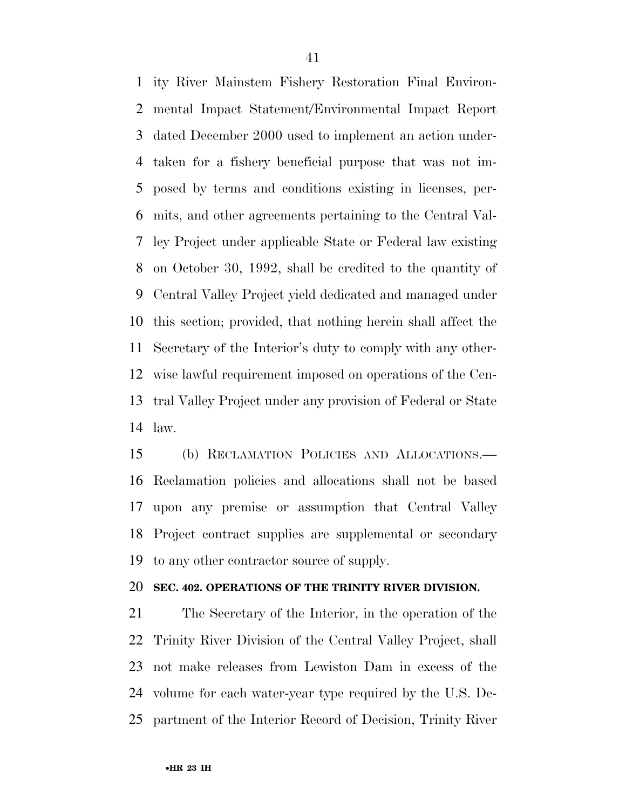ity River Mainstem Fishery Restoration Final Environ- mental Impact Statement/Environmental Impact Report dated December 2000 used to implement an action under- taken for a fishery beneficial purpose that was not im- posed by terms and conditions existing in licenses, per- mits, and other agreements pertaining to the Central Val- ley Project under applicable State or Federal law existing on October 30, 1992, shall be credited to the quantity of Central Valley Project yield dedicated and managed under this section; provided, that nothing herein shall affect the Secretary of the Interior's duty to comply with any other- wise lawful requirement imposed on operations of the Cen- tral Valley Project under any provision of Federal or State law.

 (b) RECLAMATION POLICIES AND ALLOCATIONS.— Reclamation policies and allocations shall not be based upon any premise or assumption that Central Valley Project contract supplies are supplemental or secondary to any other contractor source of supply.

#### **SEC. 402. OPERATIONS OF THE TRINITY RIVER DIVISION.**

 The Secretary of the Interior, in the operation of the Trinity River Division of the Central Valley Project, shall not make releases from Lewiston Dam in excess of the volume for each water-year type required by the U.S. De-partment of the Interior Record of Decision, Trinity River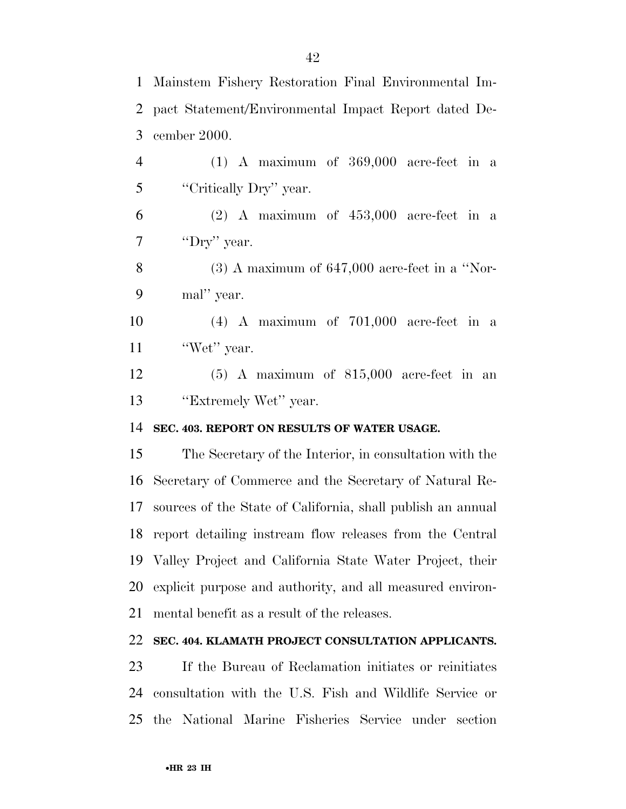Mainstem Fishery Restoration Final Environmental Im- pact Statement/Environmental Impact Report dated De- cember 2000. (1) A maximum of 369,000 acre-feet in a 5 "Critically Dry" year. (2) A maximum of  $453,000$  acre-feet in a 7 'Dry'' year. (3) A maximum of 647,000 acre-feet in a ''Nor- mal'' year. (4) A maximum of 701,000 acre-feet in a 11 'Wet'' year. (5) A maximum of 815,000 acre-feet in an 13 "Extremely Wet" year. **SEC. 403. REPORT ON RESULTS OF WATER USAGE.**  The Secretary of the Interior, in consultation with the Secretary of Commerce and the Secretary of Natural Re- sources of the State of California, shall publish an annual report detailing instream flow releases from the Central Valley Project and California State Water Project, their explicit purpose and authority, and all measured environ- mental benefit as a result of the releases. **SEC. 404. KLAMATH PROJECT CONSULTATION APPLICANTS.**  If the Bureau of Reclamation initiates or reinitiates

 consultation with the U.S. Fish and Wildlife Service or the National Marine Fisheries Service under section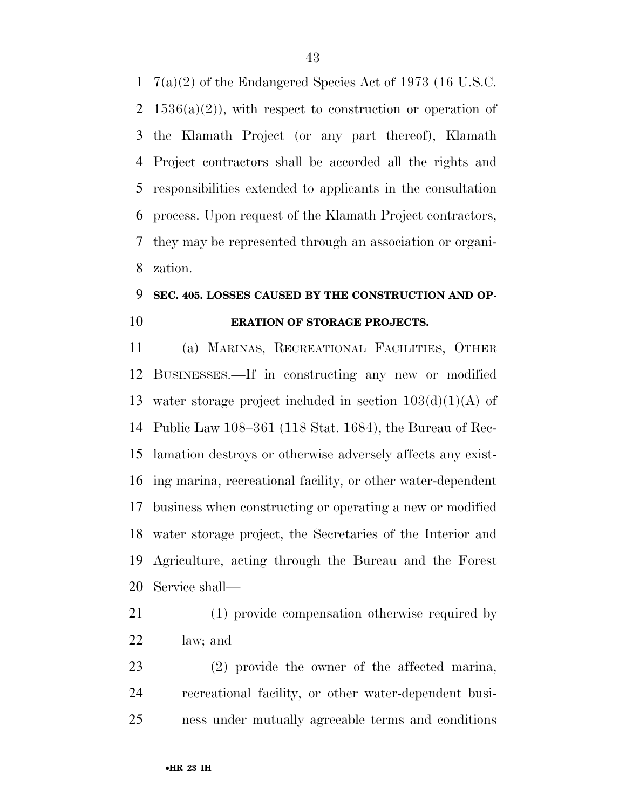7(a)(2) of the Endangered Species Act of 1973 (16 U.S.C. 2 1536(a)(2)), with respect to construction or operation of the Klamath Project (or any part thereof), Klamath Project contractors shall be accorded all the rights and responsibilities extended to applicants in the consultation process. Upon request of the Klamath Project contractors, they may be represented through an association or organi-zation.

### **SEC. 405. LOSSES CAUSED BY THE CONSTRUCTION AND OP-ERATION OF STORAGE PROJECTS.**

 (a) MARINAS, RECREATIONAL FACILITIES, OTHER BUSINESSES.—If in constructing any new or modified 13 water storage project included in section  $103(d)(1)(A)$  of Public Law 108–361 (118 Stat. 1684), the Bureau of Rec- lamation destroys or otherwise adversely affects any exist- ing marina, recreational facility, or other water-dependent business when constructing or operating a new or modified water storage project, the Secretaries of the Interior and Agriculture, acting through the Bureau and the Forest Service shall—

 (1) provide compensation otherwise required by law; and

 (2) provide the owner of the affected marina, recreational facility, or other water-dependent busi-ness under mutually agreeable terms and conditions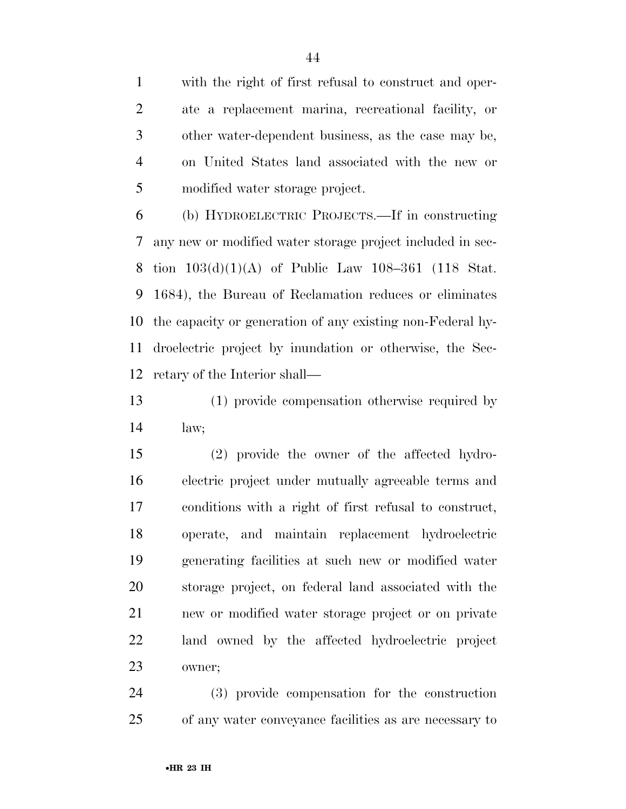with the right of first refusal to construct and oper- ate a replacement marina, recreational facility, or other water-dependent business, as the case may be, on United States land associated with the new or modified water storage project.

 (b) HYDROELECTRIC PROJECTS.—If in constructing any new or modified water storage project included in sec- tion 103(d)(1)(A) of Public Law 108–361 (118 Stat. 1684), the Bureau of Reclamation reduces or eliminates the capacity or generation of any existing non-Federal hy- droelectric project by inundation or otherwise, the Sec-retary of the Interior shall—

 (1) provide compensation otherwise required by law;

 (2) provide the owner of the affected hydro- electric project under mutually agreeable terms and conditions with a right of first refusal to construct, operate, and maintain replacement hydroelectric generating facilities at such new or modified water storage project, on federal land associated with the new or modified water storage project or on private land owned by the affected hydroelectric project owner;

 (3) provide compensation for the construction of any water conveyance facilities as are necessary to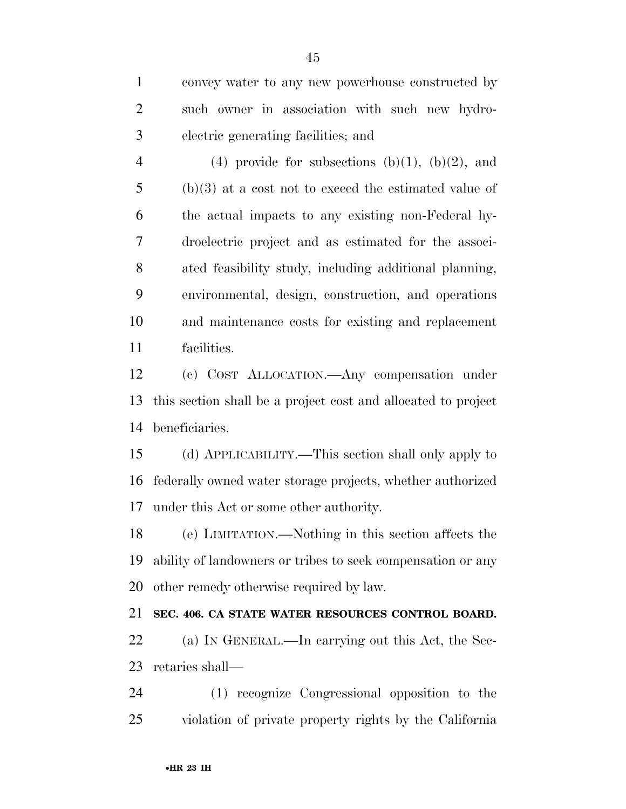convey water to any new powerhouse constructed by such owner in association with such new hydro-electric generating facilities; and

4 (4) provide for subsections  $(b)(1)$ ,  $(b)(2)$ , and (b)(3) at a cost not to exceed the estimated value of the actual impacts to any existing non-Federal hy- droelectric project and as estimated for the associ- ated feasibility study, including additional planning, environmental, design, construction, and operations and maintenance costs for existing and replacement facilities.

 (c) COST ALLOCATION.—Any compensation under this section shall be a project cost and allocated to project beneficiaries.

 (d) APPLICABILITY.—This section shall only apply to federally owned water storage projects, whether authorized under this Act or some other authority.

 (e) LIMITATION.—Nothing in this section affects the ability of landowners or tribes to seek compensation or any other remedy otherwise required by law.

#### **SEC. 406. CA STATE WATER RESOURCES CONTROL BOARD.**

 (a) IN GENERAL.—In carrying out this Act, the Sec-retaries shall—

 (1) recognize Congressional opposition to the violation of private property rights by the California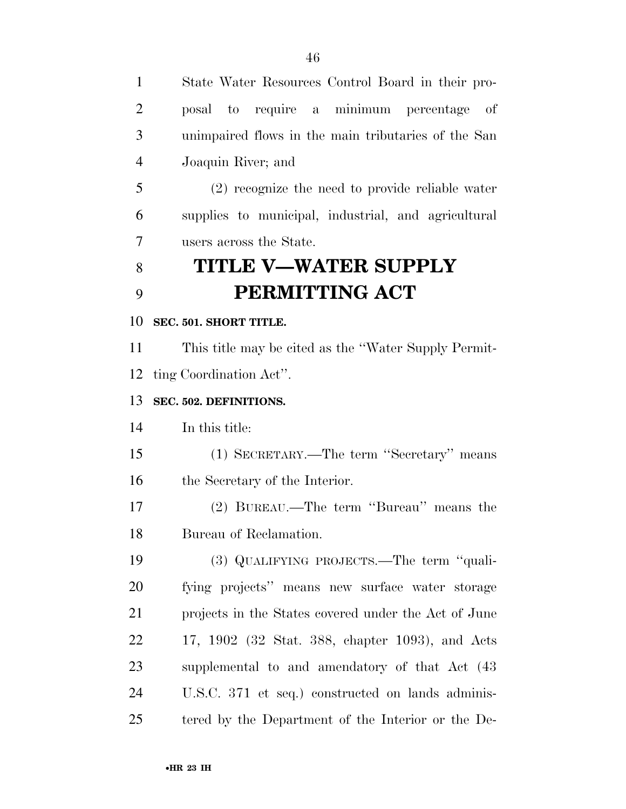| State Water Resources Control Board in their pro-    |
|------------------------------------------------------|
| posal to require a minimum percentage of             |
| unimpaired flows in the main tributaries of the San  |
| Joaquin River; and                                   |
| (2) recognize the need to provide reliable water     |
| supplies to municipal, industrial, and agricultural  |
| users across the State.                              |
| <b>TITLE V-WATER SUPPLY</b>                          |
| PERMITTING ACT                                       |
| SEC. 501. SHORT TITLE.                               |
| This title may be cited as the "Water Supply Permit- |
| ting Coordination Act".                              |
| SEC. 502. DEFINITIONS.                               |
| In this title:                                       |
| (1) SECRETARY.—The term "Secretary" means            |
| the Secretary of the Interior.                       |
| (2) BUREAU.—The term "Bureau" means the              |
| Bureau of Reclamation.                               |
| (3) QUALIFYING PROJECTS.—The term "quali-            |
| fying projects" means new surface water storage      |
| projects in the States covered under the Act of June |
| 17, 1902 (32 Stat. 388, chapter 1093), and Acts      |
| supplemental to and amendatory of that Act (43)      |
| U.S.C. 371 et seq.) constructed on lands adminis-    |
| tered by the Department of the Interior or the De-   |
|                                                      |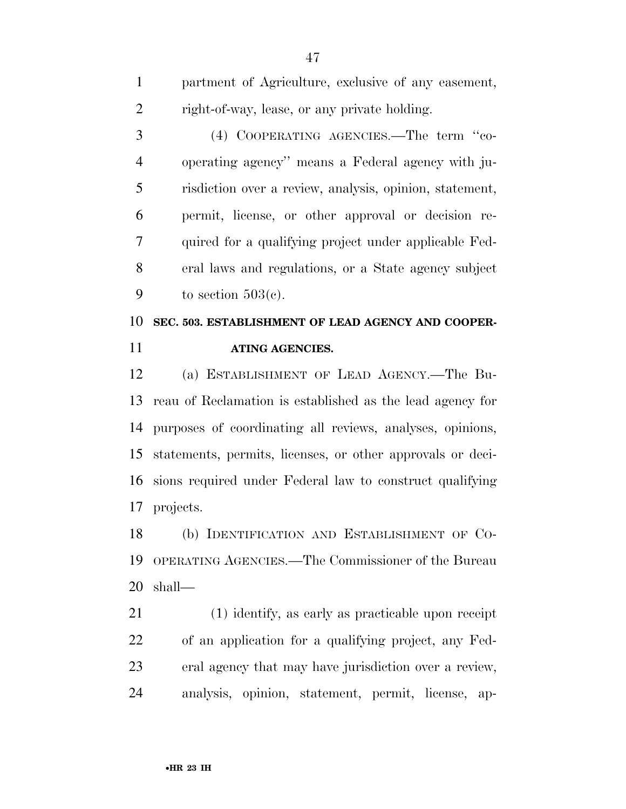partment of Agriculture, exclusive of any easement, right-of-way, lease, or any private holding.

 (4) COOPERATING AGENCIES.—The term ''co- operating agency'' means a Federal agency with ju- risdiction over a review, analysis, opinion, statement, permit, license, or other approval or decision re- quired for a qualifying project under applicable Fed- eral laws and regulations, or a State agency subject 9 to section  $503(c)$ .

## **SEC. 503. ESTABLISHMENT OF LEAD AGENCY AND COOPER-ATING AGENCIES.**

 (a) ESTABLISHMENT OF LEAD AGENCY.—The Bu- reau of Reclamation is established as the lead agency for purposes of coordinating all reviews, analyses, opinions, statements, permits, licenses, or other approvals or deci- sions required under Federal law to construct qualifying projects.

 (b) IDENTIFICATION AND ESTABLISHMENT OF CO- OPERATING AGENCIES.—The Commissioner of the Bureau shall—

 (1) identify, as early as practicable upon receipt of an application for a qualifying project, any Fed- eral agency that may have jurisdiction over a review, analysis, opinion, statement, permit, license, ap-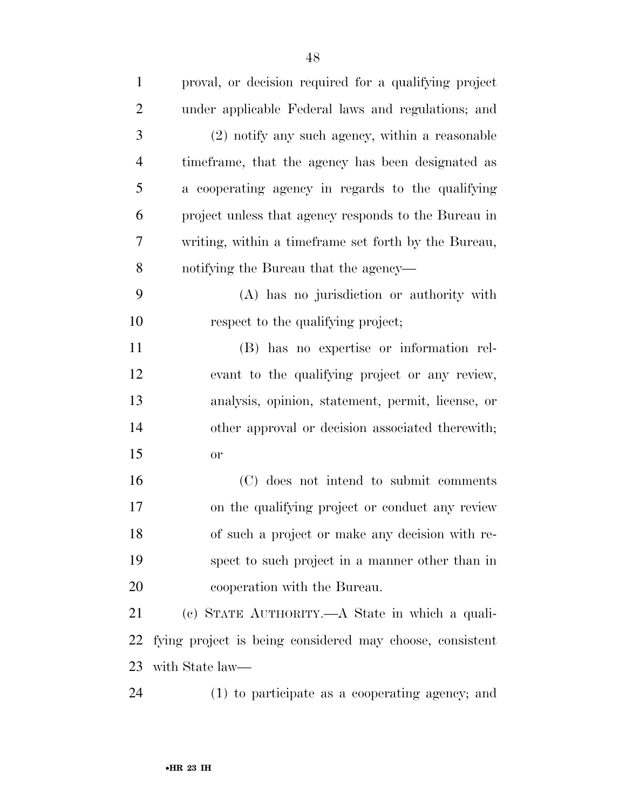| $\mathbf{1}$   | proval, or decision required for a qualifying project    |
|----------------|----------------------------------------------------------|
| $\overline{2}$ | under applicable Federal laws and regulations; and       |
| 3              | (2) notify any such agency, within a reasonable          |
| $\overline{4}$ | time frame, that the agency has been designated as       |
| 5              | a cooperating agency in regards to the qualifying        |
| 6              | project unless that agency responds to the Bureau in     |
| 7              | writing, within a timeframe set forth by the Bureau,     |
| 8              | notifying the Bureau that the agency—                    |
| 9              | (A) has no jurisdiction or authority with                |
| 10             | respect to the qualifying project;                       |
| 11             | (B) has no expertise or information rel-                 |
| 12             | evant to the qualifying project or any review,           |
| 13             | analysis, opinion, statement, permit, license, or        |
| 14             | other approval or decision associated therewith;         |
| 15             | <b>or</b>                                                |
| 16             | (C) does not intend to submit comments                   |
| 17             | on the qualifying project or conduct any review          |
| 18             | of such a project or make any decision with re-          |
| 19             | spect to such project in a manner other than in          |
| 20             | cooperation with the Bureau.                             |
| 21             | (c) STATE AUTHORITY.—A State in which a quali-           |
| 22             | fying project is being considered may choose, consistent |
| 23             | with State law—                                          |
| 24             | $(1)$ to participate as a cooperating agency; and        |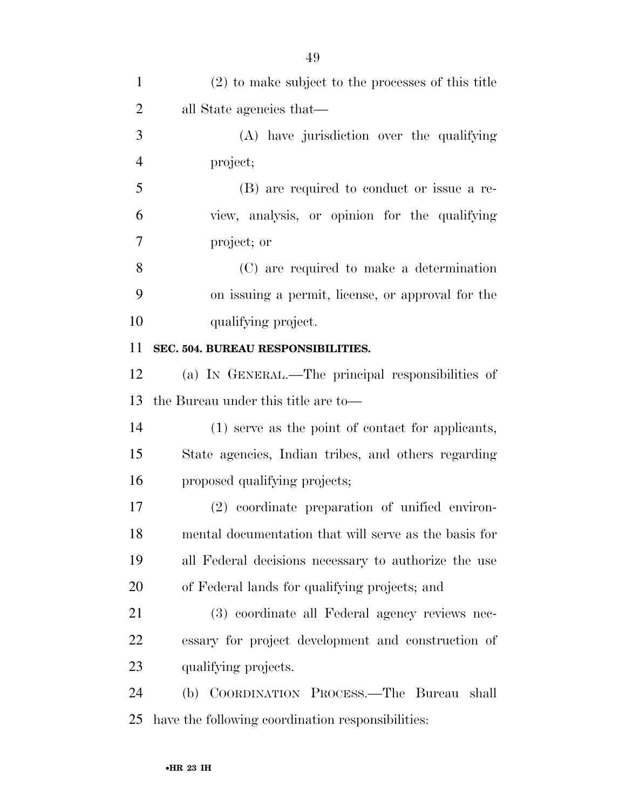| $\mathbf{1}$   | (2) to make subject to the processes of this title    |
|----------------|-------------------------------------------------------|
| $\overline{2}$ | all State agencies that—                              |
| 3              | (A) have jurisdiction over the qualifying             |
| $\overline{4}$ | project;                                              |
| 5              | (B) are required to conduct or issue a re-            |
| 6              | view, analysis, or opinion for the qualifying         |
| 7              | project; or                                           |
| 8              | (C) are required to make a determination              |
| 9              | on issuing a permit, license, or approval for the     |
| 10             | qualifying project.                                   |
| 11             | SEC. 504. BUREAU RESPONSIBILITIES.                    |
| 12             | (a) IN GENERAL.—The principal responsibilities of     |
| 13             | the Bureau under this title are to-                   |
| 14             | (1) serve as the point of contact for applicants,     |
| 15             | State agencies, Indian tribes, and others regarding   |
| 16             | proposed qualifying projects;                         |
| 17             | (2) coordinate preparation of unified environ-        |
| 18             | mental documentation that will serve as the basis for |
| 19             | all Federal decisions necessary to authorize the use  |
| 20             | of Federal lands for qualifying projects; and         |
| 21             | (3) coordinate all Federal agency reviews nec-        |
| 22             | essary for project development and construction of    |
| 23             | qualifying projects.                                  |
| 24             | (b) COORDINATION PROCESS.—The Bureau shall            |
| 25             | have the following coordination responsibilities:     |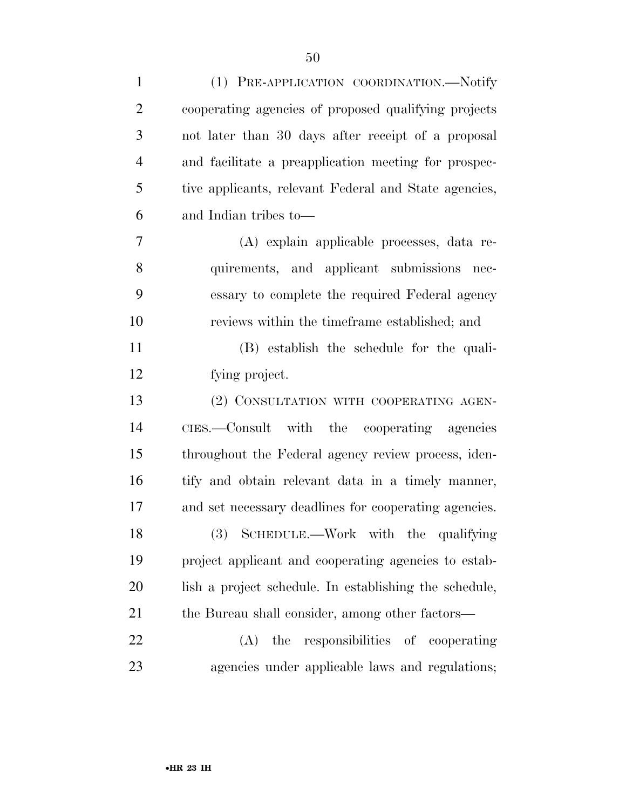| $\mathbf{1}$   | (1) PRE-APPLICATION COORDINATION.-Notify               |
|----------------|--------------------------------------------------------|
| $\overline{2}$ | cooperating agencies of proposed qualifying projects   |
| 3              | not later than 30 days after receipt of a proposal     |
| $\overline{4}$ | and facilitate a preapplication meeting for prospec-   |
| 5              | tive applicants, relevant Federal and State agencies,  |
| 6              | and Indian tribes to—                                  |
| 7              | (A) explain applicable processes, data re-             |
| 8              | quirements, and applicant submissions nec-             |
| 9              | essary to complete the required Federal agency         |
| 10             | reviews within the timeframe established; and          |
| 11             | (B) establish the schedule for the quali-              |
| 12             | fying project.                                         |
| 13             | (2) CONSULTATION WITH COOPERATING AGEN-                |
| 14             | CIES.—Consult with the cooperating agencies            |
| 15             | throughout the Federal agency review process, iden-    |
| 16             | tify and obtain relevant data in a timely manner,      |
| 17             | and set necessary deadlines for cooperating agencies.  |
| 18             | (3) SCHEDULE.—Work with the qualifying                 |
| 19             | project applicant and cooperating agencies to estab-   |
| 20             | lish a project schedule. In establishing the schedule, |
| 21             | the Bureau shall consider, among other factors—        |
| 22             | the responsibilities of cooperating<br>(A)             |
| 23             | agencies under applicable laws and regulations;        |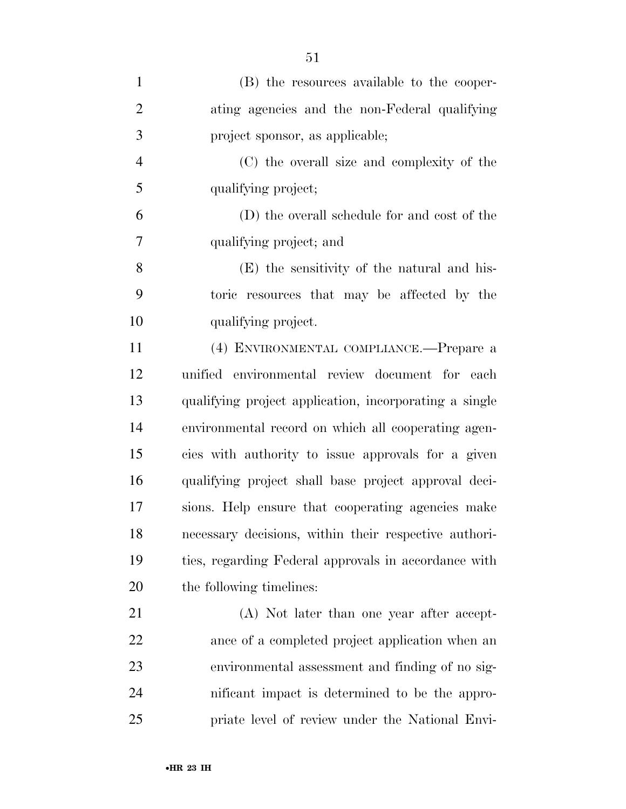| $\mathbf{1}$   | (B) the resources available to the cooper-             |
|----------------|--------------------------------------------------------|
| $\overline{2}$ | ating agencies and the non-Federal qualifying          |
| 3              | project sponsor, as applicable;                        |
| $\overline{4}$ | (C) the overall size and complexity of the             |
| 5              | qualifying project;                                    |
| 6              | (D) the overall schedule for and cost of the           |
| $\overline{7}$ | qualifying project; and                                |
| 8              | (E) the sensitivity of the natural and his-            |
| 9              | toric resources that may be affected by the            |
| 10             | qualifying project.                                    |
| 11             | (4) ENVIRONMENTAL COMPLIANCE.—Prepare a                |
| 12             | unified environmental review document for each         |
| 13             | qualifying project application, incorporating a single |
| 14             | environmental record on which all cooperating agen-    |
| 15             | cies with authority to issue approvals for a given     |
| 16             | qualifying project shall base project approval deci-   |
| 17             | sions. Help ensure that cooperating agencies make      |
| 18             | necessary decisions, within their respective authori-  |
| 19             | ties, regarding Federal approvals in accordance with   |
| 20             | the following timelines:                               |
| 21             | (A) Not later than one year after accept-              |
| 22             | ance of a completed project application when an        |
| 23             | environmental assessment and finding of no sig-        |
| 24             | nificant impact is determined to be the appro-         |
| 25             | priate level of review under the National Envi-        |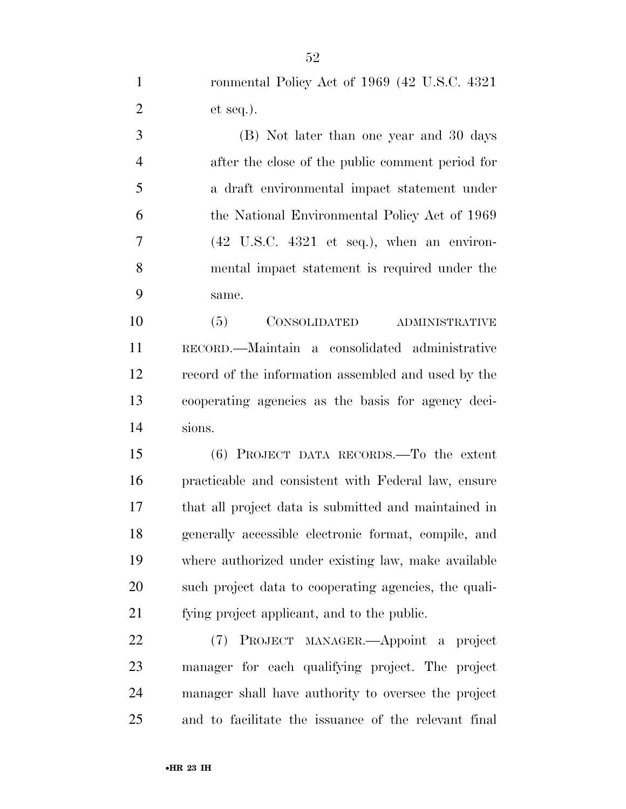ronmental Policy Act of 1969 (42 U.S.C. 4321 et seq.).

 (B) Not later than one year and 30 days after the close of the public comment period for a draft environmental impact statement under the National Environmental Policy Act of 1969  $7 \t(42 \tUS.C. 4321 \tets eq.)$ , when an environ- mental impact statement is required under the same.

 (5) CONSOLIDATED ADMINISTRATIVE RECORD.—Maintain a consolidated administrative record of the information assembled and used by the cooperating agencies as the basis for agency deci-sions.

 (6) PROJECT DATA RECORDS.—To the extent practicable and consistent with Federal law, ensure that all project data is submitted and maintained in generally accessible electronic format, compile, and where authorized under existing law, make available such project data to cooperating agencies, the quali-fying project applicant, and to the public.

 (7) PROJECT MANAGER.—Appoint a project manager for each qualifying project. The project manager shall have authority to oversee the project and to facilitate the issuance of the relevant final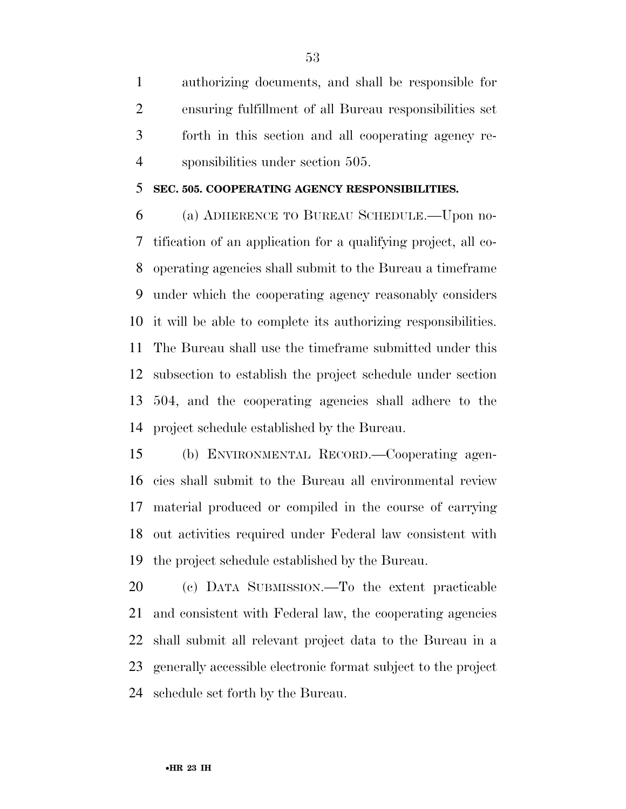authorizing documents, and shall be responsible for ensuring fulfillment of all Bureau responsibilities set forth in this section and all cooperating agency re-sponsibilities under section 505.

#### **SEC. 505. COOPERATING AGENCY RESPONSIBILITIES.**

 (a) ADHERENCE TO BUREAU SCHEDULE.—Upon no- tification of an application for a qualifying project, all co- operating agencies shall submit to the Bureau a timeframe under which the cooperating agency reasonably considers it will be able to complete its authorizing responsibilities. The Bureau shall use the timeframe submitted under this subsection to establish the project schedule under section 504, and the cooperating agencies shall adhere to the project schedule established by the Bureau.

 (b) ENVIRONMENTAL RECORD.—Cooperating agen- cies shall submit to the Bureau all environmental review material produced or compiled in the course of carrying out activities required under Federal law consistent with the project schedule established by the Bureau.

 (c) DATA SUBMISSION.—To the extent practicable and consistent with Federal law, the cooperating agencies shall submit all relevant project data to the Bureau in a generally accessible electronic format subject to the project schedule set forth by the Bureau.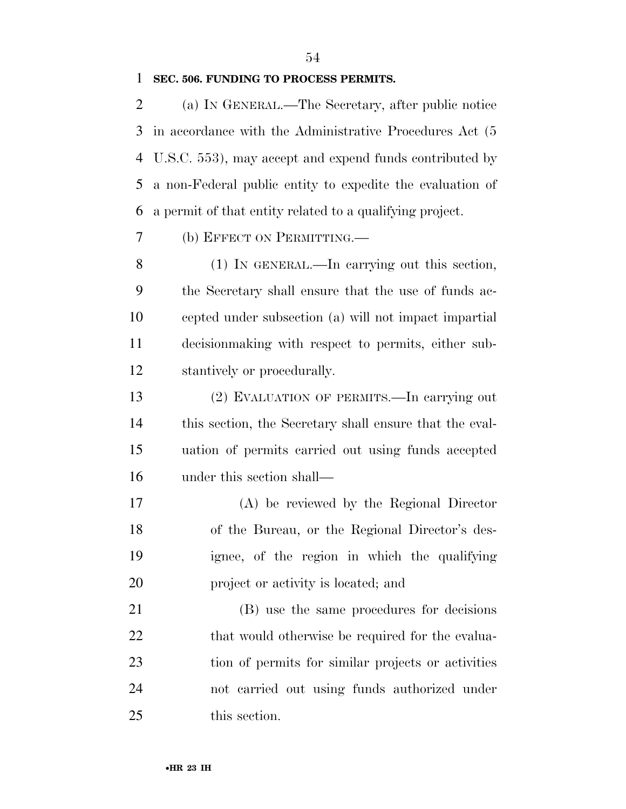#### **SEC. 506. FUNDING TO PROCESS PERMITS.**

 (a) IN GENERAL.—The Secretary, after public notice in accordance with the Administrative Procedures Act (5 U.S.C. 553), may accept and expend funds contributed by a non-Federal public entity to expedite the evaluation of a permit of that entity related to a qualifying project.

(b) EFFECT ON PERMITTING.—

 (1) IN GENERAL.—In carrying out this section, the Secretary shall ensure that the use of funds ac- cepted under subsection (a) will not impact impartial decisionmaking with respect to permits, either sub-stantively or procedurally.

 (2) EVALUATION OF PERMITS.—In carrying out this section, the Secretary shall ensure that the eval- uation of permits carried out using funds accepted under this section shall—

 (A) be reviewed by the Regional Director of the Bureau, or the Regional Director's des- ignee, of the region in which the qualifying project or activity is located; and

 (B) use the same procedures for decisions 22 that would otherwise be required for the evalua- tion of permits for similar projects or activities not carried out using funds authorized under this section.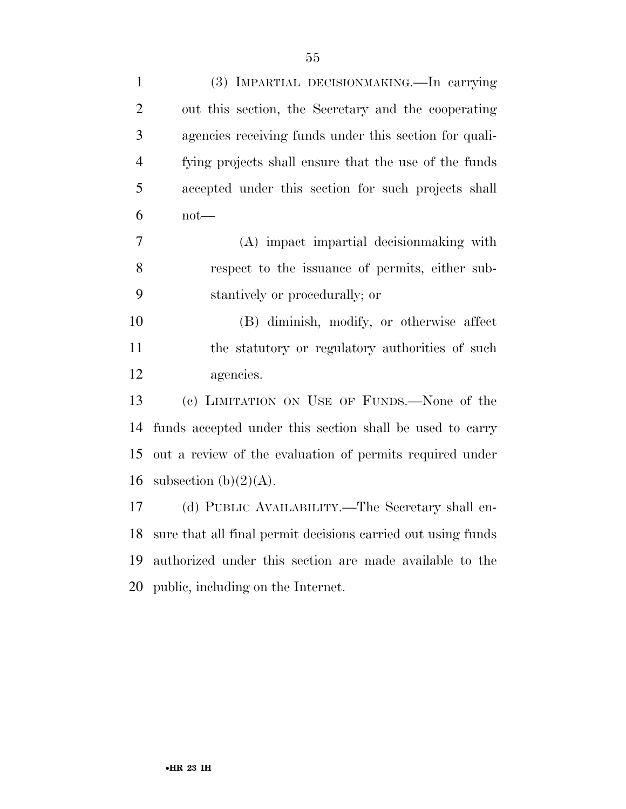| $\mathbf{1}$   | (3) IMPARTIAL DECISIONMAKING.—In carrying                    |
|----------------|--------------------------------------------------------------|
| $\overline{2}$ | out this section, the Secretary and the cooperating          |
| 3              | agencies receiving funds under this section for quali-       |
| $\overline{4}$ | fying projects shall ensure that the use of the funds        |
| 5              | accepted under this section for such projects shall          |
| 6              | $not$ —                                                      |
| 7              | (A) impact impartial decision making with                    |
| 8              | respect to the issuance of permits, either sub-              |
| 9              | stantively or procedurally; or                               |
| 10             | (B) diminish, modify, or otherwise affect                    |
| 11             | the statutory or regulatory authorities of such              |
| 12             | agencies.                                                    |
| 13             | (c) LIMITATION ON USE OF FUNDS.—None of the                  |
| 14             | funds accepted under this section shall be used to carry     |
| 15             | out a review of the evaluation of permits required under     |
| 16             | subsection $(b)(2)(A)$ .                                     |
| 17             | (d) PUBLIC AVAILABILITY.—The Secretary shall en-             |
| 18             | sure that all final permit decisions carried out using funds |
| 19             | authorized under this section are made available to the      |
| 20             | public, including on the Internet.                           |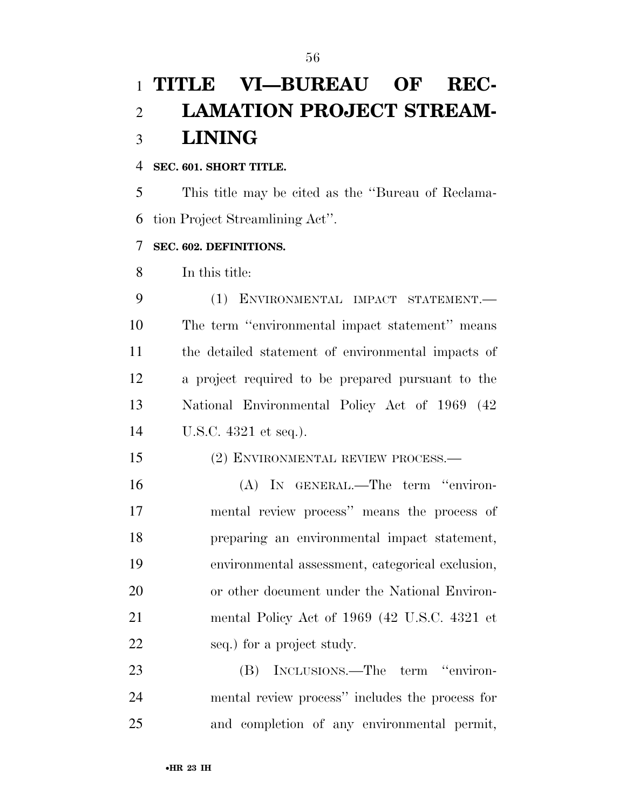# **TITLE VI—BUREAU OF REC- LAMATION PROJECT STREAM-LINING**

#### **SEC. 601. SHORT TITLE.**

 This title may be cited as the ''Bureau of Reclama-tion Project Streamlining Act''.

#### **SEC. 602. DEFINITIONS.**

In this title:

 (1) ENVIRONMENTAL IMPACT STATEMENT.— The term ''environmental impact statement'' means the detailed statement of environmental impacts of a project required to be prepared pursuant to the National Environmental Policy Act of 1969 (42 U.S.C. 4321 et seq.).

#### (2) ENVIRONMENTAL REVIEW PROCESS.—

 (A) IN GENERAL.—The term ''environ- mental review process'' means the process of preparing an environmental impact statement, environmental assessment, categorical exclusion, or other document under the National Environ- mental Policy Act of 1969 (42 U.S.C. 4321 et seq.) for a project study.

 (B) INCLUSIONS.—The term ''environ- mental review process'' includes the process for and completion of any environmental permit,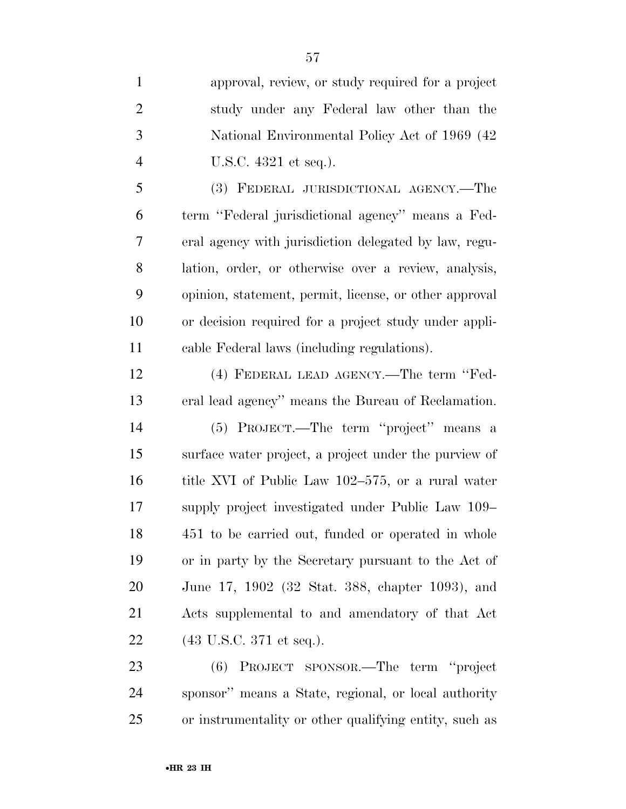approval, review, or study required for a project study under any Federal law other than the National Environmental Policy Act of 1969 (42 U.S.C. 4321 et seq.). (3) FEDERAL JURISDICTIONAL AGENCY.—The term ''Federal jurisdictional agency'' means a Fed- eral agency with jurisdiction delegated by law, regu- lation, order, or otherwise over a review, analysis, opinion, statement, permit, license, or other approval or decision required for a project study under appli- cable Federal laws (including regulations). (4) FEDERAL LEAD AGENCY.—The term ''Fed- eral lead agency'' means the Bureau of Reclamation. (5) PROJECT.—The term ''project'' means a surface water project, a project under the purview of title XVI of Public Law 102–575, or a rural water supply project investigated under Public Law 109– 451 to be carried out, funded or operated in whole or in party by the Secretary pursuant to the Act of June 17, 1902 (32 Stat. 388, chapter 1093), and Acts supplemental to and amendatory of that Act (43 U.S.C. 371 et seq.).

 (6) PROJECT SPONSOR.—The term ''project sponsor'' means a State, regional, or local authority or instrumentality or other qualifying entity, such as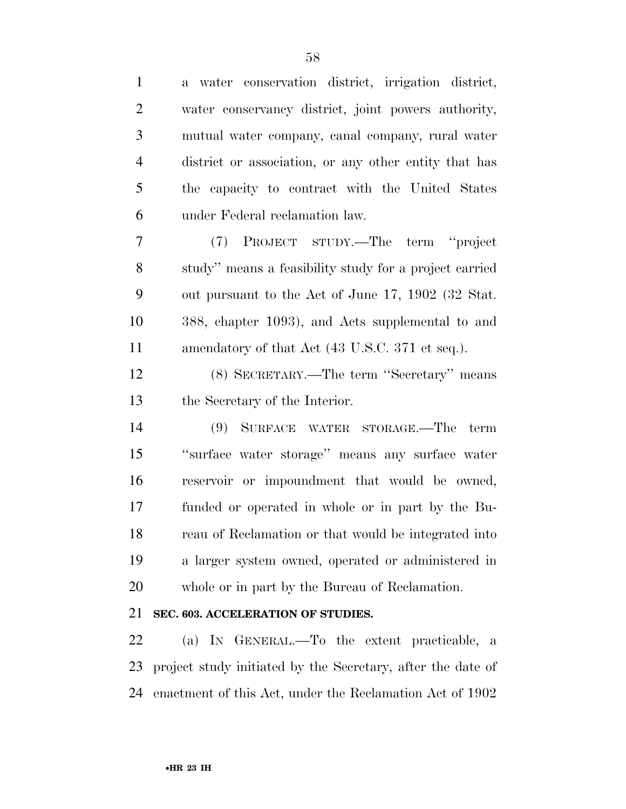| $\mathbf{1}$   | a water conservation district, irrigation district,    |
|----------------|--------------------------------------------------------|
| $\overline{2}$ | water conservancy district, joint powers authority,    |
| 3              | mutual water company, canal company, rural water       |
| $\overline{4}$ | district or association, or any other entity that has  |
| 5              | the capacity to contract with the United States        |
| 6              | under Federal reclamation law.                         |
| 7              | (7) PROJECT STUDY.—The term "project                   |
| 8              | study" means a feasibility study for a project carried |
| 9              | out pursuant to the Act of June 17, 1902 (32 Stat.     |
| 10             | 388, chapter 1093), and Acts supplemental to and       |
| 11             | amendatory of that Act (43 U.S.C. 371 et seq.).        |
| 12             | (8) SECRETARY.—The term "Secretary" means              |
| 13             | the Secretary of the Interior.                         |
| 14             | (9) SURFACE WATER STORAGE.—The term                    |
| 15             | "surface water storage" means any surface water        |
| 16             | reservoir or impoundment that would be owned,          |
| 17             | funded or operated in whole or in part by the Bu-      |
| 18             | reau of Reclamation or that would be integrated into   |
| 19             | a larger system owned, operated or administered in     |
| 20             | whole or in part by the Bureau of Reclamation.         |
| 21             | SEC. 603. ACCELERATION OF STUDIES.                     |
|                |                                                        |

 (a) IN GENERAL.—To the extent practicable, a project study initiated by the Secretary, after the date of enactment of this Act, under the Reclamation Act of 1902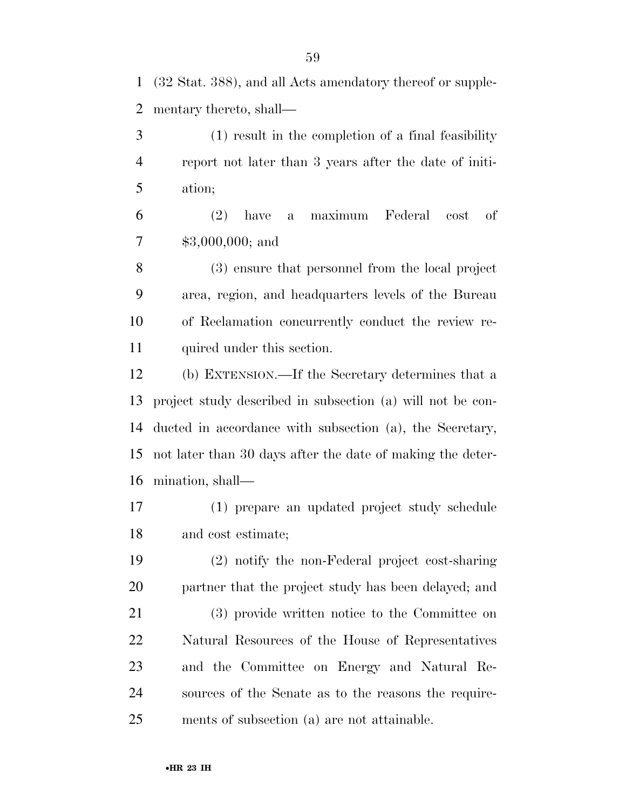(32 Stat. 388), and all Acts amendatory thereof or supple-mentary thereto, shall—

 (1) result in the completion of a final feasibility report not later than 3 years after the date of initi-ation;

 (2) have a maximum Federal cost of \$3,000,000; and

 (3) ensure that personnel from the local project area, region, and headquarters levels of the Bureau of Reclamation concurrently conduct the review re-quired under this section.

 (b) EXTENSION.—If the Secretary determines that a project study described in subsection (a) will not be con- ducted in accordance with subsection (a), the Secretary, not later than 30 days after the date of making the deter-mination, shall—

 (1) prepare an updated project study schedule and cost estimate;

 (2) notify the non-Federal project cost-sharing partner that the project study has been delayed; and (3) provide written notice to the Committee on Natural Resources of the House of Representatives and the Committee on Energy and Natural Re- sources of the Senate as to the reasons the require-ments of subsection (a) are not attainable.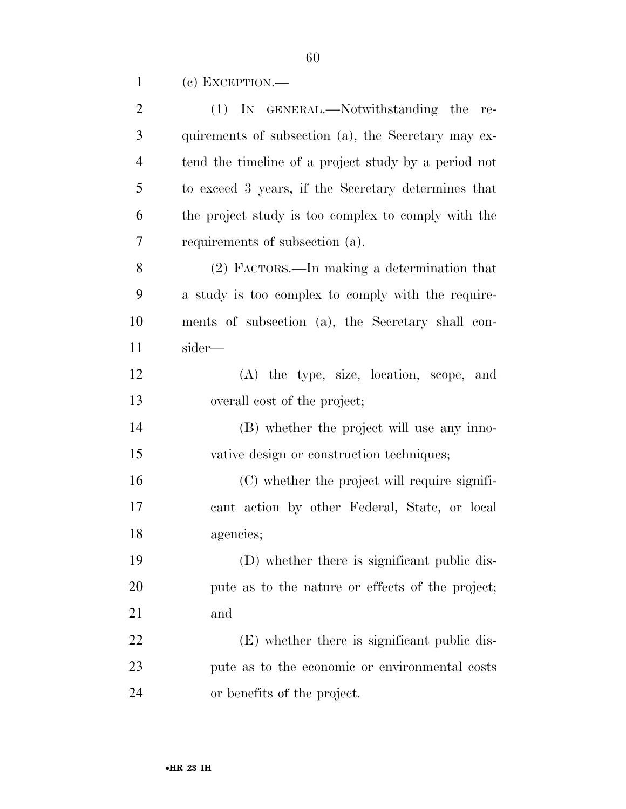(c) EXCEPTION.—

| $\overline{2}$ | (1) IN GENERAL.—Notwithstanding the re-              |
|----------------|------------------------------------------------------|
| 3              | quirements of subsection (a), the Secretary may ex-  |
| $\overline{4}$ | tend the timeline of a project study by a period not |
| 5              | to exceed 3 years, if the Secretary determines that  |
| 6              | the project study is too complex to comply with the  |
| 7              | requirements of subsection (a).                      |
| 8              | (2) FACTORS.—In making a determination that          |
| 9              | a study is too complex to comply with the require-   |
| 10             | ments of subsection (a), the Secretary shall con-    |
| 11             | sider—                                               |
| 12             | (A) the type, size, location, scope, and             |
| 13             | overall cost of the project;                         |
| 14             | (B) whether the project will use any inno-           |
| 15             | vative design or construction techniques;            |
| 16             | (C) whether the project will require signifi-        |
| 17             | cant action by other Federal, State, or local        |
| 18             | agencies;                                            |
| 19             | (D) whether there is significant public dis-         |
| 20             | pute as to the nature or effects of the project;     |
| 21             | and                                                  |
| 22             | (E) whether there is significant public dis-         |
| 23             | pute as to the economic or environmental costs       |
| 24             | or benefits of the project.                          |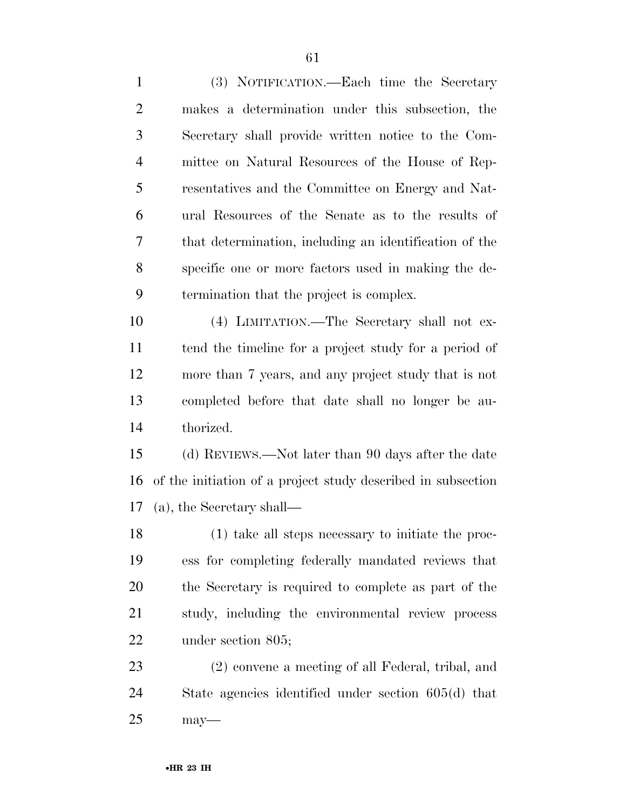(3) NOTIFICATION.—Each time the Secretary makes a determination under this subsection, the Secretary shall provide written notice to the Com- mittee on Natural Resources of the House of Rep- resentatives and the Committee on Energy and Nat- ural Resources of the Senate as to the results of that determination, including an identification of the specific one or more factors used in making the de- termination that the project is complex. (4) LIMITATION.—The Secretary shall not ex- tend the timeline for a project study for a period of more than 7 years, and any project study that is not completed before that date shall no longer be au- thorized. (d) REVIEWS.—Not later than 90 days after the date of the initiation of a project study described in subsection (a), the Secretary shall— (1) take all steps necessary to initiate the proc-ess for completing federally mandated reviews that

 the Secretary is required to complete as part of the study, including the environmental review process under section 805;

 (2) convene a meeting of all Federal, tribal, and State agencies identified under section 605(d) that may—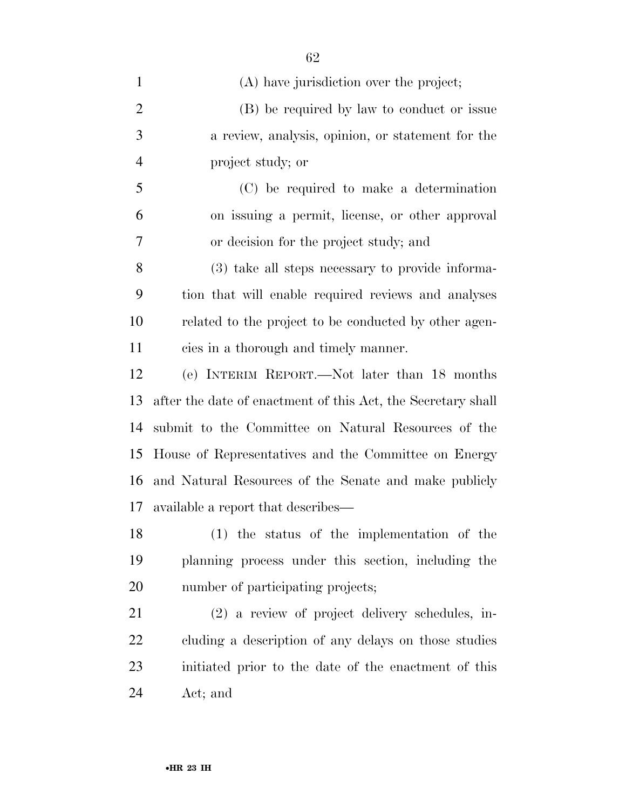| $\mathbf{1}$   | (A) have jurisdiction over the project;                      |
|----------------|--------------------------------------------------------------|
| $\overline{2}$ | (B) be required by law to conduct or issue                   |
| 3              | a review, analysis, opinion, or statement for the            |
| $\overline{4}$ | project study; or                                            |
| 5              | (C) be required to make a determination                      |
| 6              | on issuing a permit, license, or other approval              |
| 7              | or decision for the project study; and                       |
| 8              | (3) take all steps necessary to provide informa-             |
| 9              | tion that will enable required reviews and analyses          |
| 10             | related to the project to be conducted by other agen-        |
| 11             | cies in a thorough and timely manner.                        |
| 12             | (e) INTERIM REPORT.—Not later than 18 months                 |
| 13             | after the date of enactment of this Act, the Secretary shall |
| 14             | submit to the Committee on Natural Resources of the          |
| 15             | House of Representatives and the Committee on Energy         |
| 16             | and Natural Resources of the Senate and make publicly        |
| 17             | available a report that describes—                           |
| 18             | (1) the status of the implementation of the                  |
| 19             | planning process under this section, including the           |
| 20             | number of participating projects;                            |
| 21             | (2) a review of project delivery schedules, in-              |
| 22             | cluding a description of any delays on those studies         |
| 23             | initiated prior to the date of the enactment of this         |
| 24             | Act; and                                                     |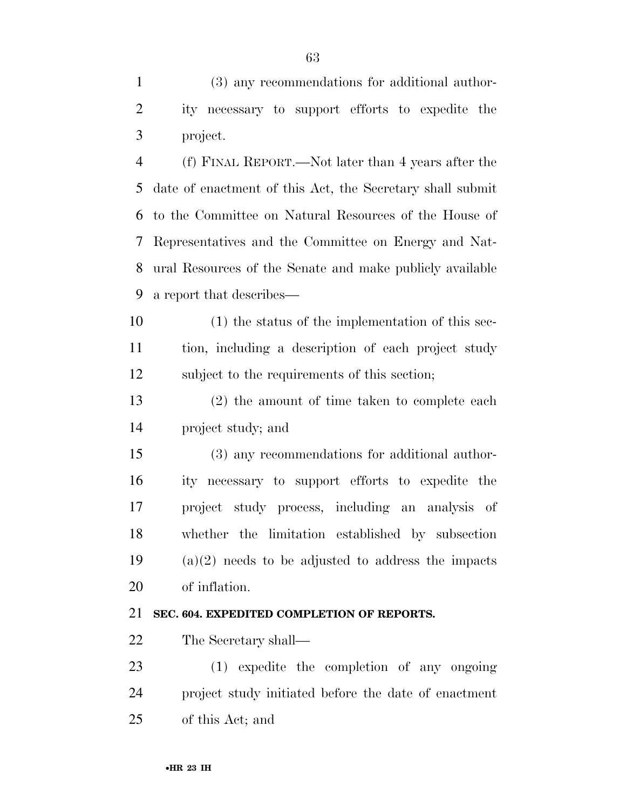(3) any recommendations for additional author- ity necessary to support efforts to expedite the project.

 (f) FINAL REPORT.—Not later than 4 years after the date of enactment of this Act, the Secretary shall submit to the Committee on Natural Resources of the House of Representatives and the Committee on Energy and Nat- ural Resources of the Senate and make publicly available a report that describes—

 (1) the status of the implementation of this sec- tion, including a description of each project study subject to the requirements of this section;

 (2) the amount of time taken to complete each project study; and

 (3) any recommendations for additional author- ity necessary to support efforts to expedite the project study process, including an analysis of whether the limitation established by subsection (a)(2) needs to be adjusted to address the impacts of inflation.

#### **SEC. 604. EXPEDITED COMPLETION OF REPORTS.**

The Secretary shall—

 (1) expedite the completion of any ongoing project study initiated before the date of enactment of this Act; and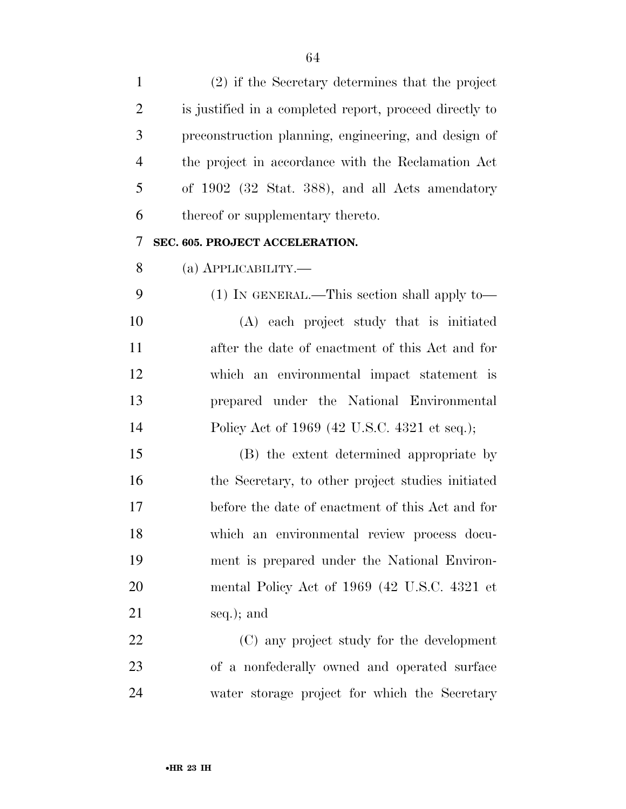| $\mathbf{1}$   | (2) if the Secretary determines that the project        |
|----------------|---------------------------------------------------------|
| $\overline{2}$ | is justified in a completed report, proceed directly to |
| 3              | preconstruction planning, engineering, and design of    |
| $\overline{4}$ | the project in accordance with the Reclamation Act      |
| 5              | of 1902 (32 Stat. 388), and all Acts amendatory         |
| 6              | thereof or supplementary thereto.                       |
| 7              | SEC. 605. PROJECT ACCELERATION.                         |
| 8              | (а) АРРЫСАВШІТҮ.—                                       |
| 9              | $(1)$ In GENERAL.—This section shall apply to—          |
| 10             | (A) each project study that is initiated                |
| 11             | after the date of enactment of this Act and for         |
| 12             | which an environmental impact statement is              |
| 13             | prepared under the National Environmental               |
| 14             | Policy Act of 1969 (42 U.S.C. 4321 et seq.);            |
| 15             | (B) the extent determined appropriate by                |
| 16             | the Secretary, to other project studies initiated       |
| 17             | before the date of enactment of this Act and for        |
| 18             | which an environmental review process docu-             |
| 19             | ment is prepared under the National Environ-            |
| 20             | mental Policy Act of 1969 (42 U.S.C. 4321 et            |
| 21             | seq.); and                                              |
| 22             | (C) any project study for the development               |
| 23             | of a nonfederally owned and operated surface            |
| 24             | water storage project for which the Secretary           |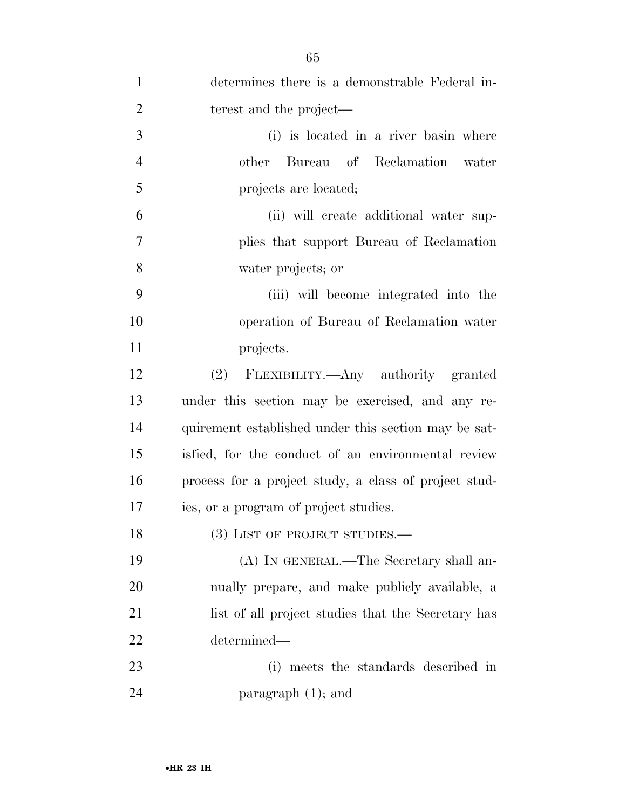| $\mathbf{1}$   | determines there is a demonstrable Federal in-        |
|----------------|-------------------------------------------------------|
| $\overline{2}$ | terest and the project—                               |
| 3              | (i) is located in a river basin where                 |
| $\overline{4}$ | Bureau of Reclamation water<br>other                  |
| 5              | projects are located;                                 |
| 6              | (ii) will create additional water sup-                |
| 7              | plies that support Bureau of Reclamation              |
| 8              | water projects; or                                    |
| 9              | (iii) will become integrated into the                 |
| 10             | operation of Bureau of Reclamation water              |
| 11             | projects.                                             |
| 12             | (2) FLEXIBILITY.—Any authority granted                |
| 13             | under this section may be exercised, and any re-      |
| 14             | quirement established under this section may be sat-  |
| 15             | isfied, for the conduct of an environmental review    |
| 16             | process for a project study, a class of project stud- |
| 17             | ies, or a program of project studies.                 |
| 18             | (3) LIST OF PROJECT STUDIES.-                         |
| 19             | (A) IN GENERAL.—The Secretary shall an-               |
| 20             | nually prepare, and make publicly available, a        |
| 21             | list of all project studies that the Secretary has    |
| 22             | determined—                                           |
| 23             | meets the standards described in<br>(i)               |
| 24             | paragraph $(1)$ ; and                                 |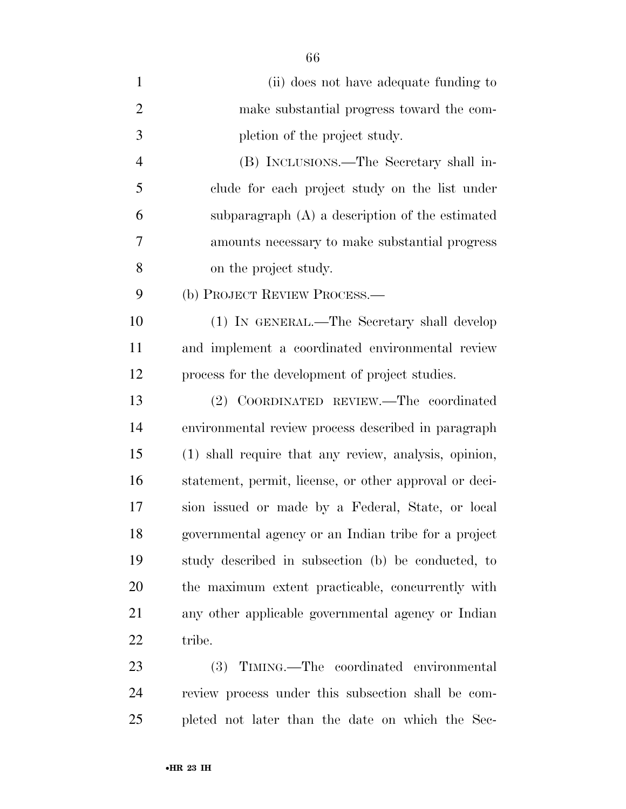| $\mathbf{1}$   | (ii) does not have adequate funding to                 |
|----------------|--------------------------------------------------------|
| $\overline{2}$ | make substantial progress toward the com-              |
| 3              | pletion of the project study.                          |
| $\overline{4}$ | (B) INCLUSIONS.—The Secretary shall in-                |
| 5              | clude for each project study on the list under         |
| 6              | subparagraph $(A)$ a description of the estimated      |
| 7              | amounts necessary to make substantial progress         |
| 8              | on the project study.                                  |
| 9              | (b) PROJECT REVIEW PROCESS.—                           |
| 10             | (1) IN GENERAL.—The Secretary shall develop            |
| 11             | and implement a coordinated environmental review       |
| 12             | process for the development of project studies.        |
| 13             | (2) COORDINATED REVIEW.—The coordinated                |
| 14             | environmental review process described in paragraph    |
| 15             | (1) shall require that any review, analysis, opinion,  |
| 16             | statement, permit, license, or other approval or deci- |
| 17             | sion issued or made by a Federal, State, or local      |
| 18             | governmental agency or an Indian tribe for a project   |
| 19             | study described in subsection (b) be conducted, to     |
| 20             | the maximum extent practicable, concurrently with      |
| 21             | any other applicable governmental agency or Indian     |
| 22             | tribe.                                                 |
| 23             | (3) TIMING.—The coordinated environmental              |
| 24             | review process under this subsection shall be com-     |

pleted not later than the date on which the Sec-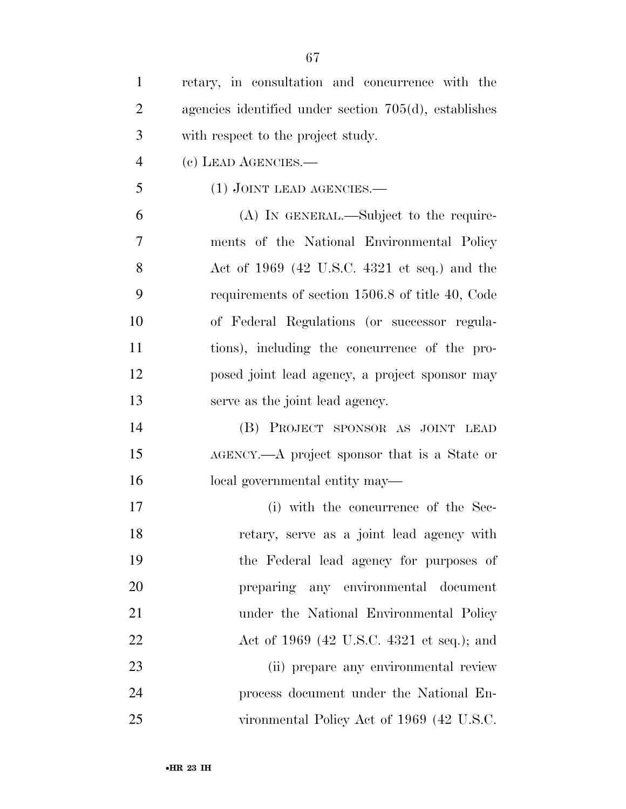| $\mathbf{1}$   | retary, in consultation and concurrence with the         |
|----------------|----------------------------------------------------------|
| $\overline{2}$ | agencies identified under section $705(d)$ , establishes |
| 3              | with respect to the project study.                       |
| $\overline{4}$ | (c) LEAD AGENCIES.—                                      |
| 5              | $(1)$ JOINT LEAD AGENCIES.—                              |
| 6              | $(A)$ In GENERAL.—Subject to the require-                |
| 7              | ments of the National Environmental Policy               |
| 8              | Act of $1969$ (42 U.S.C. 4321 et seq.) and the           |
| 9              | requirements of section 1506.8 of title 40, Code         |
| 10             | of Federal Regulations (or successor regula-             |
| 11             | tions), including the concurrence of the pro-            |
| 12             | posed joint lead agency, a project sponsor may           |
| 13             | serve as the joint lead agency.                          |
| 14             | (B) PROJECT SPONSOR AS JOINT LEAD                        |
| 15             | AGENCY.—A project sponsor that is a State or             |
| 16             | local governmental entity may—                           |
| 17             | (i) with the concurrence of the Sec-                     |
| 18             | retary, serve as a joint lead agency with                |
| 19             | the Federal lead agency for purposes of                  |
| <b>20</b>      | preparing any environmental document                     |
| 21             | under the National Environmental Policy                  |
| 22             | Act of 1969 (42 U.S.C. 4321 et seq.); and                |
| 23             | (ii) prepare any environmental review                    |
| 24             | process document under the National En-                  |
| 25             | vironmental Policy Act of 1969 (42 U.S.C.                |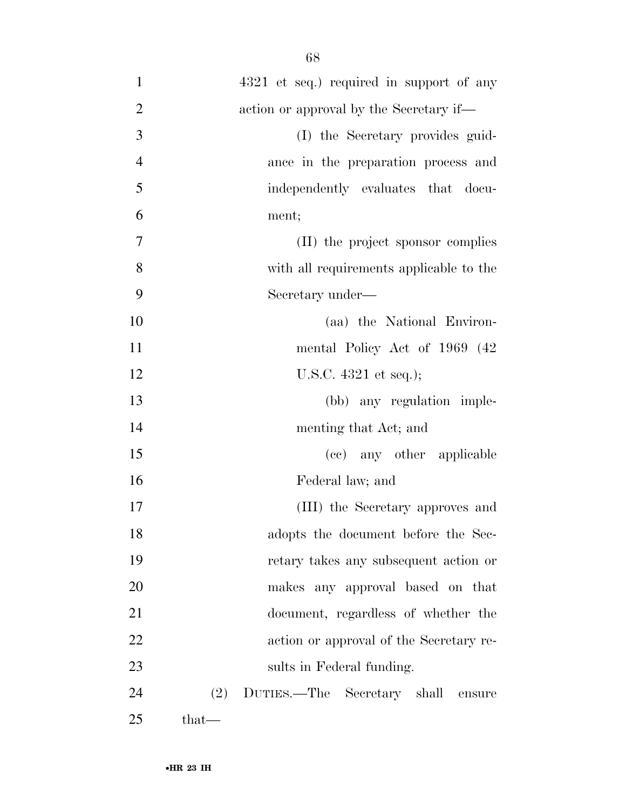| $\mathbf{1}$   | 4321 et seq.) required in support of any     |
|----------------|----------------------------------------------|
| $\overline{2}$ | action or approval by the Secretary if—      |
| 3              | (I) the Secretary provides guid-             |
| $\overline{4}$ | ance in the preparation process and          |
| 5              | independently evaluates that docu-           |
| 6              | ment;                                        |
| $\tau$         | (II) the project sponsor complies            |
| 8              | with all requirements applicable to the      |
| 9              | Secretary under—                             |
| 10             | (aa) the National Environ-                   |
| 11             | mental Policy Act of 1969 (42)               |
| 12             | U.S.C. $4321$ et seq.);                      |
| 13             | (bb) any regulation imple-                   |
| 14             | menting that Act; and                        |
| 15             | (cc) any other applicable                    |
| 16             | Federal law; and                             |
| 17             | (III) the Secretary approves and             |
| 18             | adopts the document before the Sec-          |
| 19             | retary takes any subsequent action or        |
| 20             | makes any approval based on that             |
| 21             | document, regardless of whether the          |
| 22             | action or approval of the Secretary re-      |
| 23             | sults in Federal funding.                    |
| 24             | (2)<br>DUTIES.—The Secretary shall<br>ensure |
| 25             | $that-$                                      |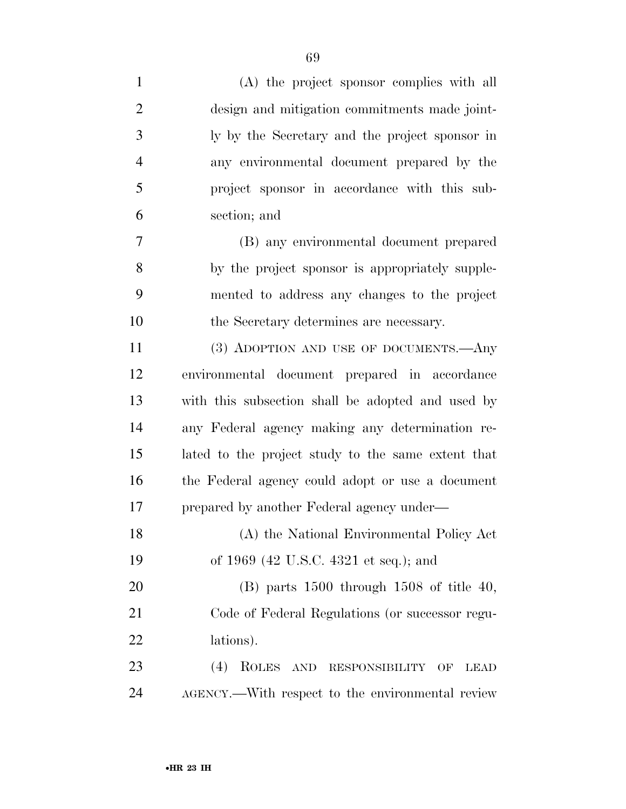| $\mathbf{1}$   | (A) the project sponsor complies with all                      |
|----------------|----------------------------------------------------------------|
| $\overline{2}$ | design and mitigation commitments made joint-                  |
| 3              | ly by the Secretary and the project sponsor in                 |
| $\overline{4}$ | any environmental document prepared by the                     |
| 5              | project sponsor in accordance with this sub-                   |
| 6              | section; and                                                   |
| 7              | (B) any environmental document prepared                        |
| 8              | by the project sponsor is appropriately supple-                |
| 9              | mented to address any changes to the project                   |
| 10             | the Secretary determines are necessary.                        |
| 11             | (3) ADOPTION AND USE OF DOCUMENTS.—Any                         |
| 12             | environmental document prepared in accordance                  |
| 13             | with this subsection shall be adopted and used by              |
| 14             | any Federal agency making any determination re-                |
| 15             | lated to the project study to the same extent that             |
| 16             | the Federal agency could adopt or use a document               |
| 17             | prepared by another Federal agency under—                      |
| 18             | (A) the National Environmental Policy Act                      |
| 19             | of 1969 (42 U.S.C. 4321 et seq.); and                          |
| 20             | $(B)$ parts 1500 through 1508 of title 40,                     |
| 21             | Code of Federal Regulations (or successor regu-                |
| 22             | lations).                                                      |
| 23             | (4)<br>ROLES AND<br><b>RESPONSIBILITY</b><br>OF<br><b>LEAD</b> |
| 24             | AGENCY.—With respect to the environmental review               |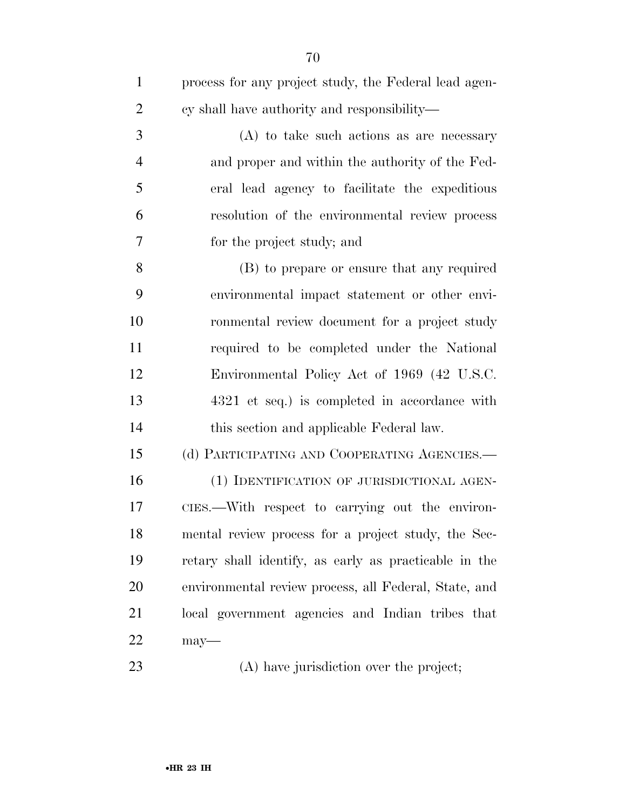| $\mathbf{1}$   | process for any project study, the Federal lead agen- |
|----------------|-------------------------------------------------------|
| $\overline{2}$ | cy shall have authority and responsibility—           |
| 3              | $(A)$ to take such actions as are necessary           |
| $\overline{4}$ | and proper and within the authority of the Fed-       |
| 5              | eral lead agency to facilitate the expeditious        |
| 6              | resolution of the environmental review process        |
| 7              | for the project study; and                            |
| 8              | (B) to prepare or ensure that any required            |
| 9              | environmental impact statement or other envi-         |
| 10             | ronmental review document for a project study         |
| 11             | required to be completed under the National           |
| 12             | Environmental Policy Act of 1969 (42 U.S.C.           |
| 13             | 4321 et seq.) is completed in accordance with         |
| 14             | this section and applicable Federal law.              |
| 15             | (d) PARTICIPATING AND COOPERATING AGENCIES.—          |
| 16             | (1) IDENTIFICATION OF JURISDICTIONAL AGEN-            |
| 17             | CIES.—With respect to carrying out the environ-       |
| 18             | mental review process for a project study, the Sec-   |
| 19             | retary shall identify, as early as practicable in the |
| 20             | environmental review process, all Federal, State, and |
| 21             | local government agencies and Indian tribes that      |
| 22             | $may$ —                                               |
| 23             | (A) have jurisdiction over the project;               |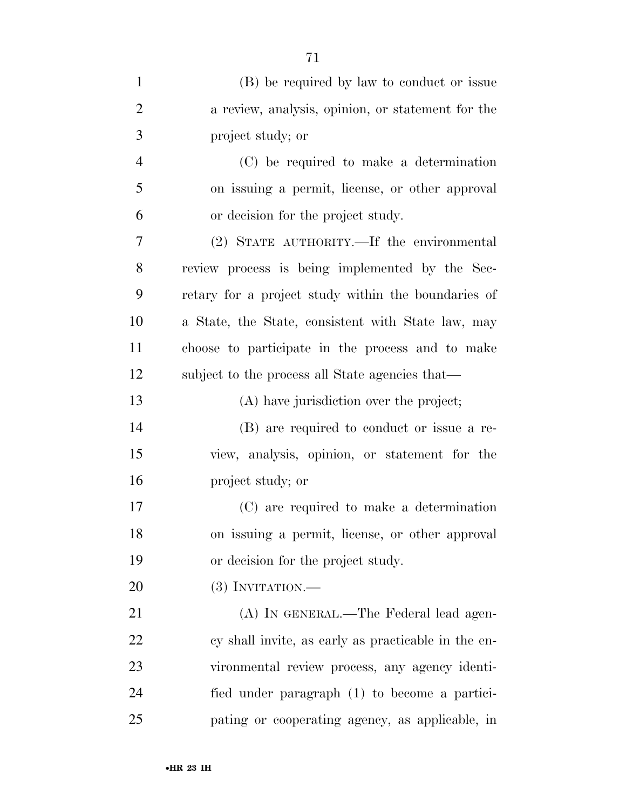| $\mathbf{1}$   | (B) be required by law to conduct or issue          |
|----------------|-----------------------------------------------------|
| $\overline{2}$ | a review, analysis, opinion, or statement for the   |
| 3              | project study; or                                   |
| $\overline{4}$ | (C) be required to make a determination             |
| 5              | on issuing a permit, license, or other approval     |
| 6              | or decision for the project study.                  |
| 7              | (2) STATE AUTHORITY.—If the environmental           |
| 8              | review process is being implemented by the Sec-     |
| 9              | retary for a project study within the boundaries of |
| 10             | a State, the State, consistent with State law, may  |
| 11             | choose to participate in the process and to make    |
| 12             | subject to the process all State agencies that—     |
| 13             | (A) have jurisdiction over the project;             |
| 14             | (B) are required to conduct or issue a re-          |
| 15             | view, analysis, opinion, or statement for the       |
| 16             | project study; or                                   |
| 17             | (C) are required to make a determination            |
| 18             | on issuing a permit, license, or other approval     |
| 19             | or decision for the project study.                  |
| 20             | $(3)$ INVITATION.—                                  |
| 21             | (A) IN GENERAL.—The Federal lead agen-              |
| 22             | cy shall invite, as early as practicable in the en- |
| 23             | vironmental review process, any agency identi-      |
| 24             | fied under paragraph (1) to become a partici-       |
| 25             | pating or cooperating agency, as applicable, in     |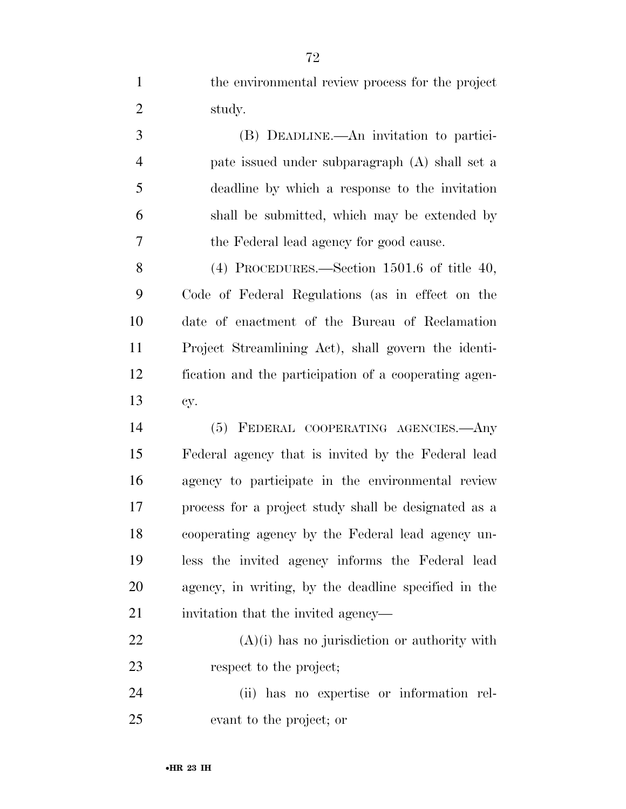the environmental review process for the project study.

 (B) DEADLINE.—An invitation to partici- pate issued under subparagraph (A) shall set a deadline by which a response to the invitation shall be submitted, which may be extended by the Federal lead agency for good cause.

 (4) PROCEDURES.—Section 1501.6 of title 40, Code of Federal Regulations (as in effect on the date of enactment of the Bureau of Reclamation Project Streamlining Act), shall govern the identi- fication and the participation of a cooperating agen-cy.

 (5) FEDERAL COOPERATING AGENCIES.—Any Federal agency that is invited by the Federal lead agency to participate in the environmental review process for a project study shall be designated as a cooperating agency by the Federal lead agency un- less the invited agency informs the Federal lead agency, in writing, by the deadline specified in the invitation that the invited agency—

 (A)(i) has no jurisdiction or authority with respect to the project;

 (ii) has no expertise or information rel-evant to the project; or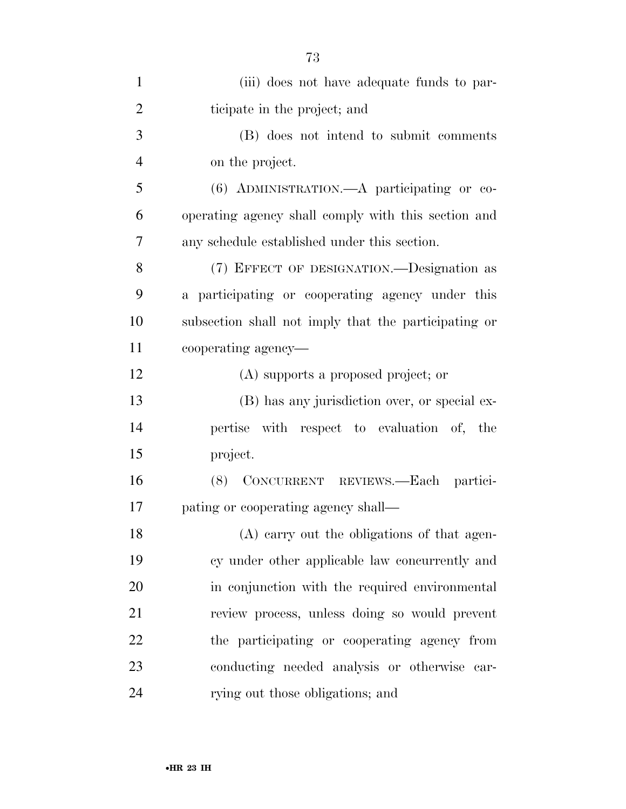| $\mathbf{1}$   | (iii) does not have adequate funds to par-           |
|----------------|------------------------------------------------------|
| $\overline{2}$ | ticipate in the project; and                         |
| 3              | (B) does not intend to submit comments               |
| $\overline{4}$ | on the project.                                      |
| 5              | (6) ADMINISTRATION.—A participating or co-           |
| 6              | operating agency shall comply with this section and  |
| 7              | any schedule established under this section.         |
| 8              | (7) EFFECT OF DESIGNATION.—Designation as            |
| 9              | a participating or cooperating agency under this     |
| 10             | subsection shall not imply that the participating or |
| 11             | cooperating agency—                                  |
| 12             | (A) supports a proposed project; or                  |
| 13             | (B) has any jurisdiction over, or special ex-        |
| 14             | pertise with respect to evaluation of, the           |
| 15             | project.                                             |
| 16             | (8) CONCURRENT REVIEWS.-Each partici-                |
| 17             | pating or cooperating agency shall—                  |
| 18             | (A) carry out the obligations of that agen-          |
| 19             | cy under other applicable law concurrently and       |
| 20             | in conjunction with the required environmental       |
| 21             | review process, unless doing so would prevent        |
| 22             | the participating or cooperating agency from         |
| 23             | conducting needed analysis or otherwise car-         |
| 24             | rying out those obligations; and                     |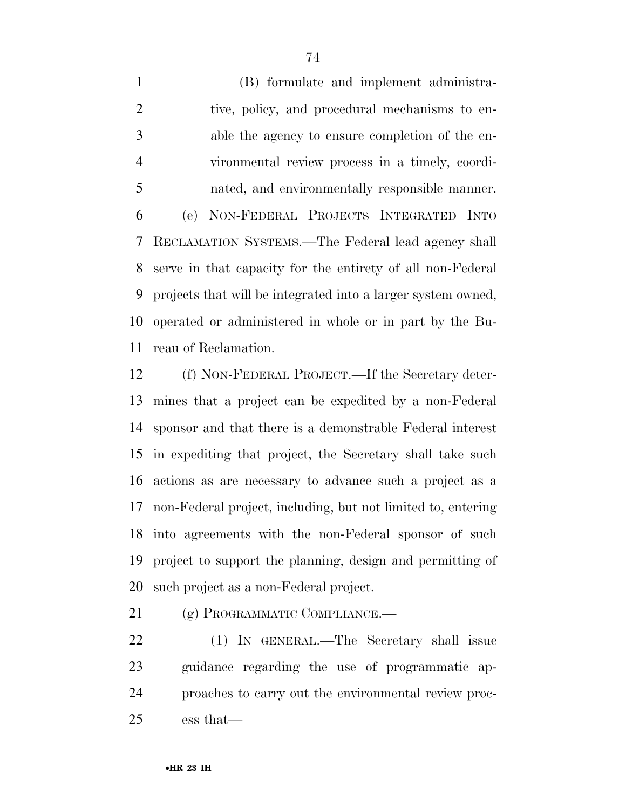(B) formulate and implement administra-2 tive, policy, and procedural mechanisms to en- able the agency to ensure completion of the en- vironmental review process in a timely, coordi- nated, and environmentally responsible manner. (e) NON-FEDERAL PROJECTS INTEGRATED INTO RECLAMATION SYSTEMS.—The Federal lead agency shall serve in that capacity for the entirety of all non-Federal projects that will be integrated into a larger system owned, operated or administered in whole or in part by the Bu-reau of Reclamation.

 (f) NON-FEDERAL PROJECT.—If the Secretary deter- mines that a project can be expedited by a non-Federal sponsor and that there is a demonstrable Federal interest in expediting that project, the Secretary shall take such actions as are necessary to advance such a project as a non-Federal project, including, but not limited to, entering into agreements with the non-Federal sponsor of such project to support the planning, design and permitting of such project as a non-Federal project.

21 (g) PROGRAMMATIC COMPLIANCE.

 (1) IN GENERAL.—The Secretary shall issue guidance regarding the use of programmatic ap- proaches to carry out the environmental review proc-ess that—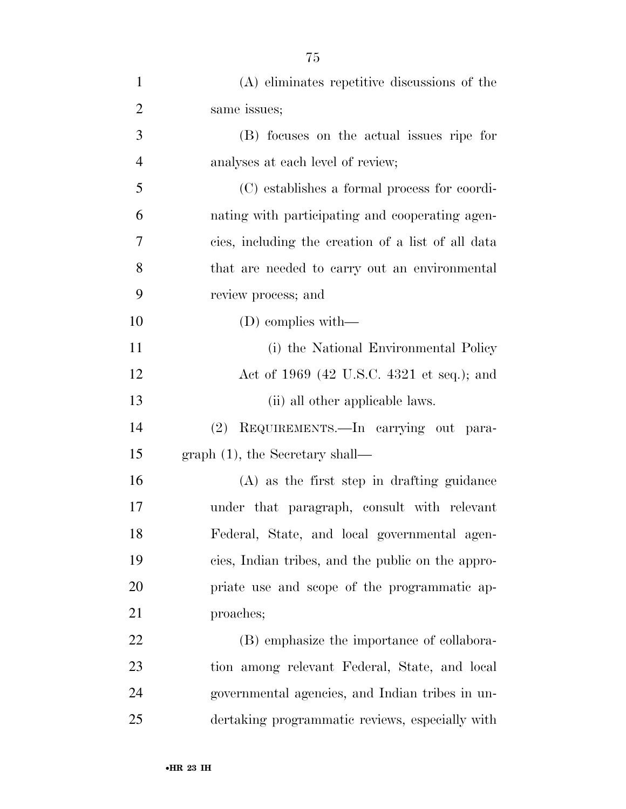| $\mathbf{1}$   | (A) eliminates repetitive discussions of the       |
|----------------|----------------------------------------------------|
| $\overline{2}$ | same issues;                                       |
| 3              | (B) focuses on the actual issues ripe for          |
| $\overline{4}$ | analyses at each level of review;                  |
| 5              | (C) establishes a formal process for coordi-       |
| 6              | nating with participating and cooperating agen-    |
| 7              | cies, including the creation of a list of all data |
| 8              | that are needed to carry out an environmental      |
| 9              | review process; and                                |
| 10             | $(D)$ complies with—                               |
| 11             | (i) the National Environmental Policy              |
| 12             | Act of 1969 (42 U.S.C. 4321 et seq.); and          |
| 13             | (ii) all other applicable laws.                    |
| 14             | REQUIREMENTS.-In carrying out para-<br>(2)         |
| 15             | $graph(1)$ , the Secretary shall—                  |
| 16             | $(A)$ as the first step in drafting guidance       |
| 17             | under that paragraph, consult with relevant        |
| 18             | Federal, State, and local governmental agen-       |
| 19             | cies, Indian tribes, and the public on the appro-  |
| 20             | priate use and scope of the programmatic ap-       |
| 21             | proaches;                                          |
| 22             | (B) emphasize the importance of collabora-         |
| 23             | tion among relevant Federal, State, and local      |
| 24             | governmental agencies, and Indian tribes in un-    |
| 25             | dertaking programmatic reviews, especially with    |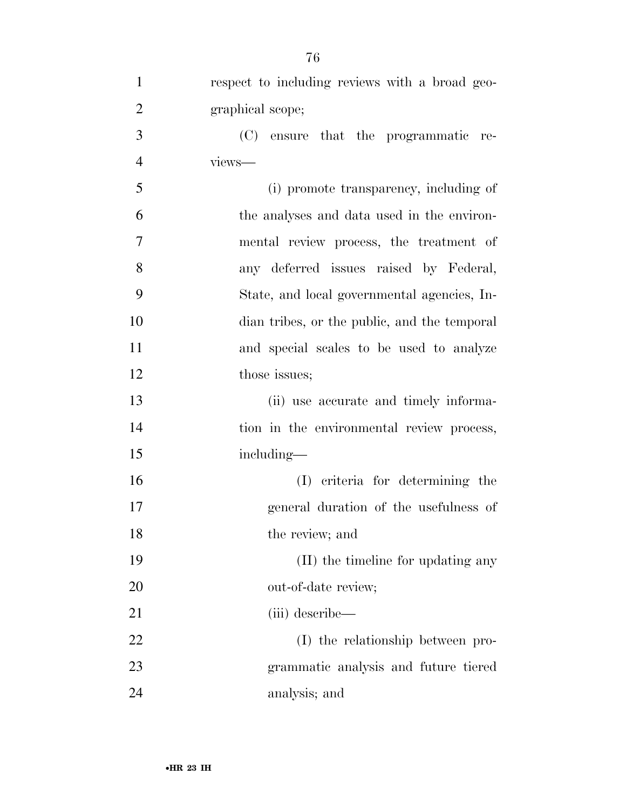| $\mathbf{1}$   | respect to including reviews with a broad geo- |
|----------------|------------------------------------------------|
| $\overline{2}$ | graphical scope;                               |
| 3              | (C)<br>ensure that the programmatic<br>re-     |
| $\overline{4}$ | views-                                         |
| 5              | (i) promote transparency, including of         |
| 6              | the analyses and data used in the environ-     |
| 7              | mental review process, the treatment of        |
| 8              | any deferred issues raised by Federal,         |
| 9              | State, and local governmental agencies, In-    |
| 10             | dian tribes, or the public, and the temporal   |
| 11             | and special scales to be used to analyze       |
| 12             | those issues;                                  |
| 13             | (ii) use accurate and timely informa-          |
| 14             | tion in the environmental review process,      |
| 15             | including—                                     |
| 16             | (I) criteria for determining the               |
| 17             | general duration of the usefulness of          |
| 18             | the review; and                                |
| 19             | (II) the timeline for updating any             |
| 20             | out-of-date review;                            |
| 21             | (iii) describe—                                |
| 22             | (I) the relationship between pro-              |
| 23             | grammatic analysis and future tiered           |
| 24             | analysis; and                                  |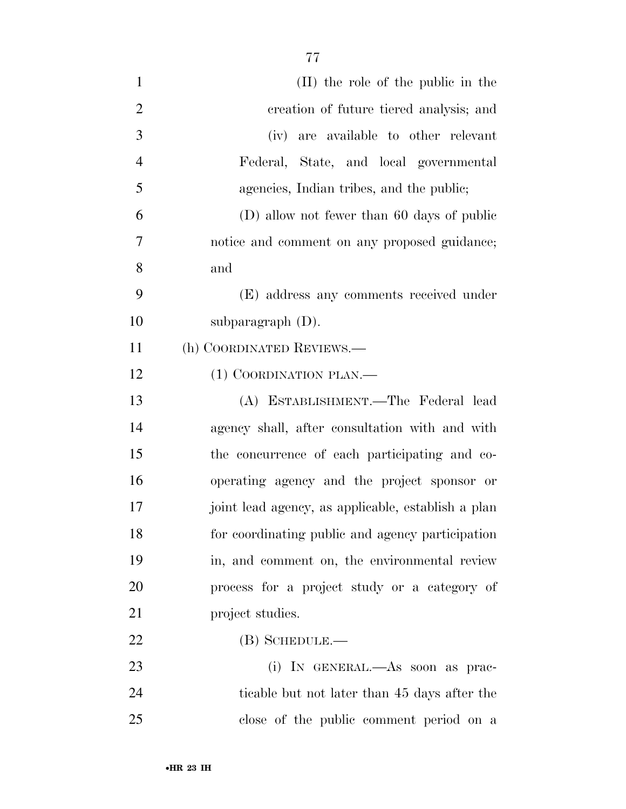| $\mathbf{1}$   | (II) the role of the public in the                 |
|----------------|----------------------------------------------------|
| $\overline{2}$ | creation of future tiered analysis; and            |
| 3              | (iv) are available to other relevant               |
| $\overline{4}$ | Federal, State, and local governmental             |
| 5              | agencies, Indian tribes, and the public;           |
| 6              | (D) allow not fewer than 60 days of public         |
| 7              | notice and comment on any proposed guidance;       |
| 8              | and                                                |
| 9              | (E) address any comments received under            |
| 10             | subparagraph (D).                                  |
| 11             | (h) COORDINATED REVIEWS.—                          |
| 12             | (1) COORDINATION PLAN.—                            |
| 13             | (A) ESTABLISHMENT.—The Federal lead                |
| 14             | agency shall, after consultation with and with     |
| 15             | the concurrence of each participating and co-      |
| 16             | operating agency and the project sponsor or        |
| 17             | joint lead agency, as applicable, establish a plan |
| 18             | for coordinating public and agency participation   |
| 19             | in, and comment on, the environmental review       |
| 20             | process for a project study or a category of       |
| 21             | project studies.                                   |
| 22             | $(B)$ SCHEDULE.—                                   |
| 23             | (i) IN GENERAL.—As soon as prac-                   |
| 24             | ticable but not later than 45 days after the       |
| 25             | close of the public comment period on a            |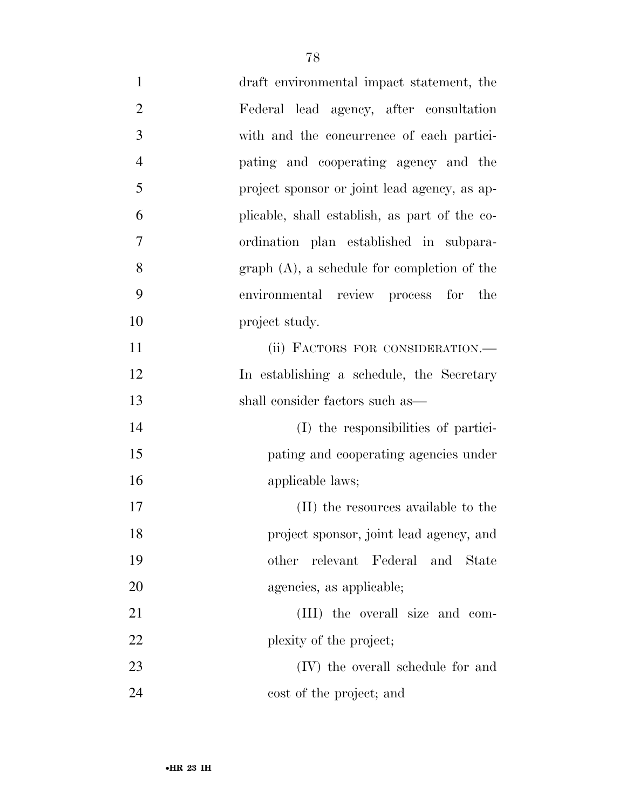| $\mathbf{1}$   | draft environmental impact statement, the     |
|----------------|-----------------------------------------------|
| $\overline{2}$ | Federal lead agency, after consultation       |
| 3              | with and the concurrence of each partici-     |
| $\overline{4}$ | pating and cooperating agency and the         |
| 5              | project sponsor or joint lead agency, as ap-  |
| 6              | plicable, shall establish, as part of the co- |
| $\overline{7}$ | ordination plan established in subpara-       |
| 8              | $graph(A)$ , a schedule for completion of the |
| 9              | environmental review process for the          |
| 10             | project study.                                |
| 11             | (ii) FACTORS FOR CONSIDERATION.-              |
| 12             | In establishing a schedule, the Secretary     |
| 13             | shall consider factors such as—               |
| 14             | (I) the responsibilities of partici-          |
| 15             | pating and cooperating agencies under         |
| 16             | applicable laws;                              |
| 17             | (II) the resources available to the           |
| 18             | project sponsor, joint lead agency, and       |
| 19             | relevant Federal and State<br>other           |
| <b>20</b>      | agencies, as applicable;                      |
| 21             | (III) the overall size and com-               |
| 22             | plexity of the project;                       |
| 23             | (IV) the overall schedule for and             |
| 24             | cost of the project; and                      |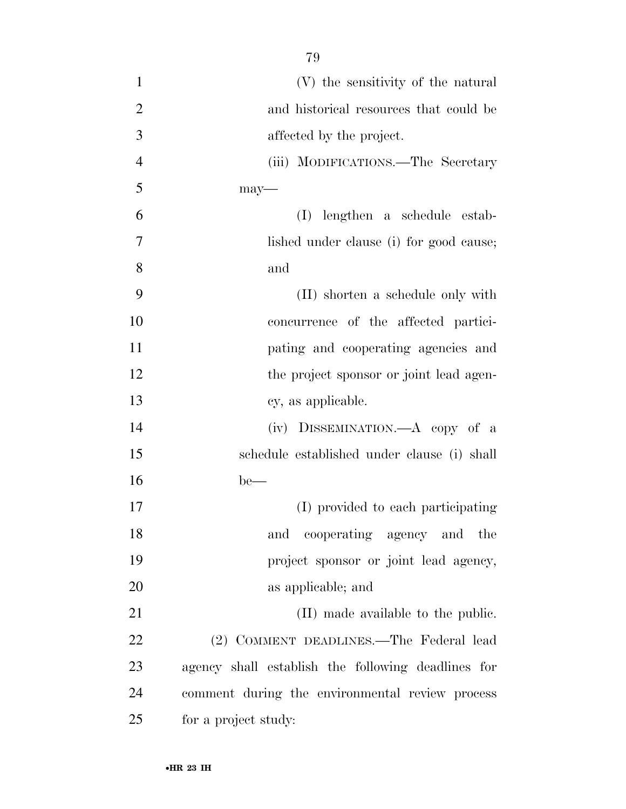| $\mathbf{1}$   | (V) the sensitivity of the natural                 |
|----------------|----------------------------------------------------|
| $\overline{2}$ | and historical resources that could be             |
| 3              | affected by the project.                           |
| $\overline{4}$ | (iii) MODIFICATIONS.—The Secretary                 |
| 5              | $may$ —                                            |
| 6              | (I)<br>lengthen a schedule estab-                  |
| 7              | lished under clause (i) for good cause;            |
| 8              | and                                                |
| 9              | (II) shorten a schedule only with                  |
| 10             | concurrence of the affected partici-               |
| 11             | pating and cooperating agencies and                |
| 12             | the project sponsor or joint lead agen-            |
| 13             | cy, as applicable.                                 |
| 14             | (iv) DISSEMINATION.—A copy of a                    |
| 15             | schedule established under clause (i) shall        |
| 16             | $be$ —                                             |
| 17             | (I) provided to each participating                 |
| 18             | and cooperating agency and the                     |
| 19             | project sponsor or joint lead agency,              |
| 20             | as applicable; and                                 |
| 21             | (II) made available to the public.                 |
| 22             | (2) COMMENT DEADLINES.—The Federal lead            |
| 23             | agency shall establish the following deadlines for |
| 24             | comment during the environmental review process    |
| 25             | for a project study:                               |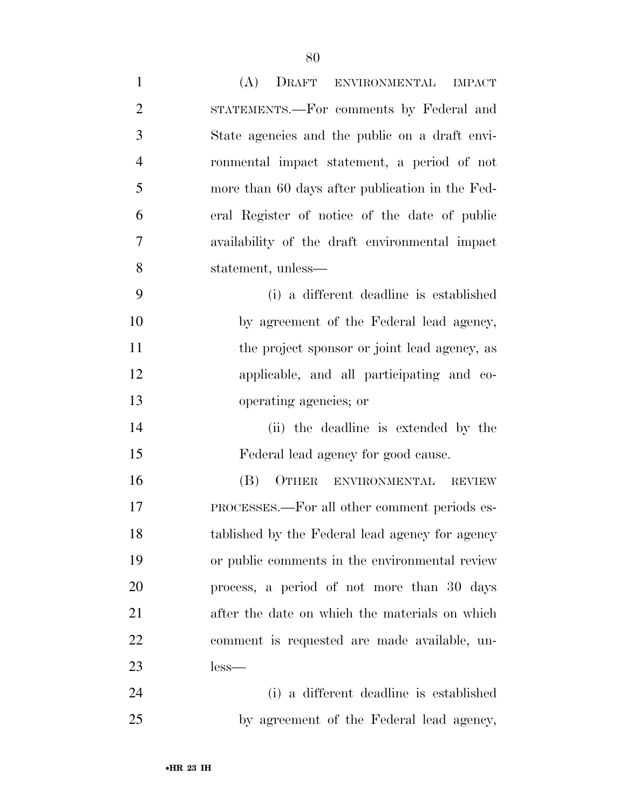| $\mathbf{1}$   | (A)<br>DRAFT ENVIRONMENTAL IMPACT               |
|----------------|-------------------------------------------------|
| $\overline{2}$ | STATEMENTS.—For comments by Federal and         |
| 3              | State agencies and the public on a draft envi-  |
| $\overline{4}$ | ronmental impact statement, a period of not     |
| 5              | more than 60 days after publication in the Fed- |
| 6              | eral Register of notice of the date of public   |
| 7              | availability of the draft environmental impact  |
| 8              | statement, unless—                              |
| 9              | (i) a different deadline is established         |
| 10             | by agreement of the Federal lead agency,        |
| 11             | the project sponsor or joint lead agency, as    |
| 12             | applicable, and all participating and co-       |
| 13             | operating agencies; or                          |
| 14             | (ii) the deadline is extended by the            |
| 15             | Federal lead agency for good cause.             |
| 16             | (B)<br>OTHER<br>ENVIRONMENTAL REVIEW            |
| 17             | PROCESSES.—For all other comment periods es-    |
| 18             | tablished by the Federal lead agency for agency |
| 19             | or public comments in the environmental review  |
| 20             | process, a period of not more than 30 days      |
| 21             | after the date on which the materials on which  |
| 22             | comment is requested are made available, un-    |
| 23             | $less-$                                         |
| 24             | (i) a different deadline is established         |
| 25             | by agreement of the Federal lead agency,        |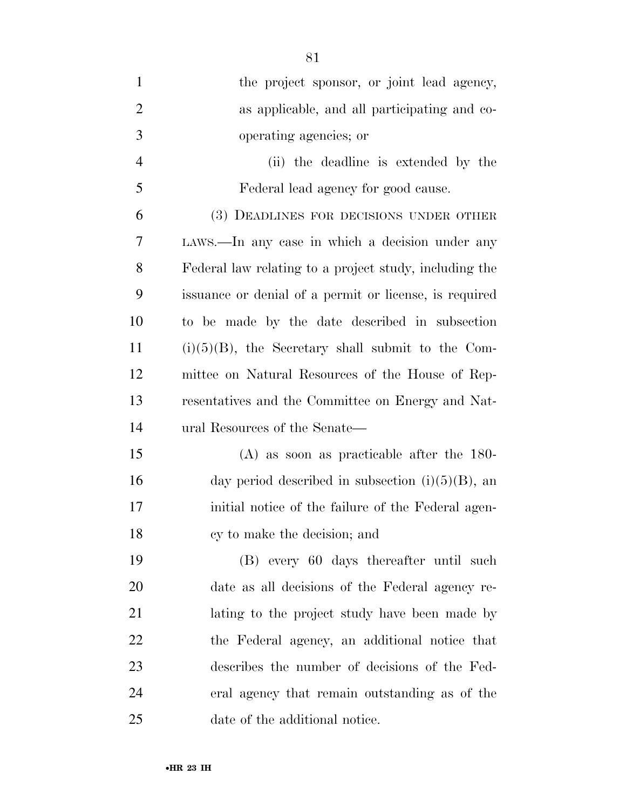| $\mathbf{1}$   | the project sponsor, or joint lead agency,             |
|----------------|--------------------------------------------------------|
| $\overline{2}$ | as applicable, and all participating and co-           |
| 3              | operating agencies; or                                 |
| $\overline{4}$ | (ii) the deadline is extended by the                   |
| 5              | Federal lead agency for good cause.                    |
| 6              | (3) DEADLINES FOR DECISIONS UNDER OTHER                |
| 7              | LAWS.—In any case in which a decision under any        |
| 8              | Federal law relating to a project study, including the |
| 9              | issuance or denial of a permit or license, is required |
| 10             | to be made by the date described in subsection         |
| 11             | $(i)(5)(B)$ , the Secretary shall submit to the Com-   |
| 12             | mittee on Natural Resources of the House of Rep-       |
| 13             | resentatives and the Committee on Energy and Nat-      |
| 14             | ural Resources of the Senate—                          |
| 15             | $(A)$ as soon as practicable after the 180-            |
| 16             | day period described in subsection $(i)(5)(B)$ , an    |
| 17             | initial notice of the failure of the Federal agen-     |
| 18             | cy to make the decision; and                           |
| 19             | (B) every 60 days thereafter until such                |
| 20             | date as all decisions of the Federal agency re-        |
| 21             | lating to the project study have been made by          |
| 22             | the Federal agency, an additional notice that          |
| 23             | describes the number of decisions of the Fed-          |
| 24             | eral agency that remain outstanding as of the          |
| 25             | date of the additional notice.                         |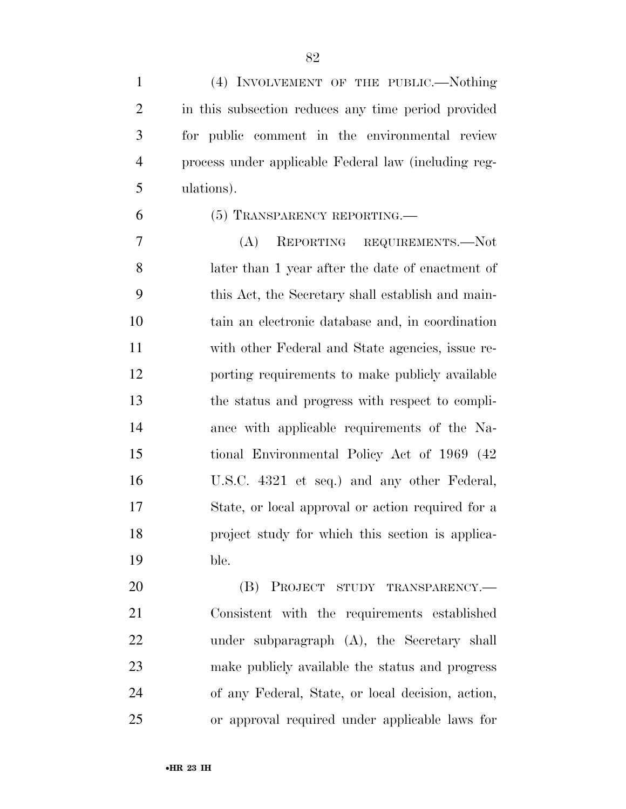(4) INVOLVEMENT OF THE PUBLIC.—Nothing in this subsection reduces any time period provided for public comment in the environmental review process under applicable Federal law (including reg-ulations).

(5) TRANSPARENCY REPORTING.—

 (A) REPORTING REQUIREMENTS.—Not later than 1 year after the date of enactment of this Act, the Secretary shall establish and main- tain an electronic database and, in coordination with other Federal and State agencies, issue re- porting requirements to make publicly available the status and progress with respect to compli- ance with applicable requirements of the Na- tional Environmental Policy Act of 1969 (42 U.S.C. 4321 et seq.) and any other Federal, State, or local approval or action required for a project study for which this section is applica-ble.

20 (B) PROJECT STUDY TRANSPARENCY.— Consistent with the requirements established under subparagraph (A), the Secretary shall make publicly available the status and progress of any Federal, State, or local decision, action, or approval required under applicable laws for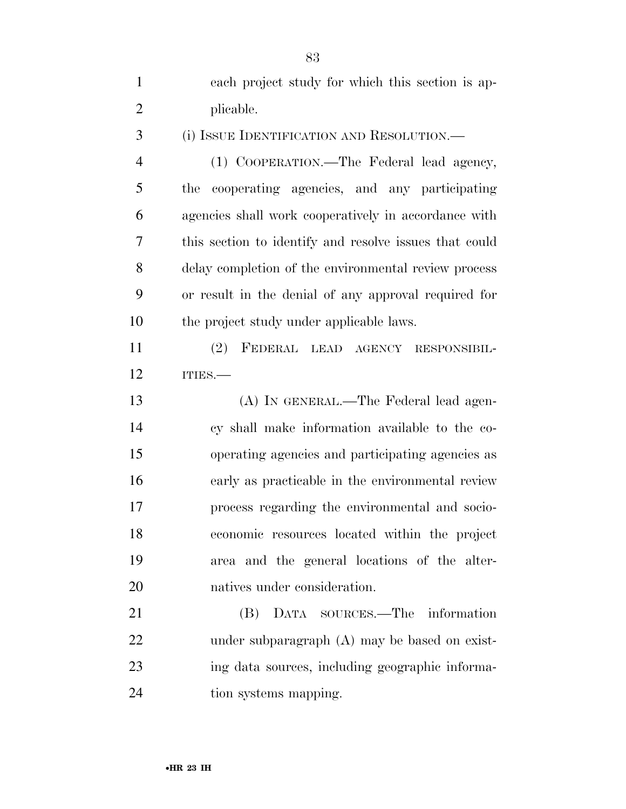| $\mathbf{1}$   | each project study for which this section is ap-       |
|----------------|--------------------------------------------------------|
| $\overline{2}$ | plicable.                                              |
| 3              | (i) ISSUE IDENTIFICATION AND RESOLUTION.—              |
| $\overline{4}$ | (1) COOPERATION.—The Federal lead agency,              |
| 5              | cooperating agencies, and any participating<br>the     |
| 6              | agencies shall work cooperatively in accordance with   |
| 7              | this section to identify and resolve issues that could |
| 8              | delay completion of the environmental review process   |
| 9              | or result in the denial of any approval required for   |
| 10             | the project study under applicable laws.               |
| 11             | FEDERAL LEAD AGENCY<br>(2)<br>RESPONSIBIL-             |
| 12             | ITIES.                                                 |
| 13             | (A) IN GENERAL.—The Federal lead agen-                 |
| 14             | cy shall make information available to the co-         |
| 15             | operating agencies and participating agencies as       |
| 16             | early as practicable in the environmental review       |
| 17             | process regarding the environmental and socio-         |
| 18             | economic resources located within the project          |
| 19             | area and the general locations of the alter-           |
| 20             | natives under consideration.                           |
| 21             | DATA SOURCES.—The information<br>(B)                   |
| 22             | under subparagraph (A) may be based on exist-          |
| 23             | ing data sources, including geographic informa-        |
| 24             | tion systems mapping.                                  |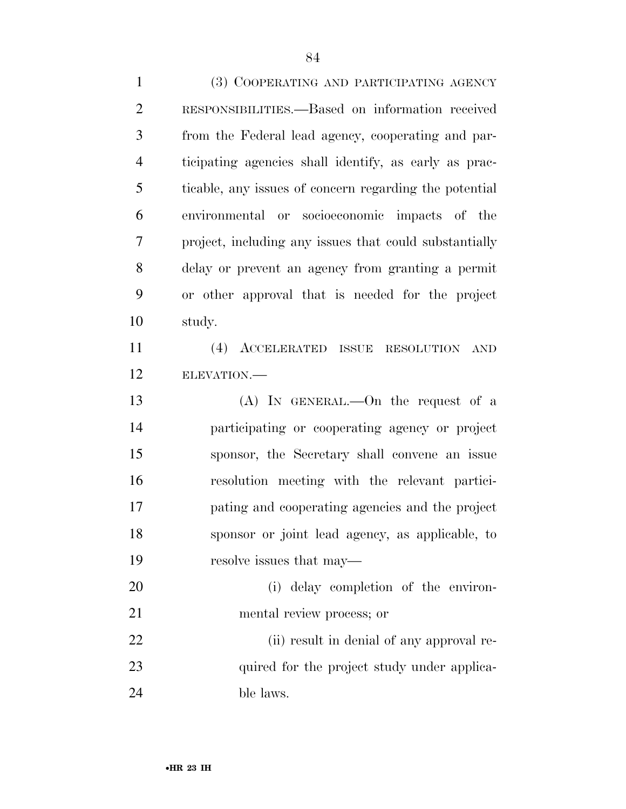(3) COOPERATING AND PARTICIPATING AGENCY RESPONSIBILITIES.—Based on information received from the Federal lead agency, cooperating and par- ticipating agencies shall identify, as early as prac- ticable, any issues of concern regarding the potential environmental or socioeconomic impacts of the project, including any issues that could substantially delay or prevent an agency from granting a permit or other approval that is needed for the project study. (4) ACCELERATED ISSUE RESOLUTION AND ELEVATION.— (A) IN GENERAL.—On the request of a participating or cooperating agency or project sponsor, the Secretary shall convene an issue resolution meeting with the relevant partici- pating and cooperating agencies and the project sponsor or joint lead agency, as applicable, to resolve issues that may— (i) delay completion of the environ- mental review process; or (ii) result in denial of any approval re-23 quired for the project study under applica-ble laws.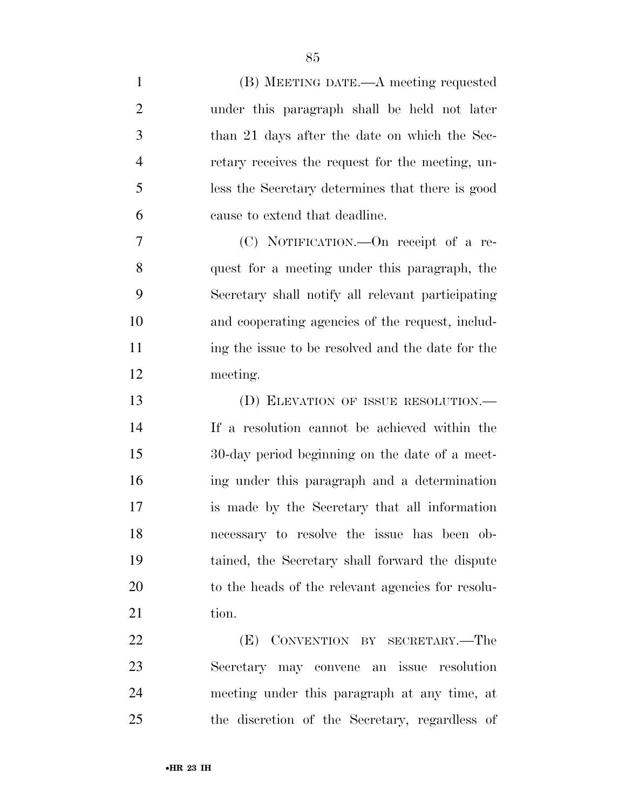| $\mathbf{1}$   | (B) MEETING DATE.—A meeting requested             |
|----------------|---------------------------------------------------|
| $\overline{2}$ | under this paragraph shall be held not later      |
| 3              | than 21 days after the date on which the Sec-     |
| $\overline{4}$ | retary receives the request for the meeting, un-  |
| 5              | less the Secretary determines that there is good  |
| 6              | cause to extend that deadline.                    |
| 7              | (C) NOTIFICATION.—On receipt of a re-             |
| 8              | quest for a meeting under this paragraph, the     |
| 9              | Secretary shall notify all relevant participating |
| 10             | and cooperating agencies of the request, includ-  |
| 11             | ing the issue to be resolved and the date for the |
| 12             | meeting.                                          |
| 13             | (D) ELEVATION OF ISSUE RESOLUTION.—               |
| 14             | If a resolution cannot be achieved within the     |
| 15             | 30-day period beginning on the date of a meet-    |
| 16             | ing under this paragraph and a determination      |
| 17             | is made by the Secretary that all information     |
| 18             | necessary to resolve the issue has been ob-       |
| 19             | tained, the Secretary shall forward the dispute   |
| 20             | to the heads of the relevant agencies for resolu- |
| 21             | tion.                                             |
| 22             | (E) CONVENTION BY SECRETARY.—The                  |
| 23             | Secretary may convene an issue resolution         |
| 24             | meeting under this paragraph at any time, at      |
| 25             | the discretion of the Secretary, regardless of    |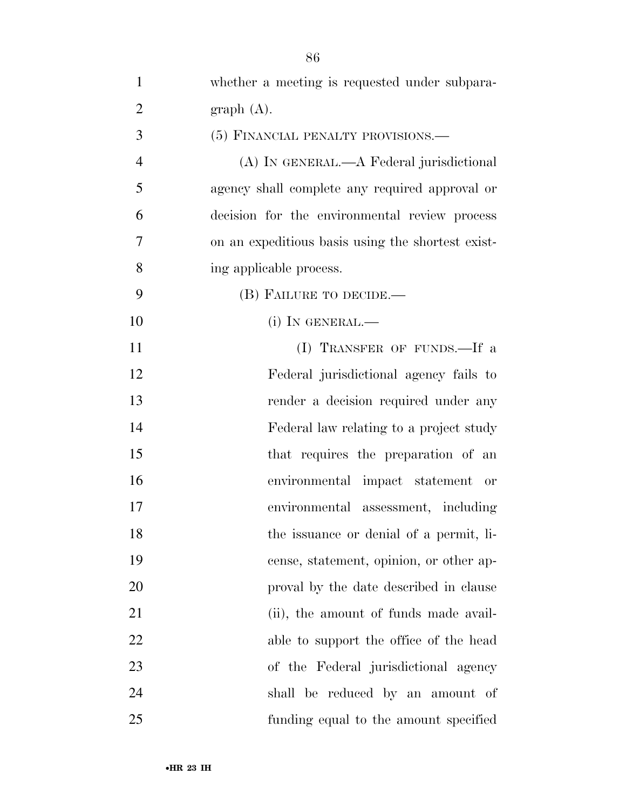| $\mathbf{1}$   | whether a meeting is requested under subpara-     |
|----------------|---------------------------------------------------|
| $\overline{2}$ | graph(A).                                         |
| 3              | (5) FINANCIAL PENALTY PROVISIONS.—                |
| $\overline{4}$ | (A) IN GENERAL.—A Federal jurisdictional          |
| 5              | agency shall complete any required approval or    |
| 6              | decision for the environmental review process     |
| 7              | on an expeditious basis using the shortest exist- |
| 8              | ing applicable process.                           |
| 9              | (B) FAILURE TO DECIDE.—                           |
| 10             | $(i)$ In GENERAL.—                                |
| 11             | (I) TRANSFER OF FUNDS.—If a                       |
| 12             | Federal jurisdictional agency fails to            |
| 13             | render a decision required under any              |
| 14             | Federal law relating to a project study           |
| 15             | that requires the preparation of an               |
| 16             | environmental impact statement or                 |
| 17             | environmental assessment, including               |
| 18             | the issuance or denial of a permit, li-           |
| 19             | cense, statement, opinion, or other ap-           |
| 20             | proval by the date described in clause            |
| 21             | (ii), the amount of funds made avail-             |
| 22             | able to support the office of the head            |
| 23             | of the Federal jurisdictional agency              |
| 24             | shall be reduced by an amount of                  |
| 25             | funding equal to the amount specified             |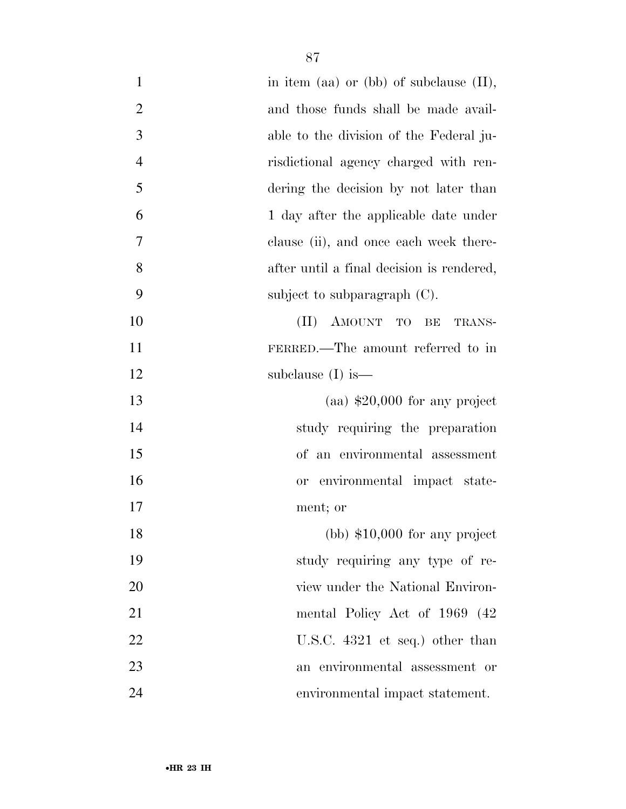| $\mathbf{1}$   | in item (aa) or (bb) of subclause $(II)$ ,              |
|----------------|---------------------------------------------------------|
| $\overline{2}$ | and those funds shall be made avail-                    |
| 3              | able to the division of the Federal ju-                 |
| $\overline{4}$ | risdictional agency charged with ren-                   |
| 5              | dering the decision by not later than                   |
| 6              | 1 day after the applicable date under                   |
| 7              | clause (ii), and once each week there-                  |
| 8              | after until a final decision is rendered,               |
| 9              | subject to subparagraph $(C)$ .                         |
| 10             | AMOUNT TO<br>$(\Pi)^{\mathsf{T}}$<br>$\rm BE$<br>TRANS- |
| 11             | FERRED.—The amount referred to in                       |
| 12             | subclause $(I)$ is —                                    |
| 13             | $(aa)$ \$20,000 for any project                         |
| 14             | study requiring the preparation                         |
| 15             | of an environmental assessment                          |
| 16             | environmental impact state-<br>or                       |
| 17             | ment; or                                                |
| 18             | $(bb)$ \$10,000 for any project                         |
| 19             | study requiring any type of re-                         |
| 20             | view under the National Environ-                        |
| 21             | mental Policy Act of 1969 (42)                          |
| 22             | U.S.C. $4321$ et seq.) other than                       |
| 23             | an environmental assessment or                          |
| 24             | environmental impact statement.                         |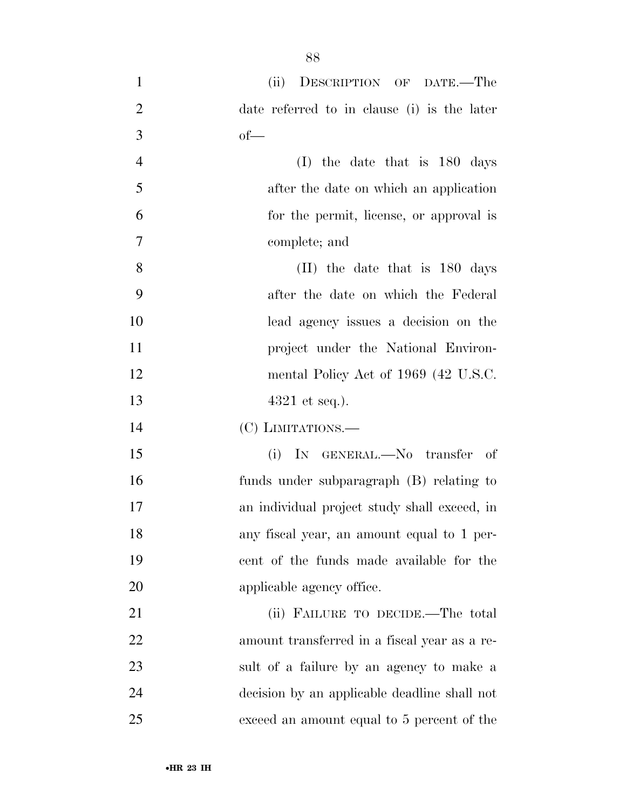(ii) DESCRIPTION OF DATE.—The date referred to in clause (i) is the later  $3 \t\t\t of$  (I) the date that is 180 days after the date on which an application for the permit, license, or approval is complete; and (II) the date that is 180 days after the date on which the Federal lead agency issues a decision on the **project** under the National Environ-12 mental Policy Act of 1969 (42 U.S.C. 13 4321 et seq.). (C) LIMITATIONS.— (i) IN GENERAL.—No transfer of funds under subparagraph (B) relating to an individual project study shall exceed, in any fiscal year, an amount equal to 1 per- cent of the funds made available for the 20 applicable agency office. 21 (ii) FAILURE TO DECIDE.—The total amount transferred in a fiscal year as a re- sult of a failure by an agency to make a decision by an applicable deadline shall not exceed an amount equal to 5 percent of the

•**HR 23 IH**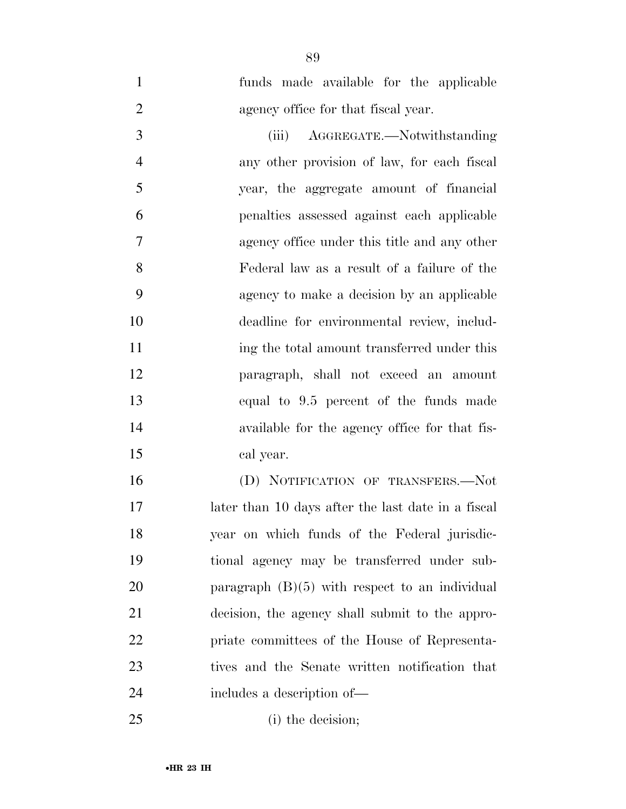funds made available for the applicable 2 agency office for that fiscal year.

 (iii) AGGREGATE.—Notwithstanding any other provision of law, for each fiscal year, the aggregate amount of financial penalties assessed against each applicable agency office under this title and any other Federal law as a result of a failure of the agency to make a decision by an applicable deadline for environmental review, includ-11 ing the total amount transferred under this paragraph, shall not exceed an amount equal to 9.5 percent of the funds made available for the agency office for that fis-cal year.

 (D) NOTIFICATION OF TRANSFERS.—Not later than 10 days after the last date in a fiscal year on which funds of the Federal jurisdic- tional agency may be transferred under sub- paragraph (B)(5) with respect to an individual decision, the agency shall submit to the appro- priate committees of the House of Representa- tives and the Senate written notification that includes a description of—

(i) the decision;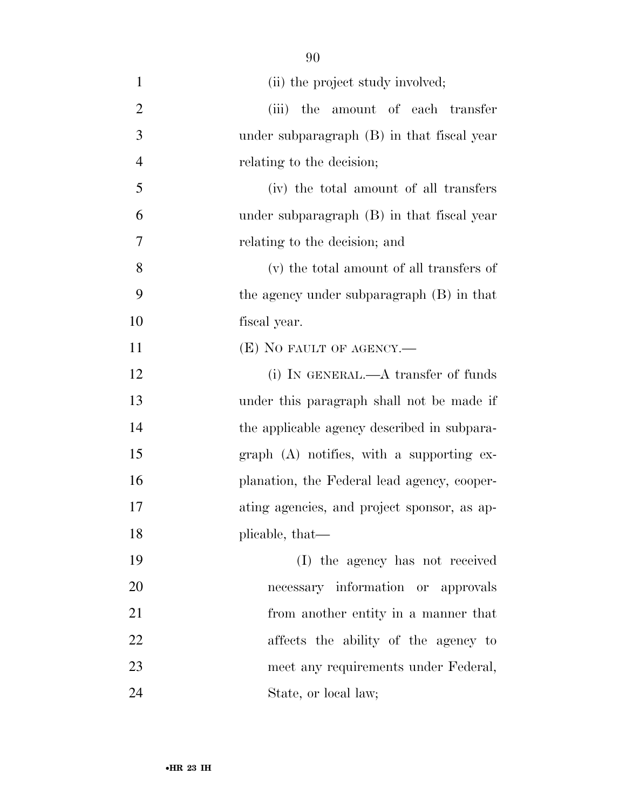- 1 (ii) the project study involved; 2 (iii) the amount of each transfer under subparagraph (B) in that fiscal year relating to the decision; (iv) the total amount of all transfers under subparagraph (B) in that fiscal year relating to the decision; and (v) the total amount of all transfers of the agency under subparagraph (B) in that fiscal year. **(E)** NO FAULT OF AGENCY.— 12 (i) IN GENERAL.—A transfer of funds under this paragraph shall not be made if 14 the applicable agency described in subpara- graph (A) notifies, with a supporting ex- planation, the Federal lead agency, cooper- ating agencies, and project sponsor, as ap-18 plicable, that— (I) the agency has not received necessary information or approvals from another entity in a manner that affects the ability of the agency to meet any requirements under Federal, 24 State, or local law;
	- •**HR 23 IH**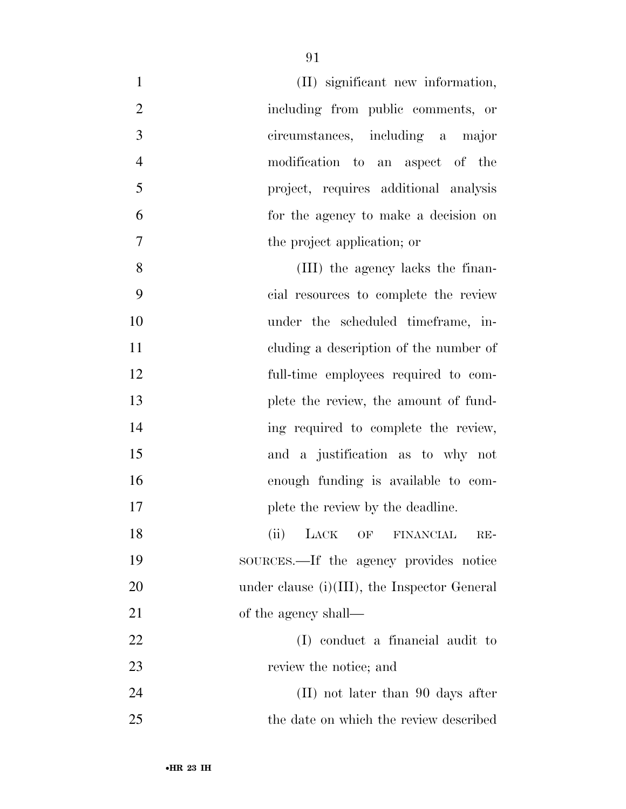| $\mathbf{1}$<br>(II) significant new information,     |  |
|-------------------------------------------------------|--|
| $\mathfrak{2}$<br>including from public comments, or  |  |
| 3<br>circumstances, including a major                 |  |
| $\overline{4}$<br>modification to an aspect of the    |  |
| 5<br>project, requires additional analysis            |  |
| 6<br>for the agency to make a decision on             |  |
| $\overline{7}$<br>the project application; or         |  |
| 8<br>(III) the agency lacks the finan-                |  |
| 9<br>cial resources to complete the review            |  |
| 10<br>under the scheduled timeframe, in-              |  |
| 11<br>eluding a description of the number of          |  |
| 12<br>full-time employees required to com-            |  |
| 13<br>plete the review, the amount of fund-           |  |
| 14<br>ing required to complete the review,            |  |
| 15<br>and a justification as to why not               |  |
| 16<br>enough funding is available to com-             |  |
| 17<br>plete the review by the deadline.               |  |
| 18<br>(ii) LACK OF FINANCIAL RE-                      |  |
| 19<br>sources.—If the agency provides notice          |  |
| 20<br>under clause $(i)(III)$ , the Inspector General |  |
| 21<br>of the agency shall—                            |  |
| 22<br>(I) conduct a financial audit to                |  |
| 23<br>review the notice; and                          |  |
| 24<br>$(II)$ not later than 90 days after             |  |
| 25<br>the date on which the review described          |  |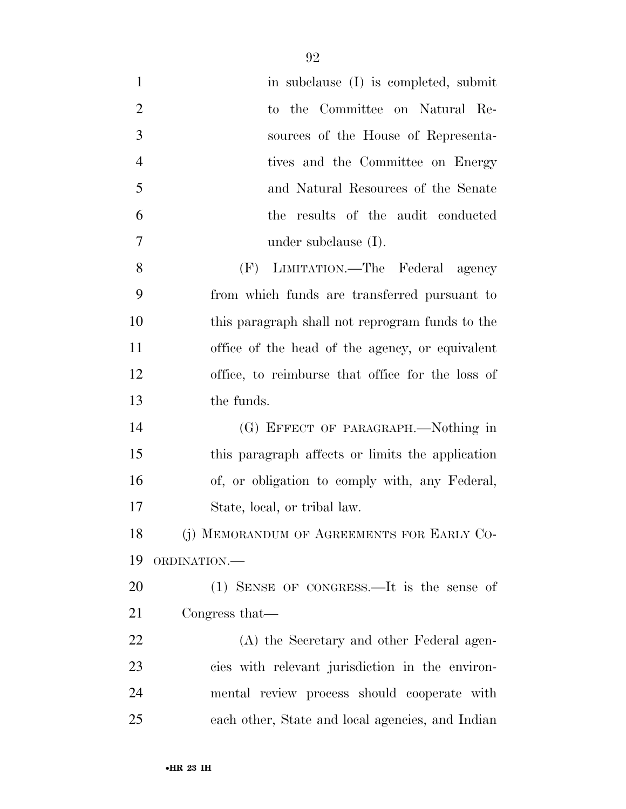| $\mathbf{1}$   | in subclause (I) is completed, submit            |
|----------------|--------------------------------------------------|
| $\overline{2}$ | to the Committee on Natural Re-                  |
| $\mathfrak{Z}$ | sources of the House of Representa-              |
| $\overline{4}$ | tives and the Committee on Energy                |
| 5              | and Natural Resources of the Senate              |
| 6              | the results of the audit conducted               |
| 7              | under subclause $(I)$ .                          |
| 8              | LIMITATION.—The Federal agency<br>(F)            |
| 9              | from which funds are transferred pursuant to     |
| 10             | this paragraph shall not reprogram funds to the  |
| 11             | office of the head of the agency, or equivalent  |
| 12             | office, to reimburse that office for the loss of |
| 13             | the funds.                                       |
| 14             | (G) EFFECT OF PARAGRAPH.—Nothing in              |
| 15             | this paragraph affects or limits the application |
| 16             | of, or obligation to comply with, any Federal,   |
| 17             | State, local, or tribal law.                     |
| 18             | (j) MEMORANDUM OF AGREEMENTS FOR EARLY CO-       |
| 19             | ORDINATION.-                                     |
| 20             | $(1)$ SENSE OF CONGRESS.—It is the sense of      |
| 21             | Congress that—                                   |
| 22             | (A) the Secretary and other Federal agen-        |
| 23             | cies with relevant jurisdiction in the environ-  |
| 24             | mental review process should cooperate with      |
| 25             | each other, State and local agencies, and Indian |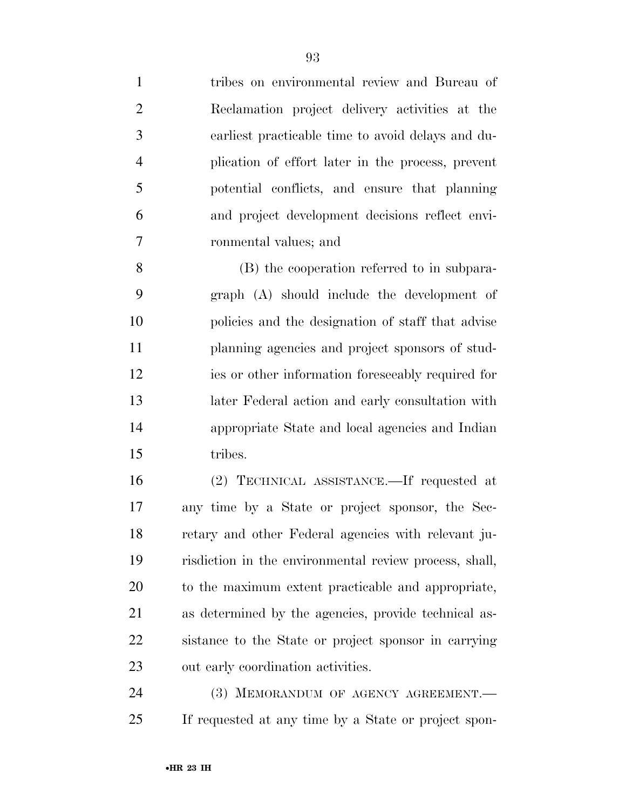tribes on environmental review and Bureau of Reclamation project delivery activities at the earliest practicable time to avoid delays and du- plication of effort later in the process, prevent potential conflicts, and ensure that planning and project development decisions reflect envi- ronmental values; and (B) the cooperation referred to in subpara- graph (A) should include the development of policies and the designation of staff that advise planning agencies and project sponsors of stud- ies or other information foreseeably required for later Federal action and early consultation with appropriate State and local agencies and Indian

tribes.

 (2) TECHNICAL ASSISTANCE.—If requested at any time by a State or project sponsor, the Sec- retary and other Federal agencies with relevant ju- risdiction in the environmental review process, shall, to the maximum extent practicable and appropriate, as determined by the agencies, provide technical as- sistance to the State or project sponsor in carrying out early coordination activities.

24 (3) MEMORANDUM OF AGENCY AGREEMENT. If requested at any time by a State or project spon-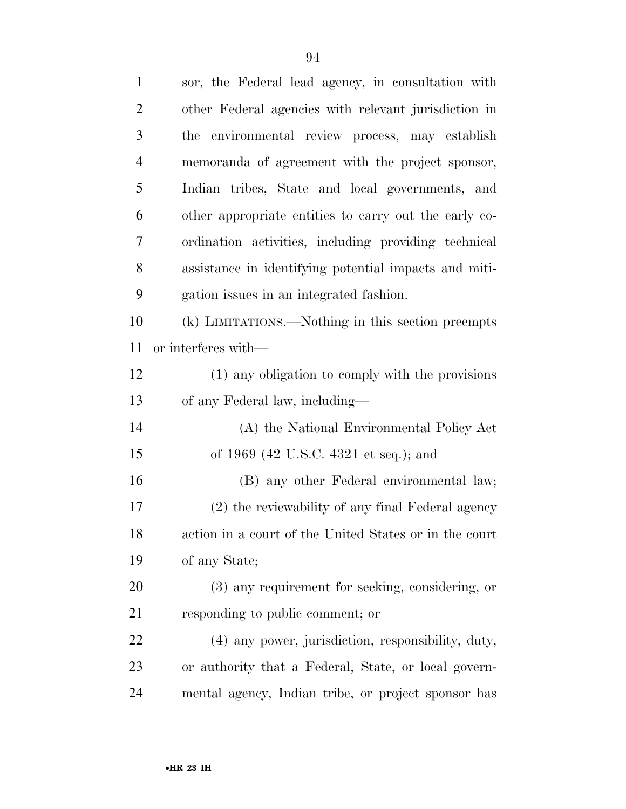| $\mathbf{1}$   | sor, the Federal lead agency, in consultation with     |
|----------------|--------------------------------------------------------|
| $\overline{2}$ | other Federal agencies with relevant jurisdiction in   |
| 3              | the environmental review process, may establish        |
| $\overline{4}$ | memoranda of agreement with the project sponsor,       |
| 5              | Indian tribes, State and local governments, and        |
| 6              | other appropriate entities to carry out the early co-  |
| 7              | ordination activities, including providing technical   |
| 8              | assistance in identifying potential impacts and miti-  |
| 9              | gation issues in an integrated fashion.                |
| 10             | (k) LIMITATIONS.—Nothing in this section preempts      |
| 11             | or interferes with—                                    |
| 12             | (1) any obligation to comply with the provisions       |
| 13             | of any Federal law, including—                         |
| 14             | (A) the National Environmental Policy Act              |
| 15             | of 1969 (42 U.S.C. 4321 et seq.); and                  |
| 16             | (B) any other Federal environmental law;               |
| 17             | (2) the reviewability of any final Federal agency      |
| 18             | action in a court of the United States or in the court |
| 19             | of any State;                                          |
| 20             | (3) any requirement for seeking, considering, or       |
| 21             | responding to public comment; or                       |
| 22             | (4) any power, jurisdiction, responsibility, duty,     |
| 23             | or authority that a Federal, State, or local govern-   |
| 24             | mental agency, Indian tribe, or project sponsor has    |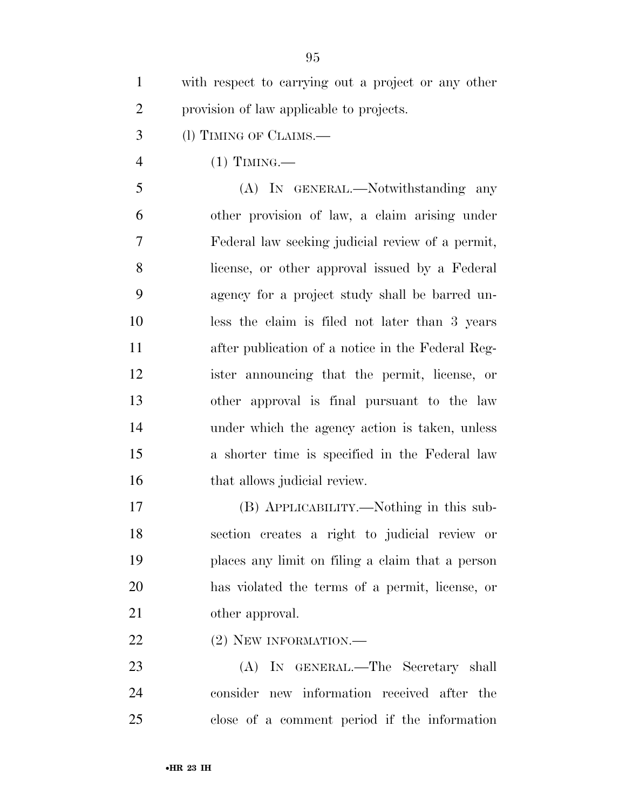| $\overline{2}$ | provision of law applicable to projects.          |
|----------------|---------------------------------------------------|
| 3              | (1) TIMING OF CLAIMS.—                            |
| $\overline{4}$ | $(1)$ TIMING.—                                    |
| 5              | (A) IN GENERAL.—Notwithstanding any               |
| 6              | other provision of law, a claim arising under     |
| $\overline{7}$ | Federal law seeking judicial review of a permit,  |
| 8              | license, or other approval issued by a Federal    |
| 9              | agency for a project study shall be barred un-    |
| 10             | less the claim is filed not later than 3 years    |
| 11             | after publication of a notice in the Federal Reg- |
| 12             | ister announcing that the permit, license, or     |
| 13             | other approval is final pursuant to the law       |
| 14             | under which the agency action is taken, unless    |
| 15             | a shorter time is specified in the Federal law    |
| 16             | that allows judicial review.                      |
| 17             | (B) APPLICABILITY.—Nothing in this sub-           |
| 18             | section creates a right to judicial review or     |
| 19             | places any limit on filing a claim that a person  |
| 20             | has violated the terms of a permit, license, or   |
| 21             | other approval.                                   |
| 22             | (2) NEW INFORMATION.-                             |

 (A) IN GENERAL.—The Secretary shall consider new information received after the close of a comment period if the information

with respect to carrying out a project or any other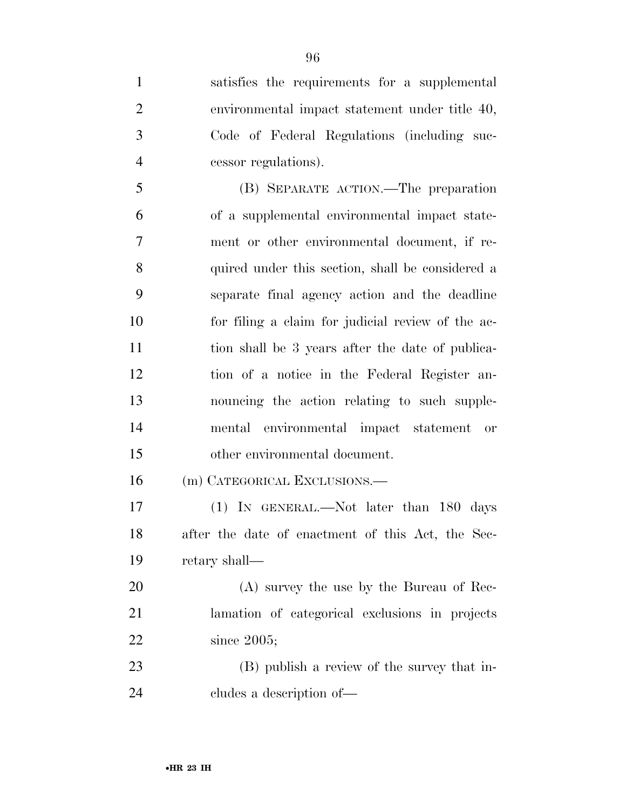satisfies the requirements for a supplemental environmental impact statement under title 40, Code of Federal Regulations (including suc- cessor regulations). (B) SEPARATE ACTION.—The preparation of a supplemental environmental impact state- ment or other environmental document, if re- quired under this section, shall be considered a separate final agency action and the deadline for filing a claim for judicial review of the ac- tion shall be 3 years after the date of publica- tion of a notice in the Federal Register an- nouncing the action relating to such supple- mental environmental impact statement or other environmental document. (m) CATEGORICAL EXCLUSIONS.— (1) IN GENERAL.—Not later than 180 days after the date of enactment of this Act, the Sec- retary shall— (A) survey the use by the Bureau of Rec- lamation of categorical exclusions in projects since 2005; (B) publish a review of the survey that in-

cludes a description of—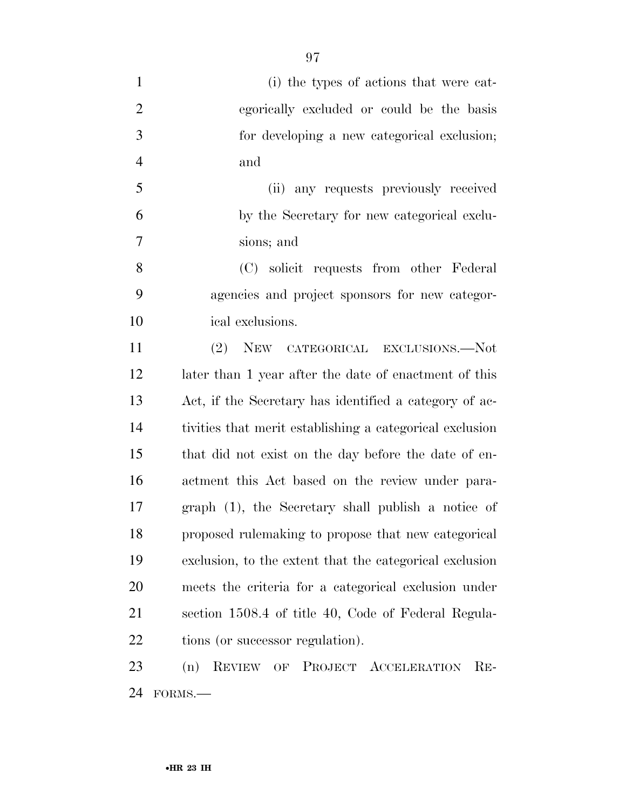| $\mathbf{1}$   | (i) the types of actions that were cat-                                                           |
|----------------|---------------------------------------------------------------------------------------------------|
| $\overline{2}$ | egorically excluded or could be the basis                                                         |
| 3              | for developing a new categorical exclusion;                                                       |
| $\overline{4}$ | and                                                                                               |
| 5              | (ii) any requests previously received                                                             |
| 6              | by the Secretary for new categorical exclu-                                                       |
| 7              | sions; and                                                                                        |
| 8              | (C) solicit requests from other Federal                                                           |
| 9              | agencies and project sponsors for new categor-                                                    |
| 10             | ical exclusions.                                                                                  |
| 11             | (2)<br>NEW CATEGORICAL EXCLUSIONS.-- Not                                                          |
| 12             | later than 1 year after the date of enactment of this                                             |
| 13             | Act, if the Secretary has identified a category of ac-                                            |
| 14             | tivities that merit establishing a categorical exclusion                                          |
| 15             | that did not exist on the day before the date of en-                                              |
| 16             | actment this Act based on the review under para-                                                  |
| 17             | graph (1), the Secretary shall publish a notice of                                                |
| 18             | proposed rulemaking to propose that new categorical                                               |
| 19             | exclusion, to the extent that the categorical exclusion                                           |
| 20             | meets the criteria for a categorical exclusion under                                              |
| 21             | section 1508.4 of title 40, Code of Federal Regula-                                               |
| 22             | tions (or successor regulation).                                                                  |
| 23             | PROJECT ACCELERATION<br><b>REVIEW</b><br>$RE-$<br>(n)<br>$\mathrm{OF}% \left( \mathcal{N}\right)$ |

FORMS.—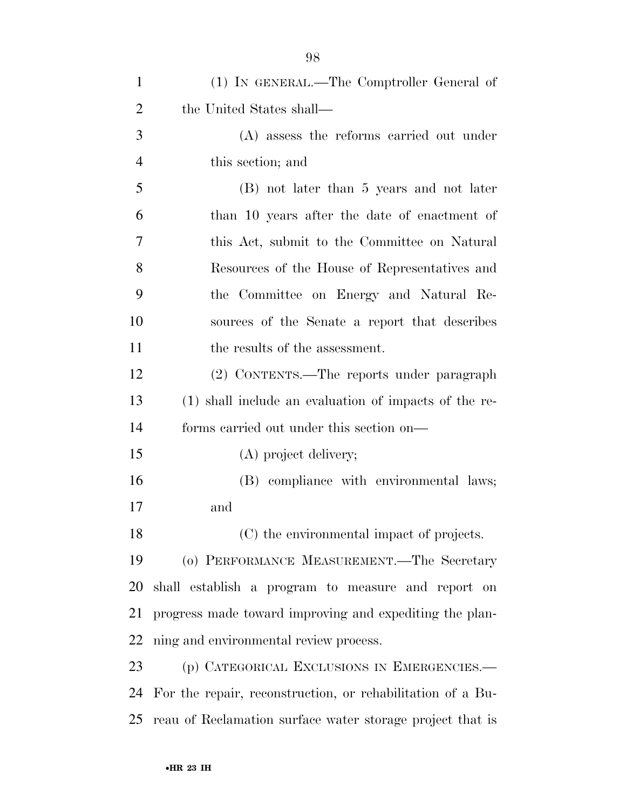| $\mathbf{1}$   | (1) IN GENERAL.—The Comptroller General of                 |
|----------------|------------------------------------------------------------|
| $\overline{2}$ | the United States shall—                                   |
| 3              | (A) assess the reforms carried out under                   |
| $\overline{4}$ | this section; and                                          |
| 5              | (B) not later than 5 years and not later                   |
| 6              | than 10 years after the date of enactment of               |
| 7              | this Act, submit to the Committee on Natural               |
| 8              | Resources of the House of Representatives and              |
| 9              | the Committee on Energy and Natural Re-                    |
| 10             | sources of the Senate a report that describes              |
| 11             | the results of the assessment.                             |
| 12             | (2) CONTENTS.—The reports under paragraph                  |
| 13             | (1) shall include an evaluation of impacts of the re-      |
| 14             | forms carried out under this section on—                   |
| 15             | (A) project delivery;                                      |
| 16             | (B) compliance with environmental laws;                    |
| 17             | and                                                        |
| 18             | (C) the environmental impact of projects.                  |
| 19             | (o) PERFORMANCE MEASUREMENT.—The Secretary                 |
| 20             | shall establish a program to measure and report on         |
| 21             | progress made toward improving and expediting the plan-    |
| 22             | ning and environmental review process.                     |
| 23             | (p) CATEGORICAL EXCLUSIONS IN EMERGENCIES.-                |
| 24             | For the repair, reconstruction, or rehabilitation of a Bu- |
| 25             | reau of Reclamation surface water storage project that is  |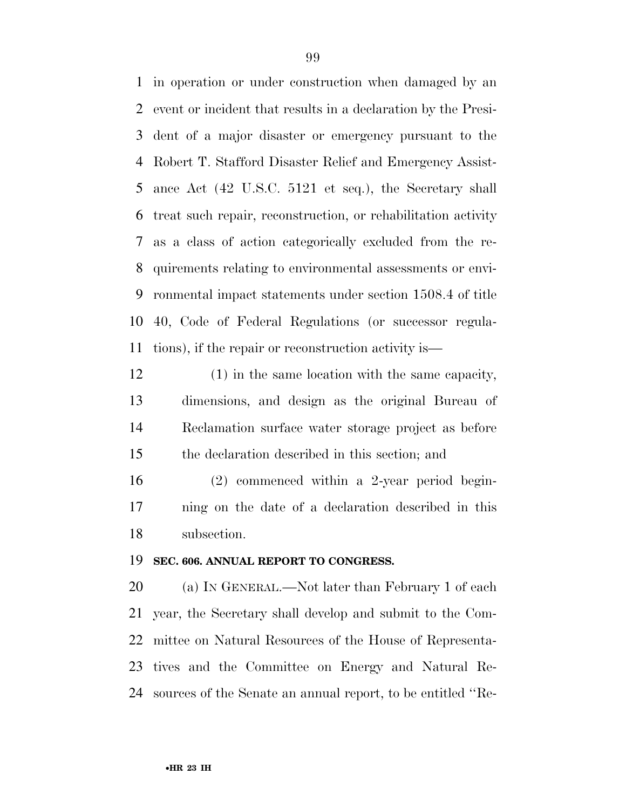in operation or under construction when damaged by an event or incident that results in a declaration by the Presi- dent of a major disaster or emergency pursuant to the Robert T. Stafford Disaster Relief and Emergency Assist- ance Act (42 U.S.C. 5121 et seq.), the Secretary shall treat such repair, reconstruction, or rehabilitation activity as a class of action categorically excluded from the re- quirements relating to environmental assessments or envi- ronmental impact statements under section 1508.4 of title 40, Code of Federal Regulations (or successor regula-tions), if the repair or reconstruction activity is—

 (1) in the same location with the same capacity, dimensions, and design as the original Bureau of Reclamation surface water storage project as before the declaration described in this section; and

 (2) commenced within a 2-year period begin- ning on the date of a declaration described in this subsection.

## **SEC. 606. ANNUAL REPORT TO CONGRESS.**

20 (a) IN GENERAL.—Not later than February 1 of each year, the Secretary shall develop and submit to the Com- mittee on Natural Resources of the House of Representa- tives and the Committee on Energy and Natural Re-sources of the Senate an annual report, to be entitled ''Re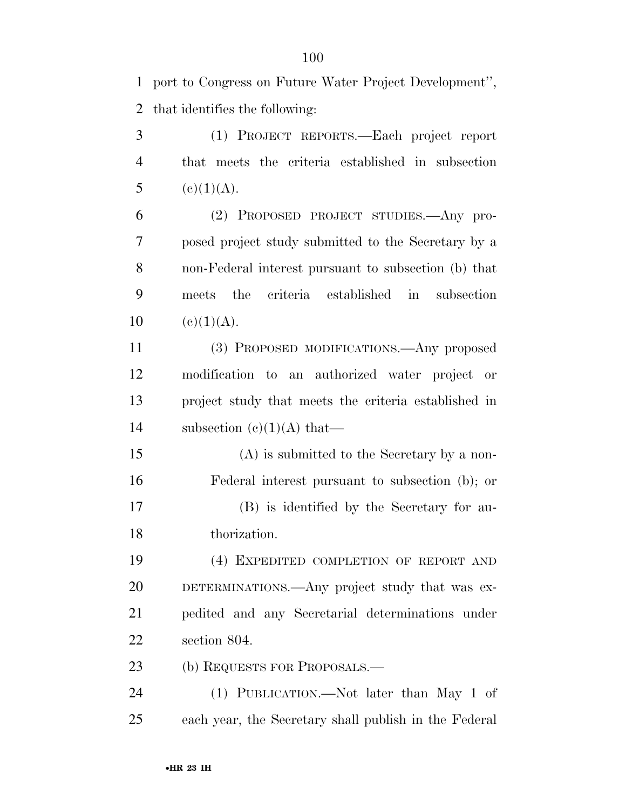port to Congress on Future Water Project Development'', that identifies the following:

 (1) PROJECT REPORTS.—Each project report that meets the criteria established in subsection 5 (e)(1)(A).

 (2) PROPOSED PROJECT STUDIES.—Any pro- posed project study submitted to the Secretary by a non-Federal interest pursuant to subsection (b) that meets the criteria established in subsection 10 (e)(1)(A).

 (3) PROPOSED MODIFICATIONS.—Any proposed modification to an authorized water project or project study that meets the criteria established in 14 subsection  $(c)(1)(A)$  that—

 (A) is submitted to the Secretary by a non- Federal interest pursuant to subsection (b); or (B) is identified by the Secretary for au-thorization.

 (4) EXPEDITED COMPLETION OF REPORT AND DETERMINATIONS.—Any project study that was ex- pedited and any Secretarial determinations under section 804.

23 (b) REQUESTS FOR PROPOSALS.—

 (1) PUBLICATION.—Not later than May 1 of each year, the Secretary shall publish in the Federal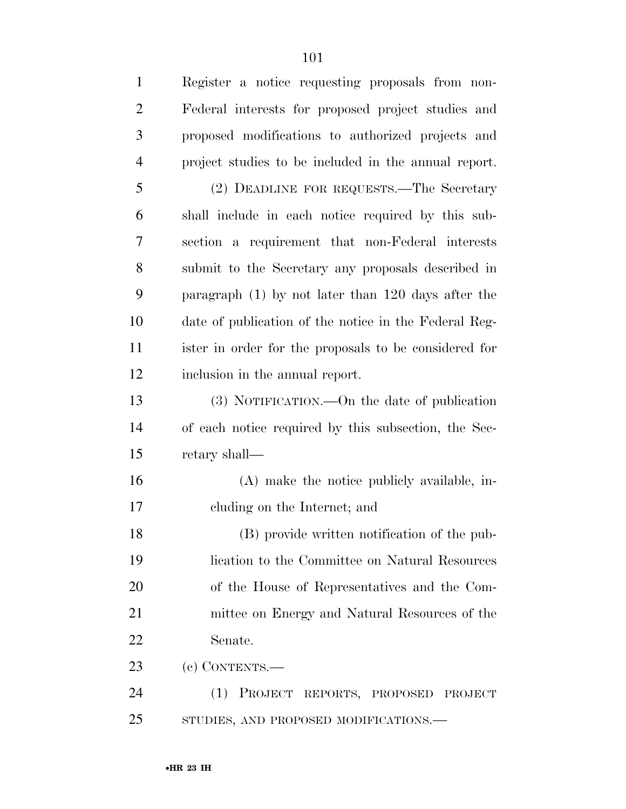Register a notice requesting proposals from non- Federal interests for proposed project studies and proposed modifications to authorized projects and project studies to be included in the annual report. (2) DEADLINE FOR REQUESTS.—The Secretary shall include in each notice required by this sub- section a requirement that non-Federal interests submit to the Secretary any proposals described in paragraph (1) by not later than 120 days after the date of publication of the notice in the Federal Reg- ister in order for the proposals to be considered for inclusion in the annual report. (3) NOTIFICATION.—On the date of publication of each notice required by this subsection, the Sec- retary shall— (A) make the notice publicly available, in- cluding on the Internet; and (B) provide written notification of the pub- lication to the Committee on Natural Resources of the House of Representatives and the Com- mittee on Energy and Natural Resources of the Senate. (c) CONTENTS.— (1) PROJECT REPORTS, PROPOSED PROJECT STUDIES, AND PROPOSED MODIFICATIONS.—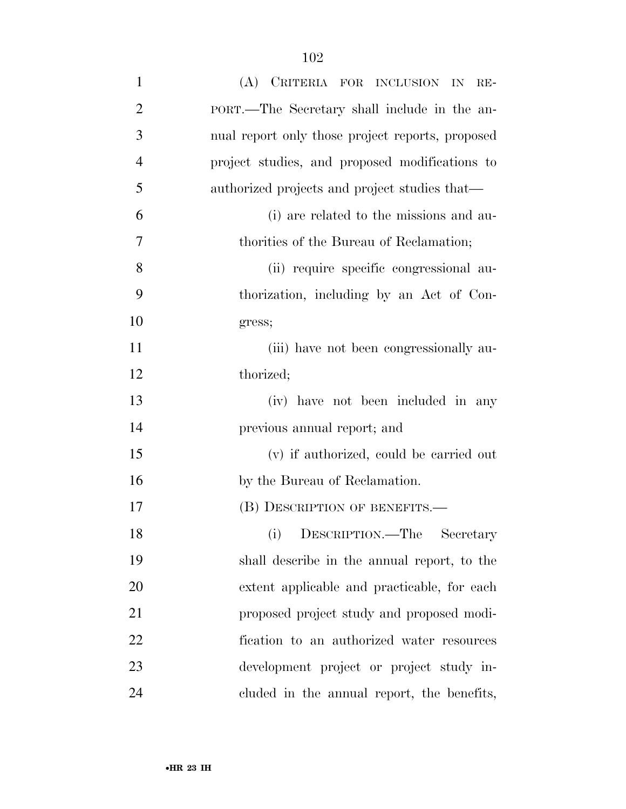| $\mathbf{1}$   | (A) CRITERIA FOR INCLUSION IN RE-                |
|----------------|--------------------------------------------------|
| $\overline{2}$ | PORT.—The Secretary shall include in the an-     |
| 3              | nual report only those project reports, proposed |
| $\overline{4}$ | project studies, and proposed modifications to   |
| 5              | authorized projects and project studies that—    |
| 6              | (i) are related to the missions and au-          |
| 7              | thorities of the Bureau of Reclamation;          |
| 8              | (ii) require specific congressional au-          |
| 9              | thorization, including by an Act of Con-         |
| 10             | gress;                                           |
| 11             | (iii) have not been congressionally au-          |
| 12             | thorized;                                        |
| 13             | (iv) have not been included in any               |
| 14             | previous annual report; and                      |
| 15             | (v) if authorized, could be carried out          |
| 16             | by the Bureau of Reclamation.                    |
| 17             | (B) DESCRIPTION OF BENEFITS.—                    |
| 18             | (i)<br>Secretary<br>DESCRIPTION.—The             |
| 19             | shall describe in the annual report, to the      |
| 20             | extent applicable and practicable, for each      |
| 21             | proposed project study and proposed modi-        |
| 22             | fication to an authorized water resources        |
| 23             | development project or project study in-         |
| 24             | cluded in the annual report, the benefits,       |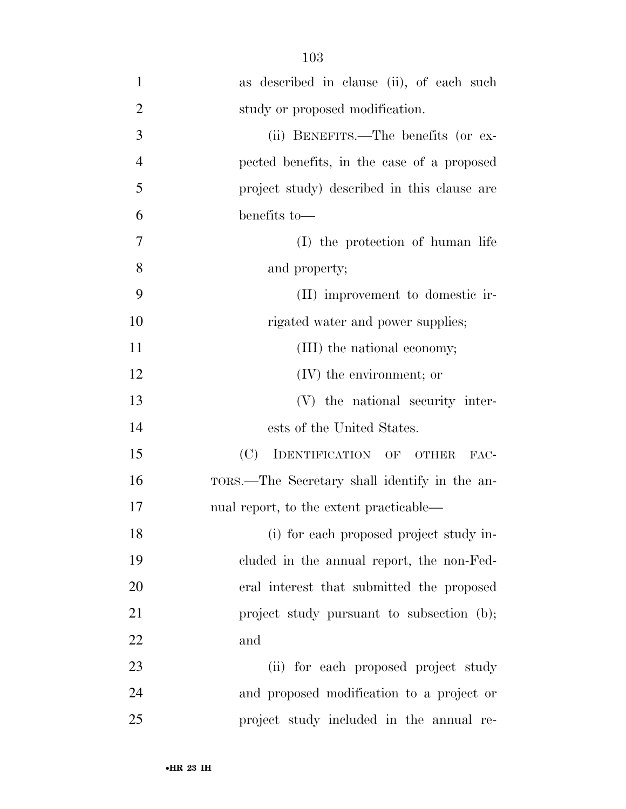| $\mathbf{1}$   | as described in clause (ii), of each such     |
|----------------|-----------------------------------------------|
| $\overline{2}$ | study or proposed modification.               |
| 3              | (ii) BENEFITS.—The benefits (or ex-           |
| $\overline{4}$ | pected benefits, in the case of a proposed    |
| 5              | project study) described in this clause are   |
| 6              | benefits to-                                  |
| 7              | (I) the protection of human life              |
| 8              | and property;                                 |
| 9              | (II) improvement to domestic ir-              |
| 10             | rigated water and power supplies;             |
| 11             | (III) the national economy;                   |
| 12             | $(V)$ the environment; or                     |
| 13             | (V) the national security inter-              |
| 14             | ests of the United States.                    |
| 15             | (C)<br>IDENTIFICATION OF OTHER<br>FAC-        |
| 16             | TORS.—The Secretary shall identify in the an- |
| 17             | nual report, to the extent practicable—       |
| 18             | (i) for each proposed project study in-       |
| 19             | cluded in the annual report, the non-Fed-     |
| 20             | eral interest that submitted the proposed     |
| 21             | project study pursuant to subsection (b);     |
| 22             | and                                           |
| 23             | (ii) for each proposed project study          |
| 24             | and proposed modification to a project or     |
| 25             | project study included in the annual re-      |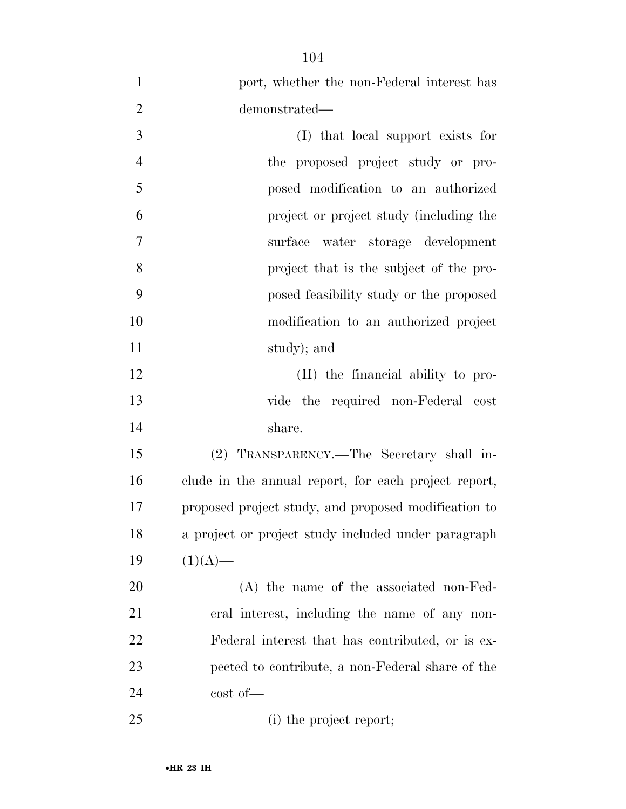| $\mathbf{1}$   | port, whether the non-Federal interest has           |
|----------------|------------------------------------------------------|
| $\overline{2}$ | demonstrated—                                        |
| 3              | (I) that local support exists for                    |
| $\overline{4}$ | the proposed project study or pro-                   |
| 5              | posed modification to an authorized                  |
| 6              | project or project study (including the              |
| 7              | surface water storage development                    |
| 8              | project that is the subject of the pro-              |
| 9              | posed feasibility study or the proposed              |
| 10             | modification to an authorized project                |
| 11             | study); and                                          |
| 12             | (II) the financial ability to pro-                   |
| 13             | vide the required non-Federal cost                   |
| 14             | share.                                               |
| 15             | (2) TRANSPARENCY.—The Secretary shall in-            |
| 16             | clude in the annual report, for each project report, |
| 17             | proposed project study, and proposed modification to |
| 18             | a project or project study included under paragraph  |
| 19             | $(1)(A)$ —                                           |
| 20             | (A) the name of the associated non-Fed-              |
| 21             | eral interest, including the name of any non-        |
| 22             | Federal interest that has contributed, or is ex-     |
| 23             | pected to contribute, a non-Federal share of the     |
| 24             | $\cot$ of $\equiv$                                   |
| 25             | (i) the project report;                              |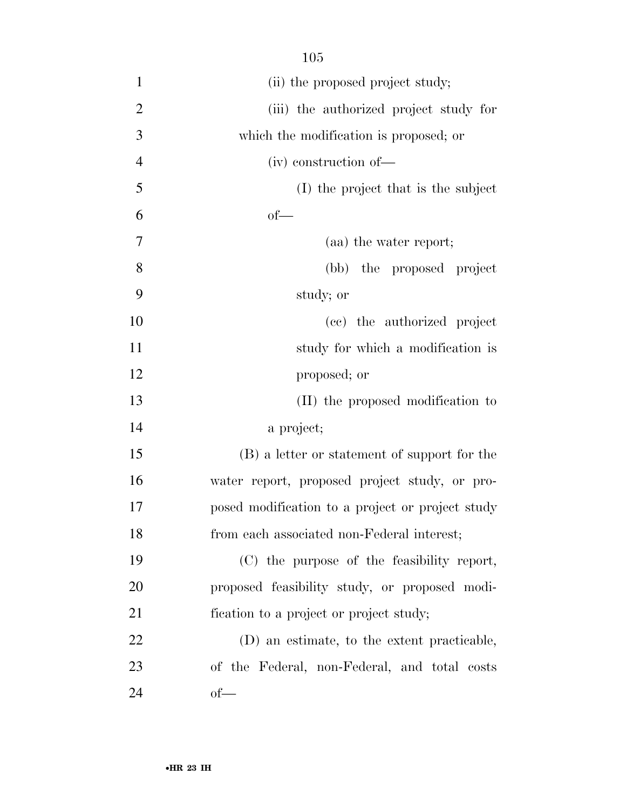| $\mathbf{1}$   | (ii) the proposed project study;                 |
|----------------|--------------------------------------------------|
| $\overline{2}$ | (iii) the authorized project study for           |
| 3              | which the modification is proposed; or           |
| $\overline{4}$ | (iv) construction of-                            |
| 5              | (I) the project that is the subject              |
| 6              | of                                               |
| 7              | (aa) the water report;                           |
| 8              | (bb) the proposed project                        |
| 9              | study; or                                        |
| 10             | (cc) the authorized project                      |
| 11             | study for which a modification is                |
| 12             | proposed; or                                     |
| 13             | (II) the proposed modification to                |
| 14             | a project;                                       |
| 15             | (B) a letter or statement of support for the     |
| 16             | water report, proposed project study, or pro-    |
| 17             | posed modification to a project or project study |
| 18             | from each associated non-Federal interest;       |
| 19             | (C) the purpose of the feasibility report,       |
| 20             | proposed feasibility study, or proposed modi-    |
| 21             | fication to a project or project study;          |
| 22             | (D) an estimate, to the extent practicable,      |
| 23             | of the Federal, non-Federal, and total costs     |
| 24             | $of$ —                                           |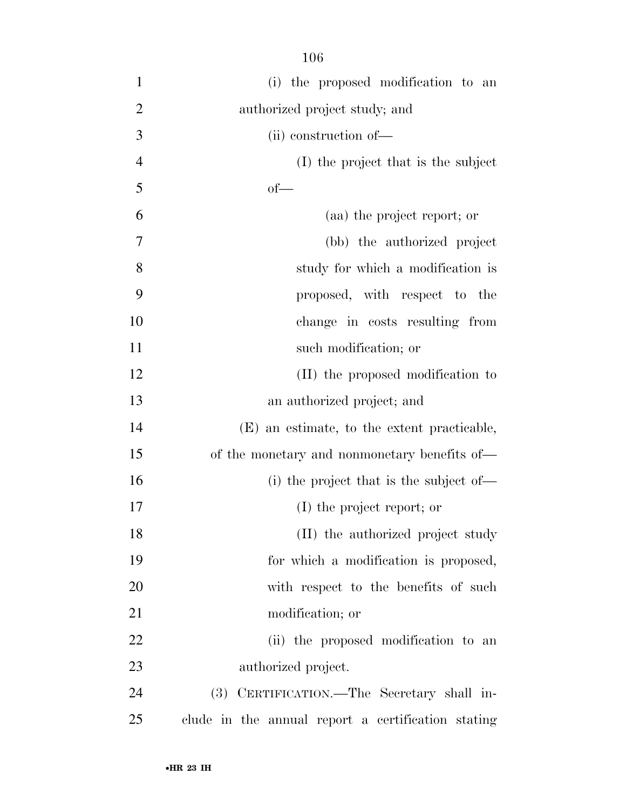| $\mathbf{1}$   | (i) the proposed modification to an                |
|----------------|----------------------------------------------------|
| $\overline{2}$ | authorized project study; and                      |
| 3              | (ii) construction of-                              |
| $\overline{4}$ | (I) the project that is the subject                |
| 5              | $of$ —                                             |
| 6              | (aa) the project report; or                        |
| $\overline{7}$ | (bb) the authorized project                        |
| 8              | study for which a modification is                  |
| 9              | proposed, with respect to the                      |
| 10             | change in costs resulting from                     |
| 11             | such modification; or                              |
| 12             | (II) the proposed modification to                  |
| 13             | an authorized project; and                         |
| 14             | (E) an estimate, to the extent practicable,        |
| 15             | of the monetary and nonmonetary benefits of—       |
| 16             | (i) the project that is the subject of—            |
| 17             | (I) the project report; or                         |
| 18             | (II) the authorized project study                  |
| 19             | for which a modification is proposed,              |
| 20             | with respect to the benefits of such               |
| 21             | modification; or                                   |
| 22             | (ii) the proposed modification to an               |
| 23             | authorized project.                                |
| 24             | CERTIFICATION.—The Secretary shall in-<br>(3)      |
| 25             | clude in the annual report a certification stating |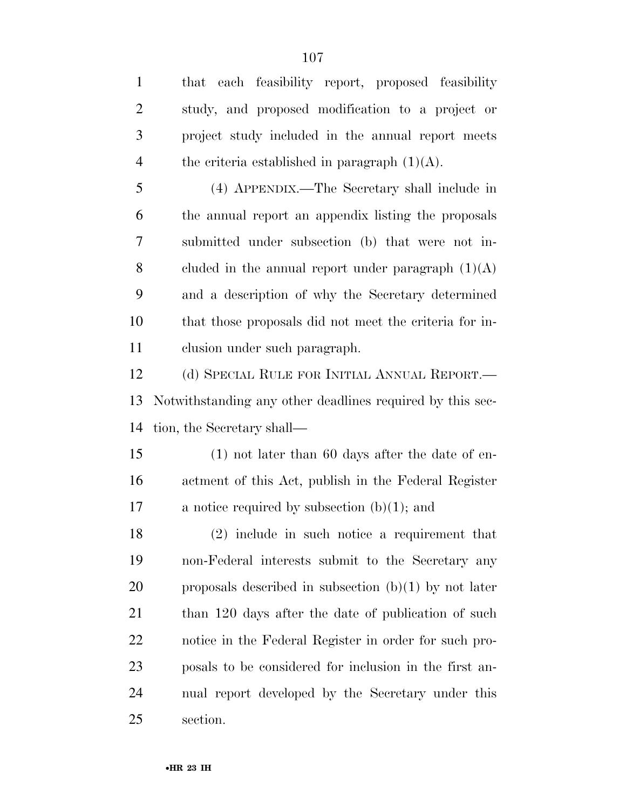| $\mathbf{1}$   | that each feasibility report, proposed feasibility        |
|----------------|-----------------------------------------------------------|
| $\overline{2}$ | study, and proposed modification to a project or          |
| 3              | project study included in the annual report meets         |
| $\overline{4}$ | the criteria established in paragraph $(1)(A)$ .          |
| 5              | (4) APPENDIX.—The Secretary shall include in              |
| 6              | the annual report an appendix listing the proposals       |
| 7              | submitted under subsection (b) that were not in-          |
| 8              | cluded in the annual report under paragraph $(1)(A)$      |
| 9              | and a description of why the Secretary determined         |
| 10             | that those proposals did not meet the criteria for in-    |
| 11             | clusion under such paragraph.                             |
| 12             | (d) SPECIAL RULE FOR INITIAL ANNUAL REPORT.—              |
| 13             | Notwithstanding any other deadlines required by this sec- |
| 14             | tion, the Secretary shall—                                |
| 15             | $(1)$ not later than 60 days after the date of en-        |
| 16             | actment of this Act, publish in the Federal Register      |
| 17             | a notice required by subsection $(b)(1)$ ; and            |
| 18             | $(2)$ include in such notice a requirement that           |
| 19             | non-Federal interests submit to the Secretary any         |
| 20             | proposals described in subsection $(b)(1)$ by not later   |
| 21             | than 120 days after the date of publication of such       |
| 22             | notice in the Federal Register in order for such pro-     |
| 23             | posals to be considered for inclusion in the first an-    |
| 24             | nual report developed by the Secretary under this         |
| 25             | section.                                                  |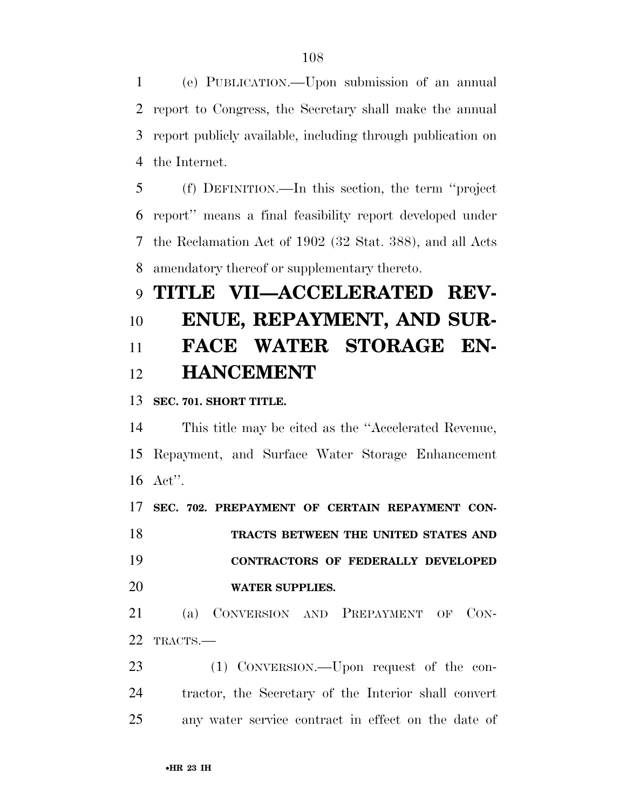(e) PUBLICATION.—Upon submission of an annual report to Congress, the Secretary shall make the annual report publicly available, including through publication on the Internet.

 (f) DEFINITION.—In this section, the term ''project report'' means a final feasibility report developed under the Reclamation Act of 1902 (32 Stat. 388), and all Acts amendatory thereof or supplementary thereto.

## **TITLE VII—ACCELERATED REV- ENUE, REPAYMENT, AND SUR- FACE WATER STORAGE EN-HANCEMENT**

## **SEC. 701. SHORT TITLE.**

 This title may be cited as the ''Accelerated Revenue, Repayment, and Surface Water Storage Enhancement Act''.

**SEC. 702. PREPAYMENT OF CERTAIN REPAYMENT CON-**

 **TRACTS BETWEEN THE UNITED STATES AND CONTRACTORS OF FEDERALLY DEVELOPED WATER SUPPLIES.** 

 (a) CONVERSION AND PREPAYMENT OF CON-TRACTS.—

23 (1) CONVERSION.—Upon request of the con- tractor, the Secretary of the Interior shall convert any water service contract in effect on the date of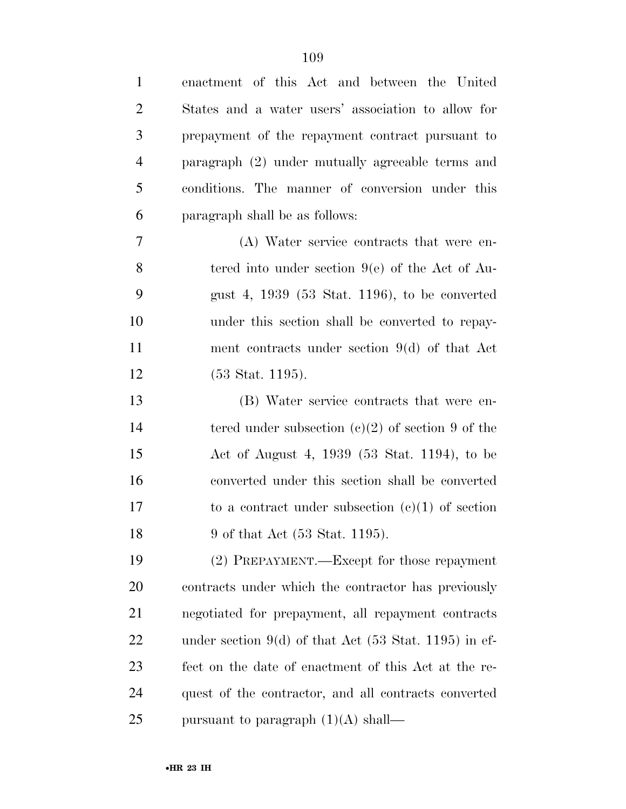| $\mathbf{1}$   | enactment of this Act and between the United                     |
|----------------|------------------------------------------------------------------|
| $\overline{2}$ | States and a water users' association to allow for               |
| 3              | prepayment of the repayment contract pursuant to                 |
| $\overline{4}$ | paragraph (2) under mutually agreeable terms and                 |
| 5              | conditions. The manner of conversion under this                  |
| 6              | paragraph shall be as follows:                                   |
| $\tau$         | (A) Water service contracts that were en-                        |
| 8              | tered into under section $9(e)$ of the Act of Au-                |
| 9              | gust 4, $1939$ (53 Stat. 1196), to be converted                  |
| 10             | under this section shall be converted to repay-                  |
| 11             | ment contracts under section $9(d)$ of that Act                  |
| 12             | $(53 \text{ Stat. } 1195).$                                      |
| 13             | (B) Water service contracts that were en-                        |
| 14             | tered under subsection $(e)(2)$ of section 9 of the              |
| 15             | Act of August 4, 1939 (53 Stat. 1194), to be                     |
| 16             | converted under this section shall be converted                  |
| 17             | to a contract under subsection $(c)(1)$ of section               |
| 18             | 9 of that Act (53 Stat. 1195).                                   |
| 19             | (2) PREPAYMENT.—Except for those repayment                       |
| 20             | contracts under which the contractor has previously              |
| 21             | negotiated for prepayment, all repayment contracts               |
| 22             | under section 9(d) of that Act $(53 \text{ Stat. } 1195)$ in ef- |
| 23             | fect on the date of enactment of this Act at the re-             |
| 24             | quest of the contractor, and all contracts converted             |
| 25             | pursuant to paragraph $(1)(A)$ shall—                            |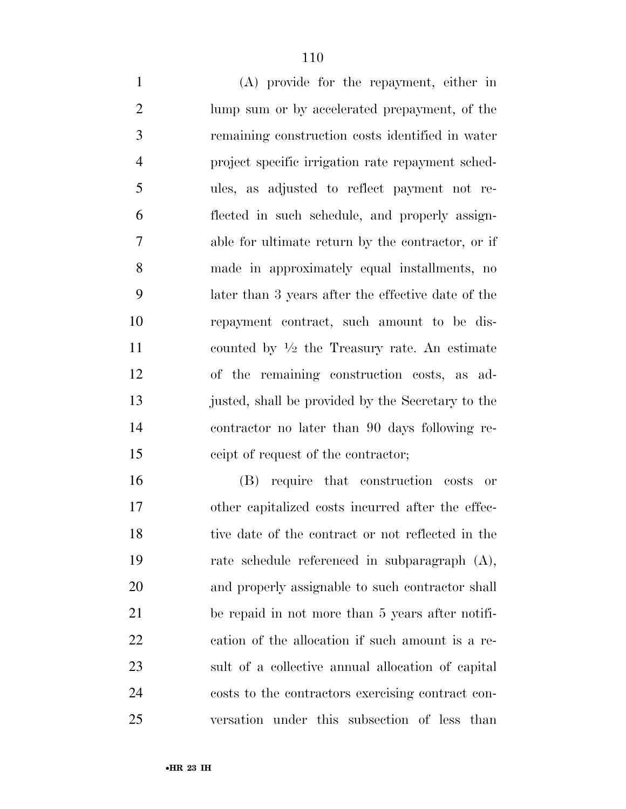(A) provide for the repayment, either in lump sum or by accelerated prepayment, of the remaining construction costs identified in water project specific irrigation rate repayment sched- ules, as adjusted to reflect payment not re- flected in such schedule, and properly assign- able for ultimate return by the contractor, or if made in approximately equal installments, no later than 3 years after the effective date of the repayment contract, such amount to be dis-11 counted by  $\frac{1}{2}$  the Treasury rate. An estimate of the remaining construction costs, as ad- justed, shall be provided by the Secretary to the contractor no later than 90 days following re-ceipt of request of the contractor;

 (B) require that construction costs or other capitalized costs incurred after the effec- tive date of the contract or not reflected in the rate schedule referenced in subparagraph (A), and properly assignable to such contractor shall be repaid in not more than 5 years after notifi- cation of the allocation if such amount is a re- sult of a collective annual allocation of capital costs to the contractors exercising contract con-versation under this subsection of less than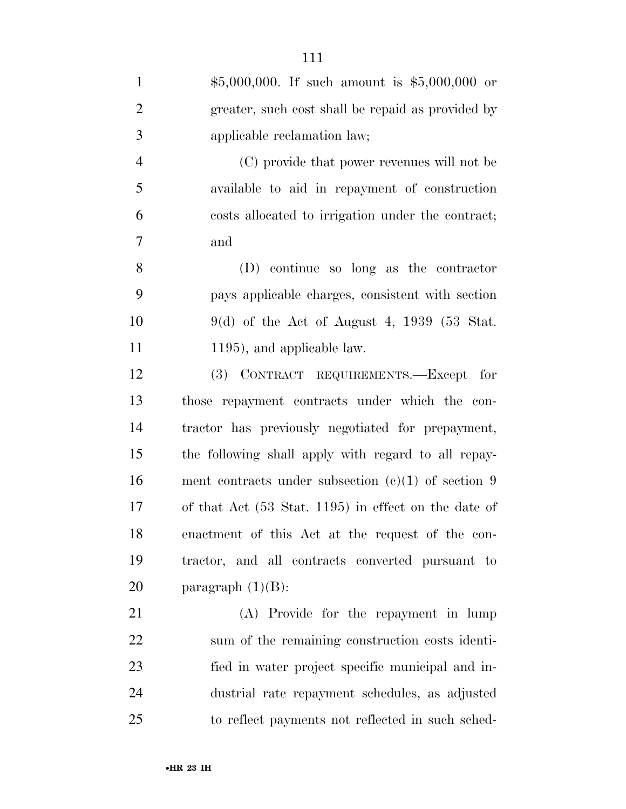| $\mathbf{1}$   | $$5,000,000$ . If such amount is $$5,000,000$ or      |
|----------------|-------------------------------------------------------|
| $\overline{2}$ | greater, such cost shall be repaid as provided by     |
| 3              | applicable reclamation law;                           |
| $\overline{4}$ | (C) provide that power revenues will not be           |
| 5              | available to aid in repayment of construction         |
| 6              | costs allocated to irrigation under the contract;     |
| $\overline{7}$ | and                                                   |
| 8              | (D) continue so long as the contractor                |
| 9              | pays applicable charges, consistent with section      |
| 10             | $9(d)$ of the Act of August 4, 1939 (53 Stat.         |
| 11             | 1195), and applicable law.                            |
| 12             | (3) CONTRACT REQUIREMENTS.—Except for                 |
| 13             | those repayment contracts under which the con-        |
| 14             | tractor has previously negotiated for prepayment,     |
| 15             | the following shall apply with regard to all repay-   |
| 16             | ment contracts under subsection $(c)(1)$ of section 9 |
| 17             | of that Act (53 Stat. 1195) in effect on the date of  |
| 18             | enactment of this Act at the request of the con-      |
| 19             | tractor, and all contracts converted pursuant to      |
| 20             | paragraph $(1)(B)$ :                                  |
| 21             | (A) Provide for the repayment in lump                 |
| 22             | sum of the remaining construction costs identi-       |
| 23             | fied in water project specific municipal and in-      |
| 24             | dustrial rate repayment schedules, as adjusted        |
| 25             | to reflect payments not reflected in such sched-      |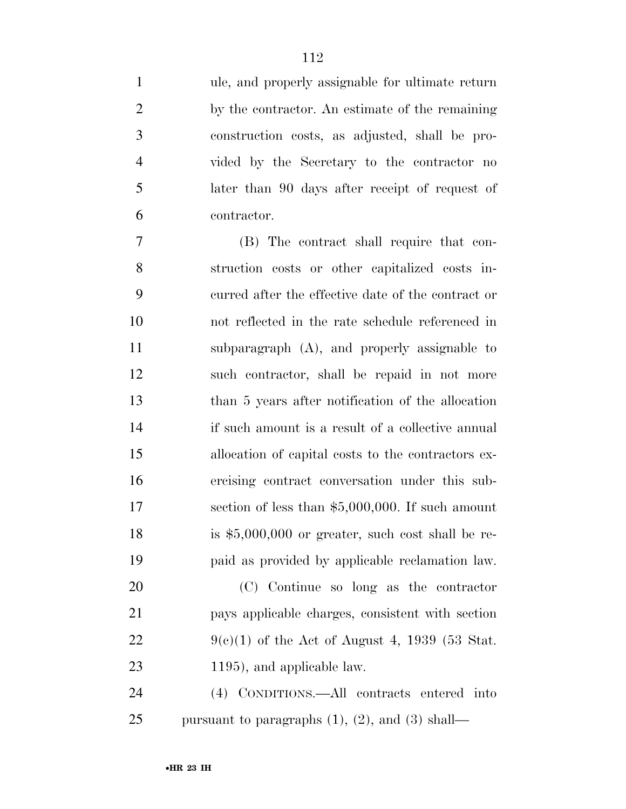ule, and properly assignable for ultimate return by the contractor. An estimate of the remaining construction costs, as adjusted, shall be pro- vided by the Secretary to the contractor no later than 90 days after receipt of request of contractor.

 (B) The contract shall require that con- struction costs or other capitalized costs in- curred after the effective date of the contract or not reflected in the rate schedule referenced in subparagraph (A), and properly assignable to such contractor, shall be repaid in not more than 5 years after notification of the allocation if such amount is a result of a collective annual allocation of capital costs to the contractors ex- ercising contract conversation under this sub- section of less than \$5,000,000. If such amount is \$5,000,000 or greater, such cost shall be re-paid as provided by applicable reclamation law.

 (C) Continue so long as the contractor pays applicable charges, consistent with section  $9(c)(1)$  of the Act of August 4, 1939 (53 Stat. 1195), and applicable law.

 (4) CONDITIONS.—All contracts entered into pursuant to paragraphs (1), (2), and (3) shall—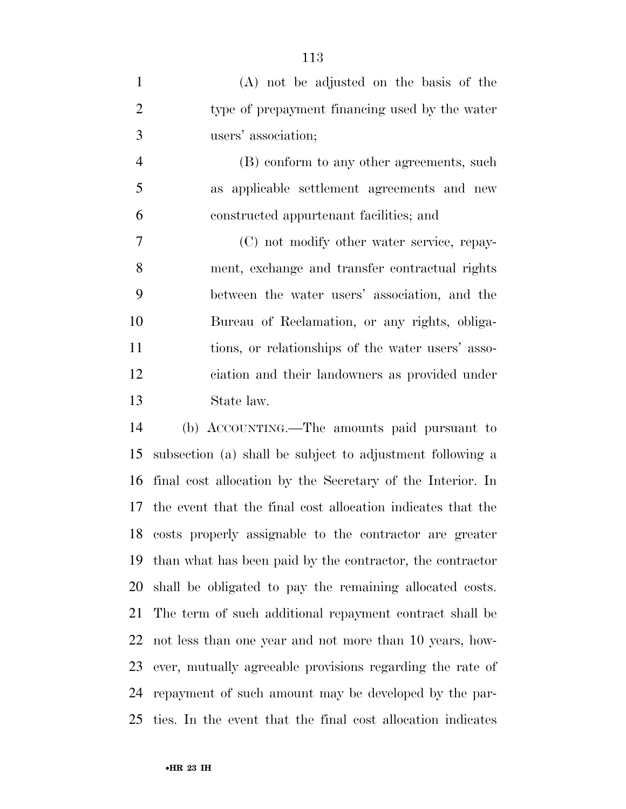| $\mathbf{1}$   | (A) not be adjusted on the basis of the           |
|----------------|---------------------------------------------------|
| $\overline{2}$ | type of prepayment financing used by the water    |
| 3              | users' association;                               |
| $\overline{4}$ | (B) conform to any other agreements, such         |
| 5              | as applicable settlement agreements and new       |
| 6              | constructed appurtenant facilities; and           |
| 7              | (C) not modify other water service, repay-        |
| 8              | ment, exchange and transfer contractual rights    |
| 9              | between the water users' association, and the     |
| 10             | Bureau of Reclamation, or any rights, obliga-     |
| 11             | tions, or relationships of the water users' asso- |
| 12             | ciation and their landowners as provided under    |
| 13             | State law.                                        |
|                |                                                   |

 (b) ACCOUNTING.—The amounts paid pursuant to subsection (a) shall be subject to adjustment following a final cost allocation by the Secretary of the Interior. In the event that the final cost allocation indicates that the costs properly assignable to the contractor are greater than what has been paid by the contractor, the contractor shall be obligated to pay the remaining allocated costs. The term of such additional repayment contract shall be not less than one year and not more than 10 years, how- ever, mutually agreeable provisions regarding the rate of repayment of such amount may be developed by the par-ties. In the event that the final cost allocation indicates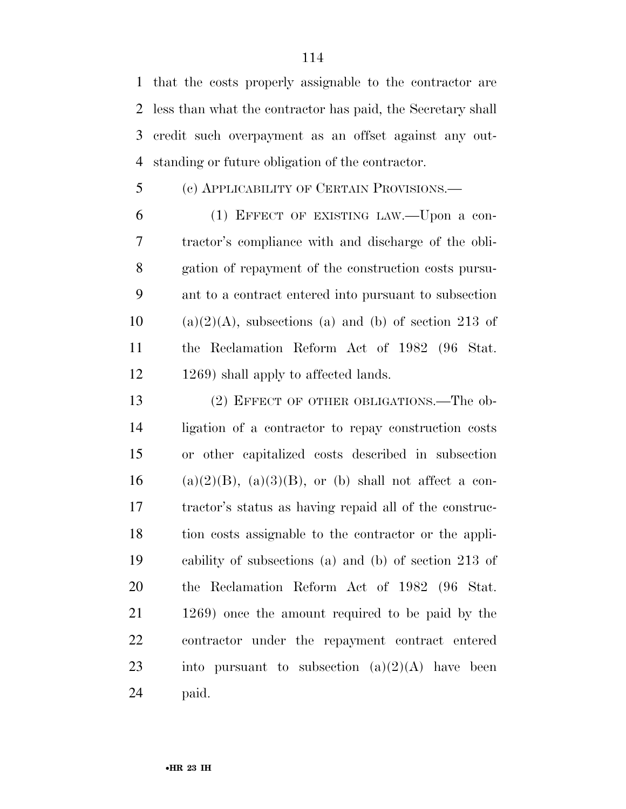that the costs properly assignable to the contractor are less than what the contractor has paid, the Secretary shall credit such overpayment as an offset against any out-standing or future obligation of the contractor.

# (c) APPLICABILITY OF CERTAIN PROVISIONS.—

 (1) EFFECT OF EXISTING LAW.—Upon a con- tractor's compliance with and discharge of the obli- gation of repayment of the construction costs pursu- ant to a contract entered into pursuant to subsection (a)(2)(A), subsections (a) and (b) of section 213 of the Reclamation Reform Act of 1982 (96 Stat. 12 1269) shall apply to affected lands.

13 (2) EFFECT OF OTHER OBLIGATIONS.—The ob- ligation of a contractor to repay construction costs or other capitalized costs described in subsection 16 (a)(2)(B), (a)(3)(B), or (b) shall not affect a con- tractor's status as having repaid all of the construc- tion costs assignable to the contractor or the appli- cability of subsections (a) and (b) of section 213 of the Reclamation Reform Act of 1982 (96 Stat. 1269) once the amount required to be paid by the contractor under the repayment contract entered 23 into pursuant to subsection  $(a)(2)(A)$  have been paid.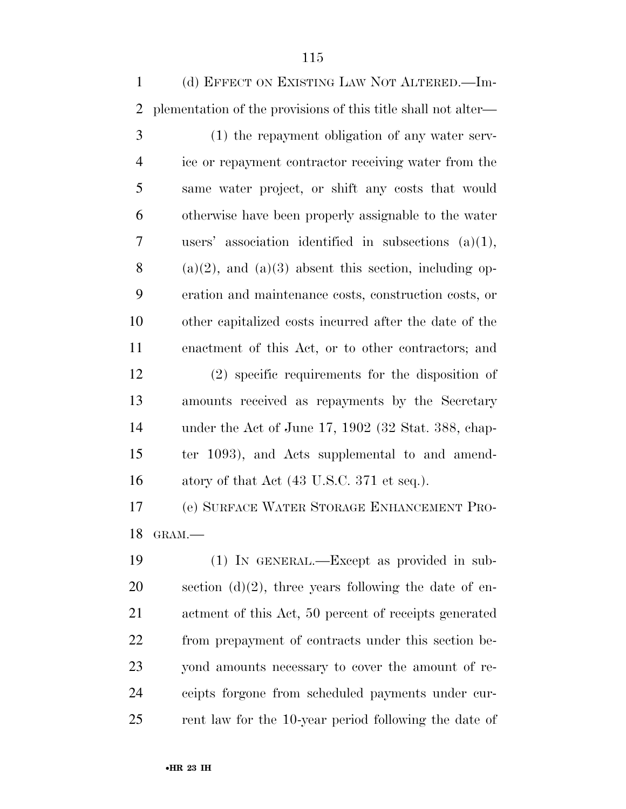(d) EFFECT ON EXISTING LAW NOT ALTERED.—Im- plementation of the provisions of this title shall not alter— (1) the repayment obligation of any water serv- ice or repayment contractor receiving water from the same water project, or shift any costs that would otherwise have been properly assignable to the water users' association identified in subsections (a)(1), 8 (a)(2), and (a)(3) absent this section, including op- eration and maintenance costs, construction costs, or other capitalized costs incurred after the date of the enactment of this Act, or to other contractors; and (2) specific requirements for the disposition of amounts received as repayments by the Secretary under the Act of June 17, 1902 (32 Stat. 388, chap- ter 1093), and Acts supplemental to and amend-16 atory of that Act (43 U.S.C. 371 et seq.). (e) SURFACE WATER STORAGE ENHANCEMENT PRO-GRAM.—

 (1) IN GENERAL.—Except as provided in sub-20 section  $(d)(2)$ , three years following the date of en- actment of this Act, 50 percent of receipts generated from prepayment of contracts under this section be- yond amounts necessary to cover the amount of re- ceipts forgone from scheduled payments under cur-rent law for the 10-year period following the date of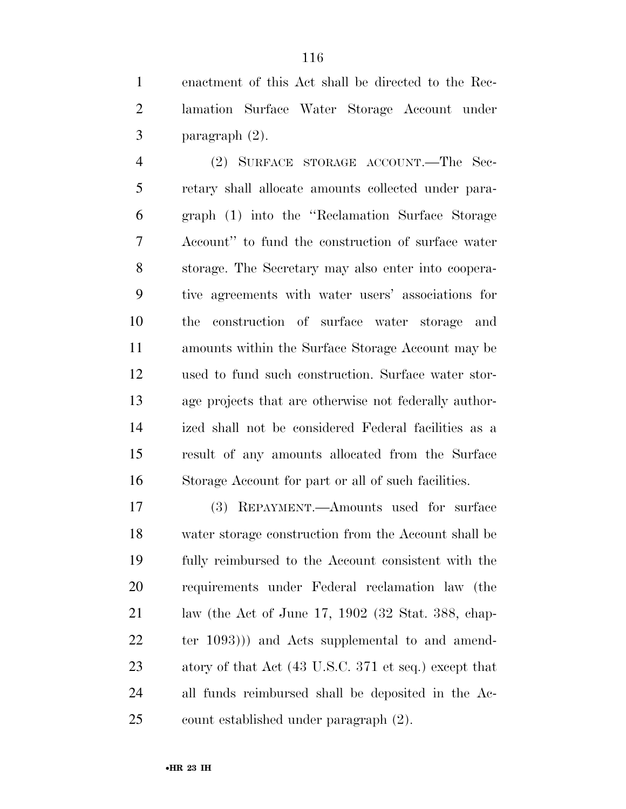enactment of this Act shall be directed to the Rec- lamation Surface Water Storage Account under paragraph (2).

 (2) SURFACE STORAGE ACCOUNT.—The Sec- retary shall allocate amounts collected under para- graph (1) into the ''Reclamation Surface Storage Account'' to fund the construction of surface water storage. The Secretary may also enter into coopera- tive agreements with water users' associations for the construction of surface water storage and amounts within the Surface Storage Account may be used to fund such construction. Surface water stor- age projects that are otherwise not federally author- ized shall not be considered Federal facilities as a result of any amounts allocated from the Surface Storage Account for part or all of such facilities.

 (3) REPAYMENT.—Amounts used for surface water storage construction from the Account shall be fully reimbursed to the Account consistent with the requirements under Federal reclamation law (the law (the Act of June 17, 1902 (32 Stat. 388, chap- ter 1093))) and Acts supplemental to and amend- atory of that Act (43 U.S.C. 371 et seq.) except that all funds reimbursed shall be deposited in the Ac-count established under paragraph (2).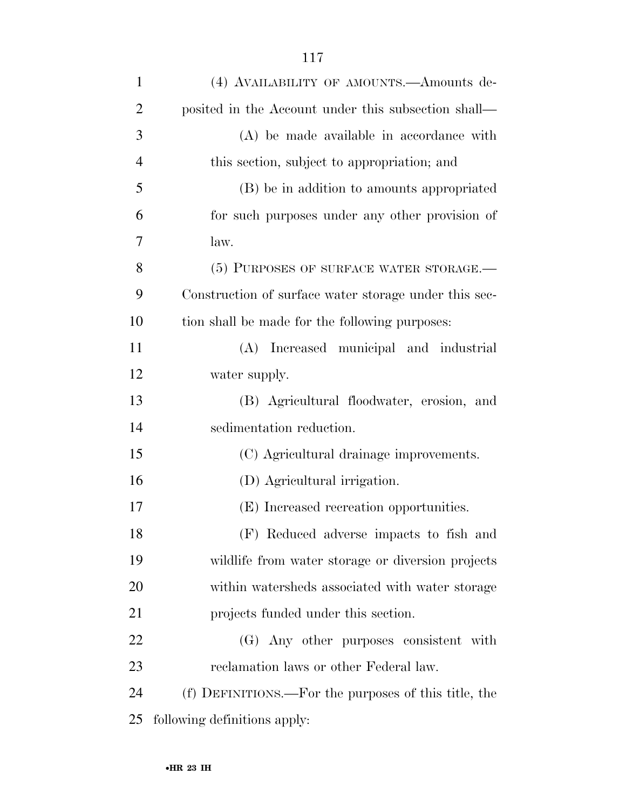| $\mathbf{1}$   | (4) AVAILABILITY OF AMOUNTS.—Amounts de-              |
|----------------|-------------------------------------------------------|
| $\overline{2}$ | posited in the Account under this subsection shall—   |
| 3              | (A) be made available in accordance with              |
| $\overline{4}$ | this section, subject to appropriation; and           |
| 5              | (B) be in addition to amounts appropriated            |
| 6              | for such purposes under any other provision of        |
| 7              | law.                                                  |
| 8              | (5) PURPOSES OF SURFACE WATER STORAGE.-               |
| 9              | Construction of surface water storage under this sec- |
| 10             | tion shall be made for the following purposes:        |
| 11             | (A) Increased municipal and industrial                |
| 12             | water supply.                                         |
| 13             | (B) Agricultural floodwater, erosion, and             |
| 14             | sedimentation reduction.                              |
| 15             | (C) Agricultural drainage improvements.               |
| 16             | (D) Agricultural irrigation.                          |
| 17             | (E) Increased recreation opportunities.               |
| 18             | (F) Reduced adverse impacts to fish and               |
| 19             | wildlife from water storage or diversion projects     |
| 20             | within watersheds associated with water storage       |
| 21             | projects funded under this section.                   |
| 22             | (G) Any other purposes consistent with                |
| 23             | reclamation laws or other Federal law.                |
| 24             | (f) DEFINITIONS.—For the purposes of this title, the  |
| 25             | following definitions apply:                          |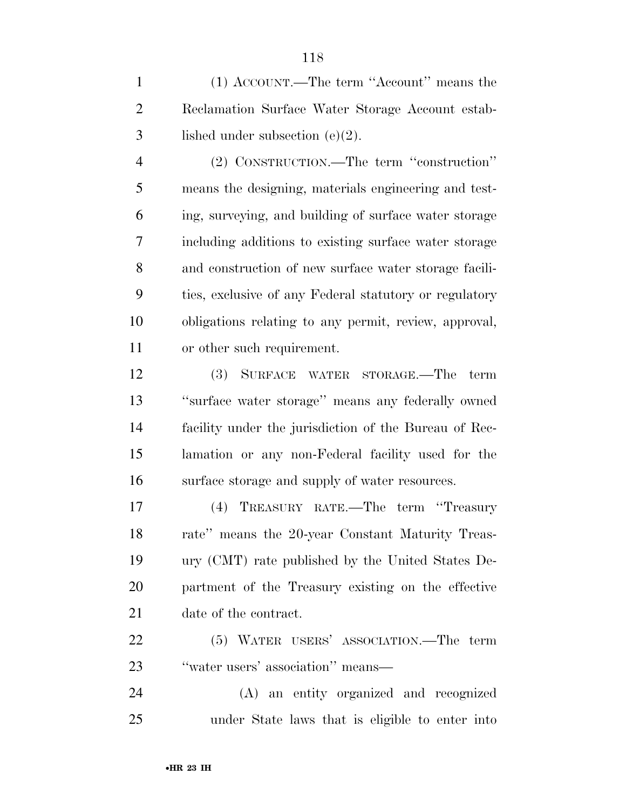(1) ACCOUNT.—The term ''Account'' means the Reclamation Surface Water Storage Account estab-lished under subsection (e)(2).

 (2) CONSTRUCTION.—The term ''construction'' means the designing, materials engineering and test- ing, surveying, and building of surface water storage including additions to existing surface water storage and construction of new surface water storage facili- ties, exclusive of any Federal statutory or regulatory obligations relating to any permit, review, approval, or other such requirement.

 (3) SURFACE WATER STORAGE.—The term ''surface water storage'' means any federally owned facility under the jurisdiction of the Bureau of Rec- lamation or any non-Federal facility used for the surface storage and supply of water resources.

 (4) TREASURY RATE.—The term ''Treasury rate'' means the 20-year Constant Maturity Treas- ury (CMT) rate published by the United States De- partment of the Treasury existing on the effective date of the contract.

 (5) WATER USERS' ASSOCIATION.—The term 23 "water users' association" means—

 (A) an entity organized and recognized under State laws that is eligible to enter into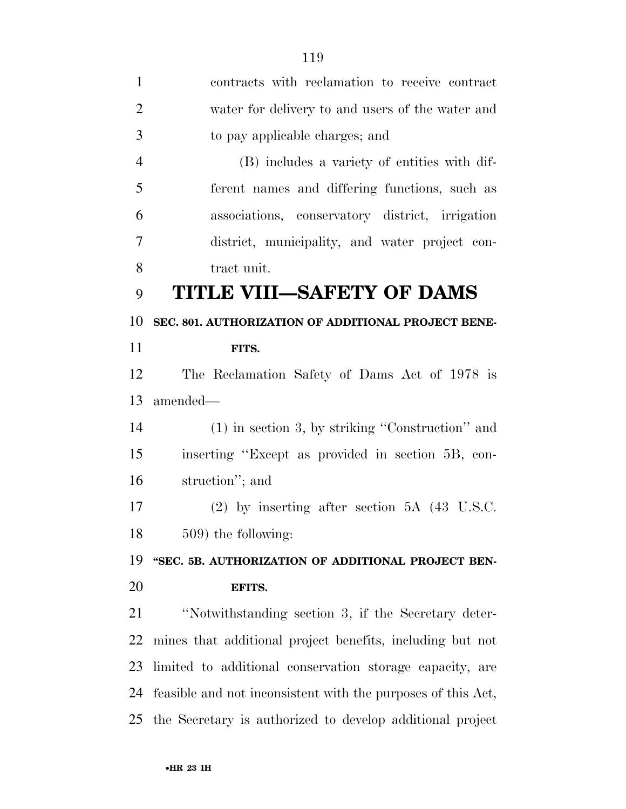| $\mathbf{1}$   | contracts with reclamation to receive contract               |
|----------------|--------------------------------------------------------------|
| $\overline{2}$ | water for delivery to and users of the water and             |
| 3              | to pay applicable charges; and                               |
| $\overline{4}$ | (B) includes a variety of entities with dif-                 |
| 5              | ferent names and differing functions, such as                |
| 6              | associations, conservatory district, irrigation              |
| 7              | district, municipality, and water project con-               |
| 8              | tract unit.                                                  |
| 9              | <b>TITLE VIII-SAFETY OF DAMS</b>                             |
| 10             | SEC. 801. AUTHORIZATION OF ADDITIONAL PROJECT BENE-          |
| 11             | FITS.                                                        |
| 12             | The Reclamation Safety of Dams Act of 1978 is                |
| 13             | amended—                                                     |
| 14             | $(1)$ in section 3, by striking "Construction" and           |
| 15             | inserting "Except as provided in section 5B, con-            |
| 16             | struction"; and                                              |
| 17             | $(2)$ by inserting after section 5A $(43 \text{ U.S.C.})$    |
| 18             | 509) the following:                                          |
| 19             | "SEC. 5B. AUTHORIZATION OF ADDITIONAL PROJECT BEN-           |
| 20             | EFITS.                                                       |
| 21             | "Notwithstanding section 3, if the Secretary deter-          |
| 22             | mines that additional project benefits, including but not    |
| 23             | limited to additional conservation storage capacity, are     |
| 24             | feasible and not inconsistent with the purposes of this Act, |
| 25             | the Secretary is authorized to develop additional project    |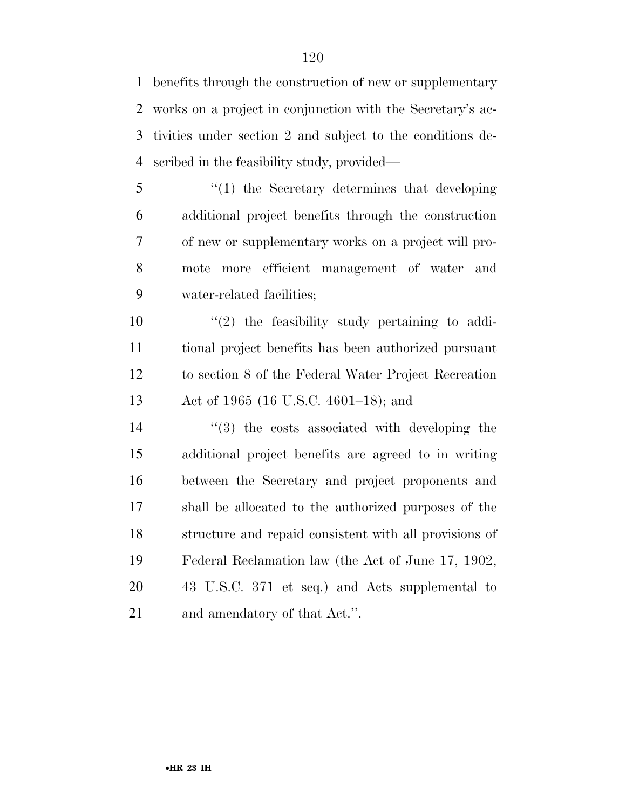benefits through the construction of new or supplementary works on a project in conjunction with the Secretary's ac- tivities under section 2 and subject to the conditions de-scribed in the feasibility study, provided—

 ''(1) the Secretary determines that developing additional project benefits through the construction of new or supplementary works on a project will pro- mote more efficient management of water and water-related facilities;

 $(2)$  the feasibility study pertaining to addi- tional project benefits has been authorized pursuant to section 8 of the Federal Water Project Recreation Act of 1965 (16 U.S.C. 4601–18); and

 $\frac{1}{2}$  (3) the costs associated with developing the additional project benefits are agreed to in writing between the Secretary and project proponents and shall be allocated to the authorized purposes of the structure and repaid consistent with all provisions of Federal Reclamation law (the Act of June 17, 1902, 43 U.S.C. 371 et seq.) and Acts supplemental to and amendatory of that Act.''.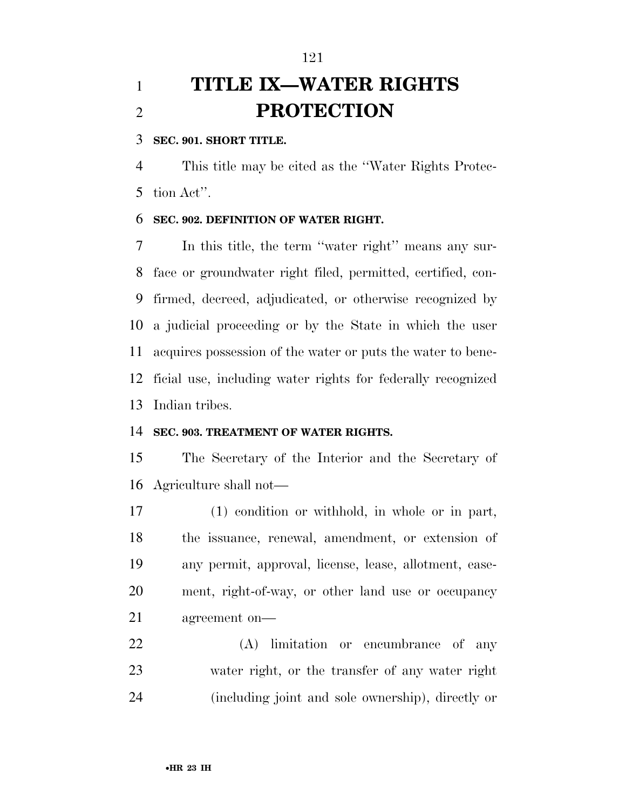# **TITLE IX—WATER RIGHTS PROTECTION**

## **SEC. 901. SHORT TITLE.**

 This title may be cited as the ''Water Rights Protec-tion Act''.

## **SEC. 902. DEFINITION OF WATER RIGHT.**

 In this title, the term ''water right'' means any sur- face or groundwater right filed, permitted, certified, con- firmed, decreed, adjudicated, or otherwise recognized by a judicial proceeding or by the State in which the user acquires possession of the water or puts the water to bene- ficial use, including water rights for federally recognized Indian tribes.

#### **SEC. 903. TREATMENT OF WATER RIGHTS.**

 The Secretary of the Interior and the Secretary of Agriculture shall not—

 (1) condition or withhold, in whole or in part, the issuance, renewal, amendment, or extension of any permit, approval, license, lease, allotment, ease- ment, right-of-way, or other land use or occupancy agreement on—

 (A) limitation or encumbrance of any water right, or the transfer of any water right (including joint and sole ownership), directly or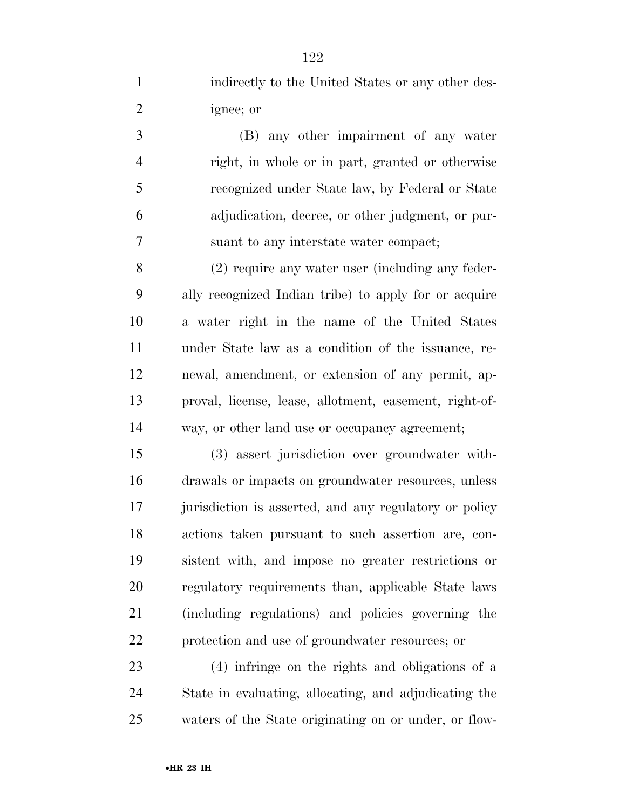indirectly to the United States or any other des- ignee; or (B) any other impairment of any water right, in whole or in part, granted or otherwise recognized under State law, by Federal or State adjudication, decree, or other judgment, or pur- suant to any interstate water compact; (2) require any water user (including any feder- ally recognized Indian tribe) to apply for or acquire a water right in the name of the United States under State law as a condition of the issuance, re- newal, amendment, or extension of any permit, ap- proval, license, lease, allotment, easement, right-of- way, or other land use or occupancy agreement; (3) assert jurisdiction over groundwater with- drawals or impacts on groundwater resources, unless 17 jurisdiction is asserted, and any regulatory or policy actions taken pursuant to such assertion are, con- sistent with, and impose no greater restrictions or regulatory requirements than, applicable State laws (including regulations) and policies governing the protection and use of groundwater resources; or (4) infringe on the rights and obligations of a State in evaluating, allocating, and adjudicating the

waters of the State originating on or under, or flow-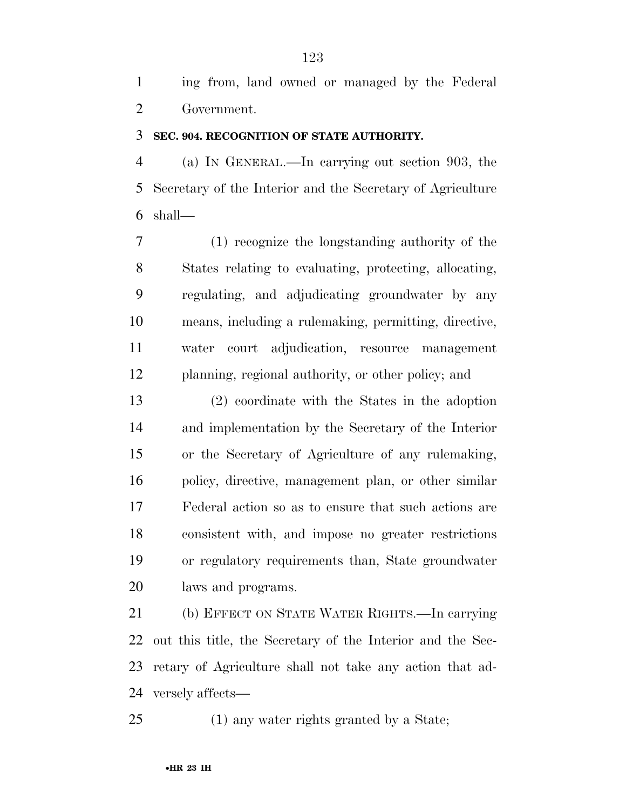ing from, land owned or managed by the Federal Government.

#### **SEC. 904. RECOGNITION OF STATE AUTHORITY.**

 (a) IN GENERAL.—In carrying out section 903, the Secretary of the Interior and the Secretary of Agriculture shall—

 (1) recognize the longstanding authority of the States relating to evaluating, protecting, allocating, regulating, and adjudicating groundwater by any means, including a rulemaking, permitting, directive, water court adjudication, resource management planning, regional authority, or other policy; and

 (2) coordinate with the States in the adoption and implementation by the Secretary of the Interior or the Secretary of Agriculture of any rulemaking, policy, directive, management plan, or other similar Federal action so as to ensure that such actions are consistent with, and impose no greater restrictions or regulatory requirements than, State groundwater laws and programs.

 (b) EFFECT ON STATE WATER RIGHTS.—In carrying out this title, the Secretary of the Interior and the Sec- retary of Agriculture shall not take any action that ad-versely affects—

(1) any water rights granted by a State;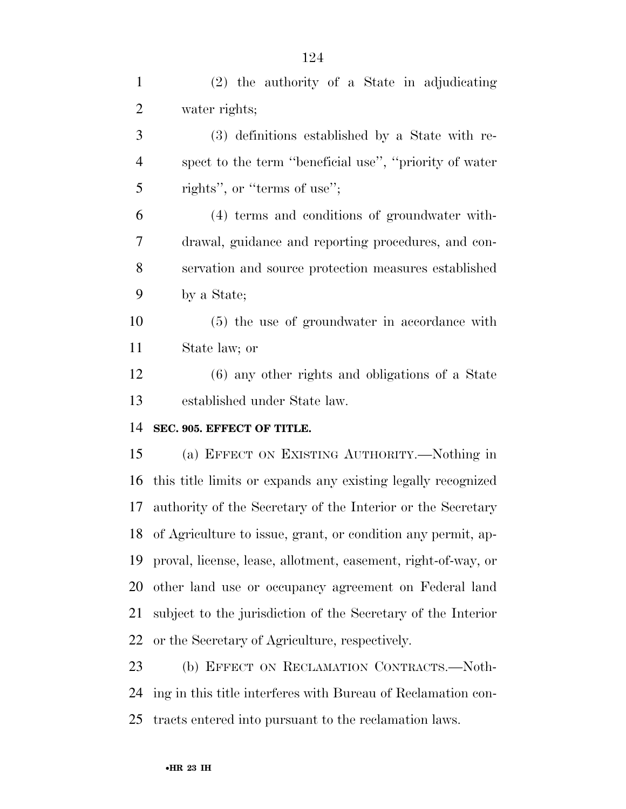| $\mathbf{1}$   | (2) the authority of a State in adjudicating                     |
|----------------|------------------------------------------------------------------|
| $\overline{2}$ | water rights;                                                    |
| 3              | (3) definitions established by a State with re-                  |
| $\overline{4}$ | spect to the term "beneficial use", "priority of water           |
| 5              | rights", or "terms of use";                                      |
| 6              | (4) terms and conditions of groundwater with-                    |
| $\overline{7}$ | drawal, guidance and reporting procedures, and con-              |
| 8              | servation and source protection measures established             |
| 9              | by a State;                                                      |
| 10             | (5) the use of groundwater in accordance with                    |
| 11             | State law; or                                                    |
| 12             | $(6)$ any other rights and obligations of a State                |
| 13             | established under State law.                                     |
| 14             | SEC. 905. EFFECT OF TITLE.                                       |
| 15             | (a) EFFECT ON EXISTING AUTHORITY.—Nothing in                     |
| 16             | this title limits or expands any existing legally recognized     |
| 17             | authority of the Secretary of the Interior or the Secretary      |
|                | 18 of Agriculture to issue, grant, or condition any permit, ap-  |
|                | 19 proval, license, lease, allotment, easement, right-of-way, or |
| 20             |                                                                  |
|                | other land use or occupancy agreement on Federal land            |
| 21             | subject to the jurisdiction of the Secretary of the Interior     |
| 22             | or the Secretary of Agriculture, respectively.                   |
| 23             | (b) EFFECT ON RECLAMATION CONTRACTS.-Noth-                       |
|                | 24 ing in this title interferes with Bureau of Reclamation con-  |

tracts entered into pursuant to the reclamation laws.